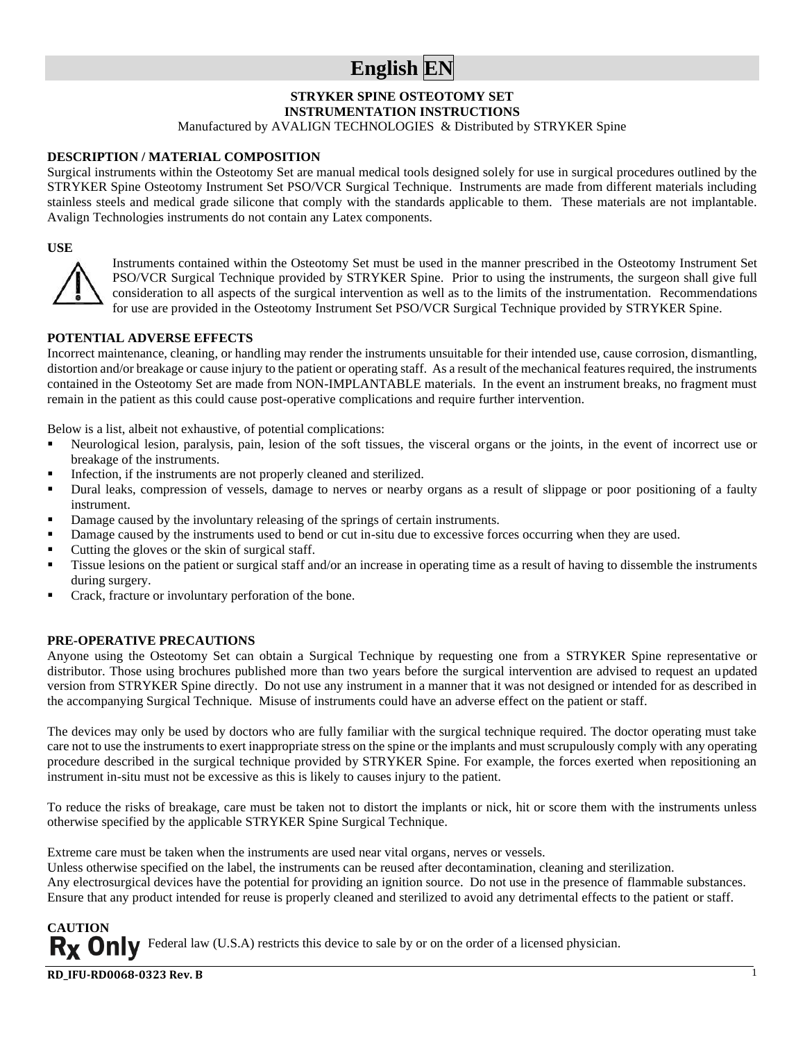## **English EN**

#### **STRYKER SPINE OSTEOTOMY SET**

**INSTRUMENTATION INSTRUCTIONS**

Manufactured by AVALIGN TECHNOLOGIES & Distributed by STRYKER Spine

#### **DESCRIPTION / MATERIAL COMPOSITION**

Surgical instruments within the Osteotomy Set are manual medical tools designed solely for use in surgical procedures outlined by the STRYKER Spine Osteotomy Instrument Set PSO/VCR Surgical Technique. Instruments are made from different materials including stainless steels and medical grade silicone that comply with the standards applicable to them. These materials are not implantable. Avalign Technologies instruments do not contain any Latex components.

#### **USE**



Instruments contained within the Osteotomy Set must be used in the manner prescribed in the Osteotomy Instrument Set PSO/VCR Surgical Technique provided by STRYKER Spine. Prior to using the instruments, the surgeon shall give full consideration to all aspects of the surgical intervention as well as to the limits of the instrumentation. Recommendations for use are provided in the Osteotomy Instrument Set PSO/VCR Surgical Technique provided by STRYKER Spine.

#### **POTENTIAL ADVERSE EFFECTS**

Incorrect maintenance, cleaning, or handling may render the instruments unsuitable for their intended use, cause corrosion, dismantling, distortion and/or breakage or cause injury to the patient or operating staff. As a result of the mechanical features required, the instruments contained in the Osteotomy Set are made from NON-IMPLANTABLE materials. In the event an instrument breaks, no fragment must remain in the patient as this could cause post-operative complications and require further intervention.

Below is a list, albeit not exhaustive, of potential complications:

- Neurological lesion, paralysis, pain, lesion of the soft tissues, the visceral organs or the joints, in the event of incorrect use or breakage of the instruments.
- Infection, if the instruments are not properly cleaned and sterilized.
- Dural leaks, compression of vessels, damage to nerves or nearby organs as a result of slippage or poor positioning of a faulty instrument.
- Damage caused by the involuntary releasing of the springs of certain instruments.
- Damage caused by the instruments used to bend or cut in-situ due to excessive forces occurring when they are used.
- Cutting the gloves or the skin of surgical staff.
- Tissue lesions on the patient or surgical staff and/or an increase in operating time as a result of having to dissemble the instruments during surgery.
- Crack, fracture or involuntary perforation of the bone.

#### **PRE-OPERATIVE PRECAUTIONS**

Anyone using the Osteotomy Set can obtain a Surgical Technique by requesting one from a STRYKER Spine representative or distributor. Those using brochures published more than two years before the surgical intervention are advised to request an updated version from STRYKER Spine directly. Do not use any instrument in a manner that it was not designed or intended for as described in the accompanying Surgical Technique. Misuse of instruments could have an adverse effect on the patient or staff.

The devices may only be used by doctors who are fully familiar with the surgical technique required. The doctor operating must take care not to use the instruments to exert inappropriate stress on the spine or the implants and must scrupulously comply with any operating procedure described in the surgical technique provided by STRYKER Spine. For example, the forces exerted when repositioning an instrument in-situ must not be excessive as this is likely to causes injury to the patient.

To reduce the risks of breakage, care must be taken not to distort the implants or nick, hit or score them with the instruments unless otherwise specified by the applicable STRYKER Spine Surgical Technique.

Extreme care must be taken when the instruments are used near vital organs, nerves or vessels.

Unless otherwise specified on the label, the instruments can be reused after decontamination, cleaning and sterilization.

Any electrosurgical devices have the potential for providing an ignition source. Do not use in the presence of flammable substances. Ensure that any product intended for reuse is properly cleaned and sterilized to avoid any detrimental effects to the patient or staff.

1

Federal law (U.S.A) restricts this device to sale by or on the order of a licensed physician.

**RD\_IFU-RD0068-0323 Rev. B**

**CAUTION**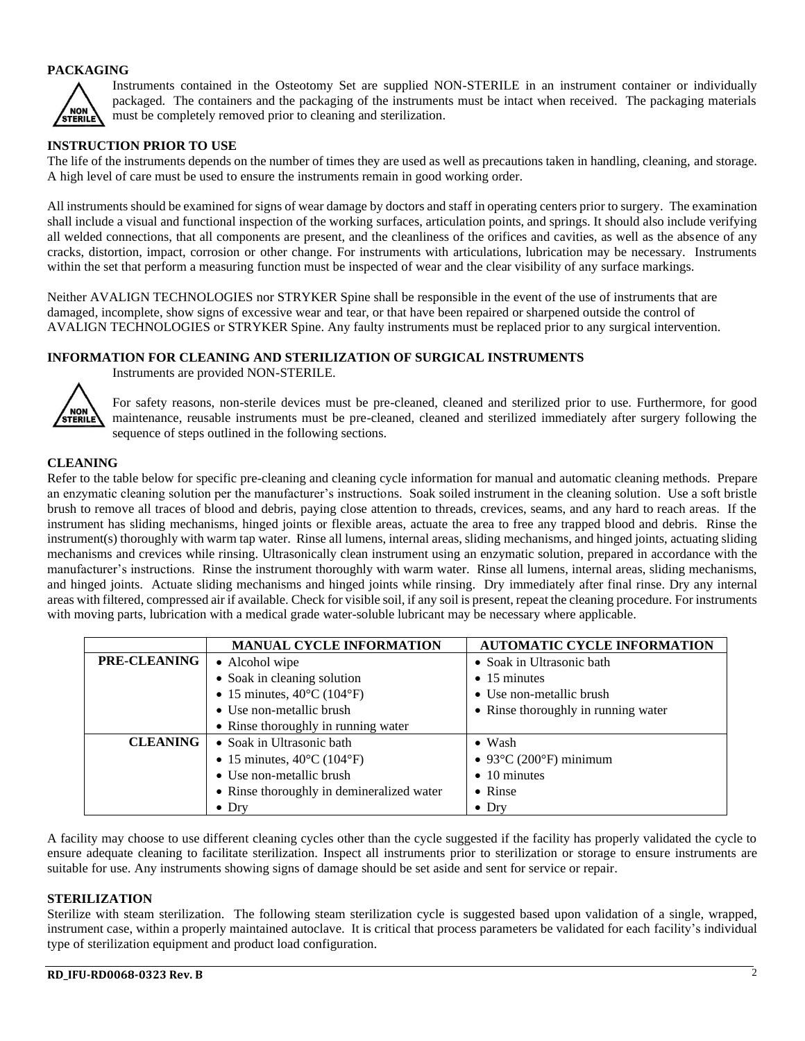#### **PACKAGING**



Instruments contained in the Osteotomy Set are supplied NON-STERILE in an instrument container or individually packaged. The containers and the packaging of the instruments must be intact when received. The packaging materials must be completely removed prior to cleaning and sterilization.

#### **INSTRUCTION PRIOR TO USE**

The life of the instruments depends on the number of times they are used as well as precautions taken in handling, cleaning, and storage. A high level of care must be used to ensure the instruments remain in good working order.

All instruments should be examined for signs of wear damage by doctors and staff in operating centers prior to surgery. The examination shall include a visual and functional inspection of the working surfaces, articulation points, and springs. It should also include verifying all welded connections, that all components are present, and the cleanliness of the orifices and cavities, as well as the absence of any cracks, distortion, impact, corrosion or other change. For instruments with articulations, lubrication may be necessary. Instruments within the set that perform a measuring function must be inspected of wear and the clear visibility of any surface markings.

Neither AVALIGN TECHNOLOGIES nor STRYKER Spine shall be responsible in the event of the use of instruments that are damaged, incomplete, show signs of excessive wear and tear, or that have been repaired or sharpened outside the control of AVALIGN TECHNOLOGIES or STRYKER Spine. Any faulty instruments must be replaced prior to any surgical intervention.

#### **INFORMATION FOR CLEANING AND STERILIZATION OF SURGICAL INSTRUMENTS**



Instruments are provided NON-STERILE.

For safety reasons, non-sterile devices must be pre-cleaned, cleaned and sterilized prior to use. Furthermore, for good maintenance, reusable instruments must be pre-cleaned, cleaned and sterilized immediately after surgery following the sequence of steps outlined in the following sections.

#### **CLEANING**

Refer to the table below for specific pre-cleaning and cleaning cycle information for manual and automatic cleaning methods. Prepare an enzymatic cleaning solution per the manufacturer's instructions. Soak soiled instrument in the cleaning solution. Use a soft bristle brush to remove all traces of blood and debris, paying close attention to threads, crevices, seams, and any hard to reach areas. If the instrument has sliding mechanisms, hinged joints or flexible areas, actuate the area to free any trapped blood and debris. Rinse the instrument(s) thoroughly with warm tap water. Rinse all lumens, internal areas, sliding mechanisms, and hinged joints, actuating sliding mechanisms and crevices while rinsing. Ultrasonically clean instrument using an enzymatic solution, prepared in accordance with the manufacturer's instructions. Rinse the instrument thoroughly with warm water. Rinse all lumens, internal areas, sliding mechanisms, and hinged joints. Actuate sliding mechanisms and hinged joints while rinsing. Dry immediately after final rinse. Dry any internal areas with filtered, compressed air if available. Check for visible soil, if any soil is present, repeat the cleaning procedure. For instruments with moving parts, lubrication with a medical grade water-soluble lubricant may be necessary where applicable.

|                     | <b>MANUAL CYCLE INFORMATION</b>                 | <b>AUTOMATIC CYCLE INFORMATION</b>         |
|---------------------|-------------------------------------------------|--------------------------------------------|
| <b>PRE-CLEANING</b> | • Alcohol wipe                                  | • Soak in Ultrasonic bath                  |
|                     | • Soak in cleaning solution                     | $\bullet$ 15 minutes                       |
|                     | • 15 minutes, $40^{\circ}$ C (104 $^{\circ}$ F) | • Use non-metallic brush                   |
|                     | • Use non-metallic brush                        | • Rinse thoroughly in running water        |
|                     | • Rinse thoroughly in running water             |                                            |
| <b>CLEANING</b>     | • Soak in Ultrasonic bath                       | $\bullet$ Wash                             |
|                     | • 15 minutes, $40^{\circ}$ C (104 $^{\circ}$ F) | • 93 $\degree$ C (200 $\degree$ F) minimum |
|                     | • Use non-metallic brush                        | $\bullet$ 10 minutes                       |
|                     | • Rinse thoroughly in demineralized water       | • Rinse                                    |
|                     | $\bullet$ Drv                                   | $\bullet$ Drv                              |

A facility may choose to use different cleaning cycles other than the cycle suggested if the facility has properly validated the cycle to ensure adequate cleaning to facilitate sterilization. Inspect all instruments prior to sterilization or storage to ensure instruments are suitable for use. Any instruments showing signs of damage should be set aside and sent for service or repair.

#### **STERILIZATION**

Sterilize with steam sterilization. The following steam sterilization cycle is suggested based upon validation of a single, wrapped, instrument case, within a properly maintained autoclave. It is critical that process parameters be validated for each facility's individual type of sterilization equipment and product load configuration.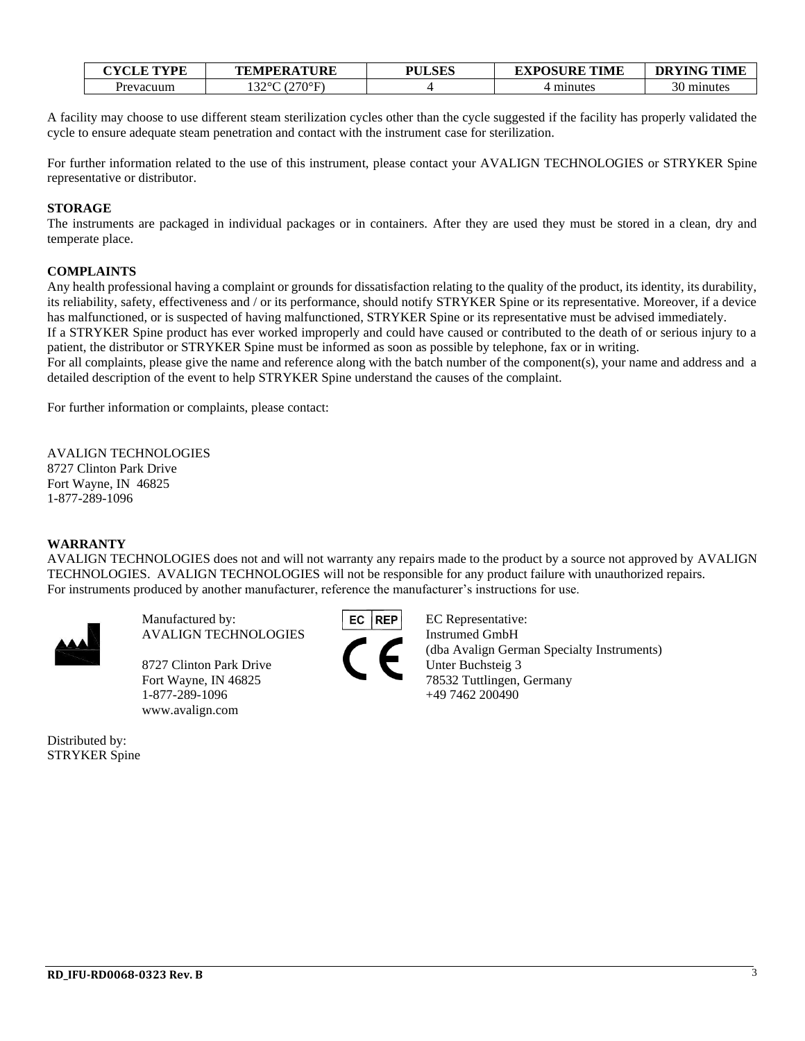| <b>CYCLE TYPE</b>     | <b>TEMPERATURE</b> | PULSES | <b>EXPOSURE TIME</b> | <b>DRYING TIME</b> |
|-----------------------|--------------------|--------|----------------------|--------------------|
| <sup>o</sup> revacuum | (270°F)<br>220C    |        | minutes              | minutes            |

A facility may choose to use different steam sterilization cycles other than the cycle suggested if the facility has properly validated the cycle to ensure adequate steam penetration and contact with the instrument case for sterilization.

For further information related to the use of this instrument, please contact your AVALIGN TECHNOLOGIES or STRYKER Spine representative or distributor.

#### **STORAGE**

The instruments are packaged in individual packages or in containers. After they are used they must be stored in a clean, dry and temperate place.

#### **COMPLAINTS**

Any health professional having a complaint or grounds for dissatisfaction relating to the quality of the product, its identity, its durability, its reliability, safety, effectiveness and / or its performance, should notify STRYKER Spine or its representative. Moreover, if a device has malfunctioned, or is suspected of having malfunctioned, STRYKER Spine or its representative must be advised immediately.

If a STRYKER Spine product has ever worked improperly and could have caused or contributed to the death of or serious injury to a patient, the distributor or STRYKER Spine must be informed as soon as possible by telephone, fax or in writing.

For all complaints, please give the name and reference along with the batch number of the component(s), your name and address and a detailed description of the event to help STRYKER Spine understand the causes of the complaint.

For further information or complaints, please contact:

AVALIGN TECHNOLOGIES 8727 Clinton Park Drive Fort Wayne, IN 46825 1-877-289-1096

#### **WARRANTY**

AVALIGN TECHNOLOGIES does not and will not warranty any repairs made to the product by a source not approved by AVALIGN TECHNOLOGIES. AVALIGN TECHNOLOGIES will not be responsible for any product failure with unauthorized repairs. For instruments produced by another manufacturer, reference the manufacturer's instructions for use.



Manufactured by: **EC REP** EC Representative: AVALIGN TECHNOLOGIES Instrumed GmbH

8727 Clinton Park Drive Unter Buchsteig 3 1-877-289-1096 +49 7462 200490 www.avalign.com

Distributed by: STRYKER Spine

(dba Avalign German Specialty Instruments) Fort Wayne, IN 46825 78532 Tuttlingen, Germany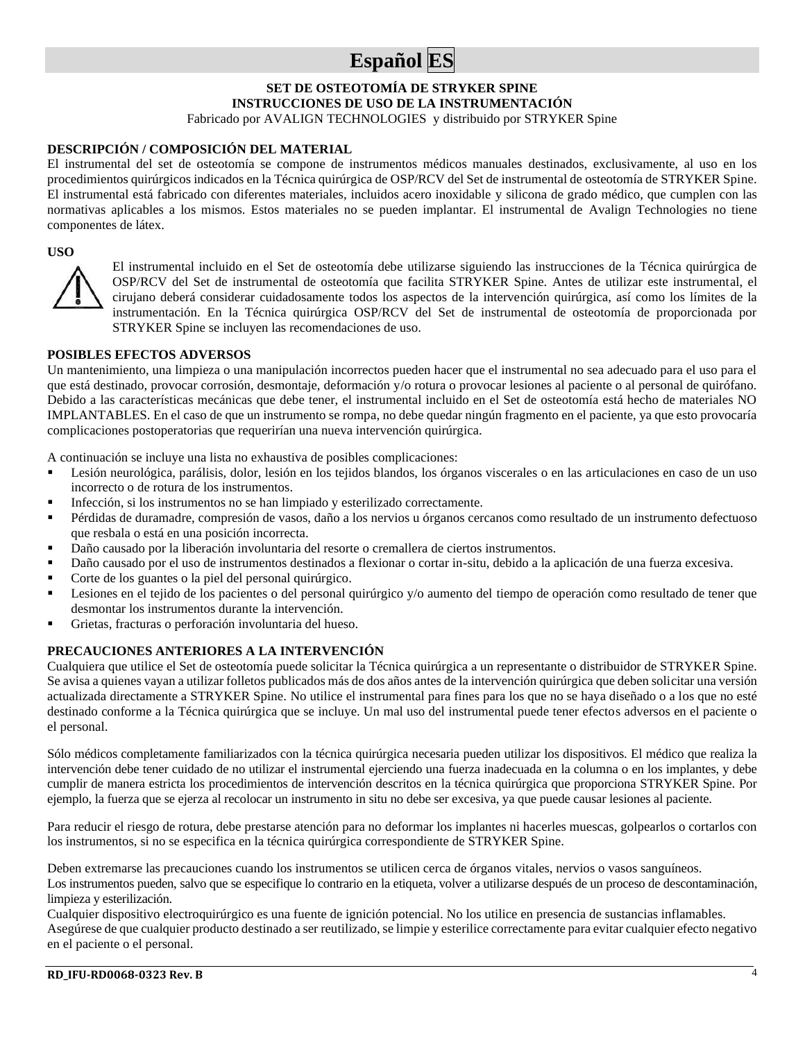## **Español ES**

#### **SET DE OSTEOTOMÍA DE STRYKER SPINE INSTRUCCIONES DE USO DE LA INSTRUMENTACIÓN** Fabricado por AVALIGN TECHNOLOGIES y distribuido por STRYKER Spine

#### **DESCRIPCIÓN / COMPOSICIÓN DEL MATERIAL**

El instrumental del set de osteotomía se compone de instrumentos médicos manuales destinados, exclusivamente, al uso en los procedimientos quirúrgicos indicados en la Técnica quirúrgica de OSP/RCV del Set de instrumental de osteotomía de STRYKER Spine. El instrumental está fabricado con diferentes materiales, incluidos acero inoxidable y silicona de grado médico, que cumplen con las normativas aplicables a los mismos. Estos materiales no se pueden implantar. El instrumental de Avalign Technologies no tiene componentes de látex.

#### **USO**



El instrumental incluido en el Set de osteotomía debe utilizarse siguiendo las instrucciones de la Técnica quirúrgica de OSP/RCV del Set de instrumental de osteotomía que facilita STRYKER Spine. Antes de utilizar este instrumental, el cirujano deberá considerar cuidadosamente todos los aspectos de la intervención quirúrgica, así como los límites de la instrumentación. En la Técnica quirúrgica OSP/RCV del Set de instrumental de osteotomía de proporcionada por STRYKER Spine se incluyen las recomendaciones de uso.

#### **POSIBLES EFECTOS ADVERSOS**

Un mantenimiento, una limpieza o una manipulación incorrectos pueden hacer que el instrumental no sea adecuado para el uso para el que está destinado, provocar corrosión, desmontaje, deformación y/o rotura o provocar lesiones al paciente o al personal de quirófano. Debido a las características mecánicas que debe tener, el instrumental incluido en el Set de osteotomía está hecho de materiales NO IMPLANTABLES. En el caso de que un instrumento se rompa, no debe quedar ningún fragmento en el paciente, ya que esto provocaría complicaciones postoperatorias que requerirían una nueva intervención quirúrgica.

A continuación se incluye una lista no exhaustiva de posibles complicaciones:

- Lesión neurológica, parálisis, dolor, lesión en los tejidos blandos, los órganos viscerales o en las articulaciones en caso de un uso incorrecto o de rotura de los instrumentos.
- Infección, si los instrumentos no se han limpiado y esterilizado correctamente.
- Pérdidas de duramadre, compresión de vasos, daño a los nervios u órganos cercanos como resultado de un instrumento defectuoso que resbala o está en una posición incorrecta.
- Daño causado por la liberación involuntaria del resorte o cremallera de ciertos instrumentos.
- Daño causado por el uso de instrumentos destinados a flexionar o cortar in-situ, debido a la aplicación de una fuerza excesiva.
- Corte de los guantes o la piel del personal quirúrgico.
- Lesiones en el tejido de los pacientes o del personal quirúrgico y/o aumento del tiempo de operación como resultado de tener que desmontar los instrumentos durante la intervención.
- Grietas, fracturas o perforación involuntaria del hueso.

#### **PRECAUCIONES ANTERIORES A LA INTERVENCIÓN**

Cualquiera que utilice el Set de osteotomía puede solicitar la Técnica quirúrgica a un representante o distribuidor de STRYKER Spine. Se avisa a quienes vayan a utilizar folletos publicados más de dos años antes de la intervención quirúrgica que deben solicitar una versión actualizada directamente a STRYKER Spine. No utilice el instrumental para fines para los que no se haya diseñado o a los que no esté destinado conforme a la Técnica quirúrgica que se incluye. Un mal uso del instrumental puede tener efectos adversos en el paciente o el personal.

Sólo médicos completamente familiarizados con la técnica quirúrgica necesaria pueden utilizar los dispositivos. El médico que realiza la intervención debe tener cuidado de no utilizar el instrumental ejerciendo una fuerza inadecuada en la columna o en los implantes, y debe cumplir de manera estricta los procedimientos de intervención descritos en la técnica quirúrgica que proporciona STRYKER Spine. Por ejemplo, la fuerza que se ejerza al recolocar un instrumento in situ no debe ser excesiva, ya que puede causar lesiones al paciente.

Para reducir el riesgo de rotura, debe prestarse atención para no deformar los implantes ni hacerles muescas, golpearlos o cortarlos con los instrumentos, si no se especifica en la técnica quirúrgica correspondiente de STRYKER Spine.

Deben extremarse las precauciones cuando los instrumentos se utilicen cerca de órganos vitales, nervios o vasos sanguíneos. Los instrumentos pueden, salvo que se especifique lo contrario en la etiqueta, volver a utilizarse después de un proceso de descontaminación, limpieza y esterilización.

Cualquier dispositivo electroquirúrgico es una fuente de ignición potencial. No los utilice en presencia de sustancias inflamables. Asegúrese de que cualquier producto destinado a ser reutilizado, se limpie y esterilice correctamente para evitar cualquier efecto negativo en el paciente o el personal.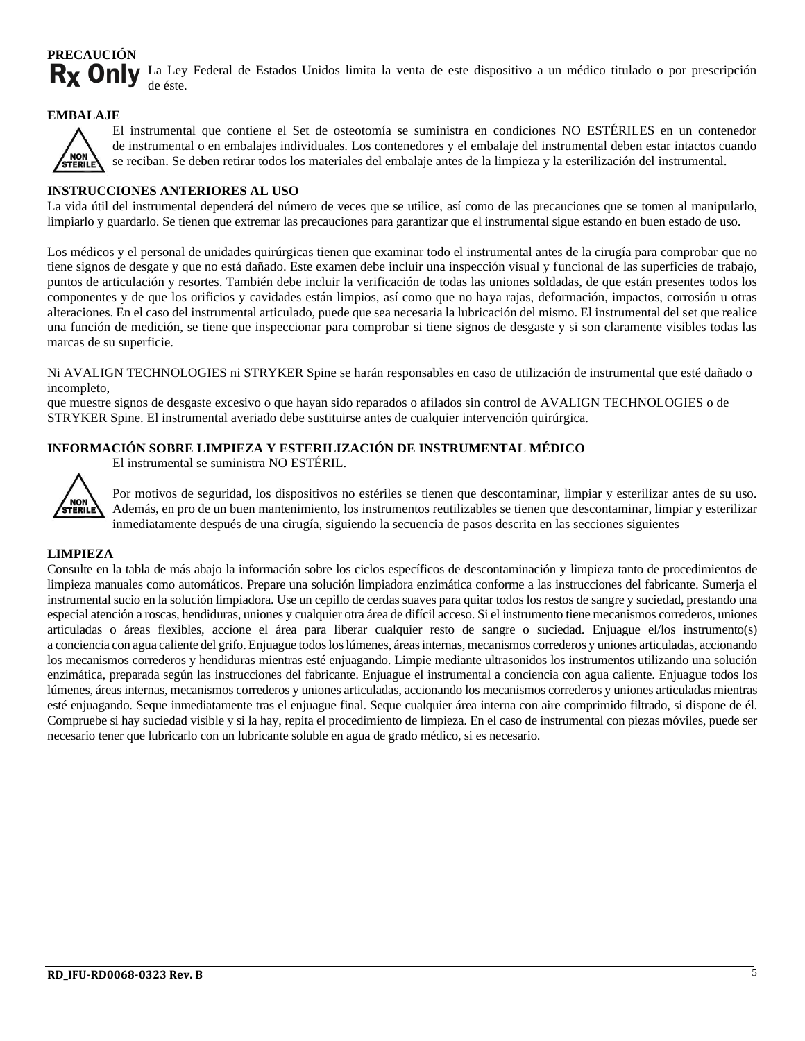#### **PRECAUCIÓN** Rx Only La Ley Federal de Estados Unidos limita la venta de este dispositivo a un médico titulado o por prescripción de éste.

#### **EMBALAJE**



El instrumental que contiene el Set de osteotomía se suministra en condiciones NO ESTÉRILES en un contenedor de instrumental o en embalajes individuales. Los contenedores y el embalaje del instrumental deben estar intactos cuando se reciban. Se deben retirar todos los materiales del embalaje antes de la limpieza y la esterilización del instrumental.

#### **INSTRUCCIONES ANTERIORES AL USO**

La vida útil del instrumental dependerá del número de veces que se utilice, así como de las precauciones que se tomen al manipularlo, limpiarlo y guardarlo. Se tienen que extremar las precauciones para garantizar que el instrumental sigue estando en buen estado de uso.

Los médicos y el personal de unidades quirúrgicas tienen que examinar todo el instrumental antes de la cirugía para comprobar que no tiene signos de desgate y que no está dañado. Este examen debe incluir una inspección visual y funcional de las superficies de trabajo, puntos de articulación y resortes. También debe incluir la verificación de todas las uniones soldadas, de que están presentes todos los componentes y de que los orificios y cavidades están limpios, así como que no haya rajas, deformación, impactos, corrosión u otras alteraciones. En el caso del instrumental articulado, puede que sea necesaria la lubricación del mismo. El instrumental del set que realice una función de medición, se tiene que inspeccionar para comprobar si tiene signos de desgaste y si son claramente visibles todas las marcas de su superficie.

Ni AVALIGN TECHNOLOGIES ni STRYKER Spine se harán responsables en caso de utilización de instrumental que esté dañado o incompleto,

que muestre signos de desgaste excesivo o que hayan sido reparados o afilados sin control de AVALIGN TECHNOLOGIES o de STRYKER Spine. El instrumental averiado debe sustituirse antes de cualquier intervención quirúrgica.

#### **INFORMACIÓN SOBRE LIMPIEZA Y ESTERILIZACIÓN DE INSTRUMENTAL MÉDICO**

El instrumental se suministra NO ESTÉRIL.



Por motivos de seguridad, los dispositivos no estériles se tienen que descontaminar, limpiar y esterilizar antes de su uso. Además, en pro de un buen mantenimiento, los instrumentos reutilizables se tienen que descontaminar, limpiar y esterilizar inmediatamente después de una cirugía, siguiendo la secuencia de pasos descrita en las secciones siguientes

#### **LIMPIEZA**

Consulte en la tabla de más abajo la información sobre los ciclos específicos de descontaminación y limpieza tanto de procedimientos de limpieza manuales como automáticos. Prepare una solución limpiadora enzimática conforme a las instrucciones del fabricante. Sumerja el instrumental sucio en la solución limpiadora. Use un cepillo de cerdas suaves para quitar todos los restos de sangre y suciedad, prestando una especial atención a roscas, hendiduras, uniones y cualquier otra área de difícil acceso. Si el instrumento tiene mecanismos correderos, uniones articuladas o áreas flexibles, accione el área para liberar cualquier resto de sangre o suciedad. Enjuague el/los instrumento(s) a conciencia con agua caliente del grifo. Enjuague todos los lúmenes, áreas internas, mecanismos correderos y uniones articuladas, accionando los mecanismos correderos y hendiduras mientras esté enjuagando. Limpie mediante ultrasonidos los instrumentos utilizando una solución enzimática, preparada según las instrucciones del fabricante. Enjuague el instrumental a conciencia con agua caliente. Enjuague todos los lúmenes, áreas internas, mecanismos correderos y uniones articuladas, accionando los mecanismos correderos y uniones articuladas mientras esté enjuagando. Seque inmediatamente tras el enjuague final. Seque cualquier área interna con aire comprimido filtrado, si dispone de él. Compruebe si hay suciedad visible y si la hay, repita el procedimiento de limpieza. En el caso de instrumental con piezas móviles, puede ser necesario tener que lubricarlo con un lubricante soluble en agua de grado médico, si es necesario.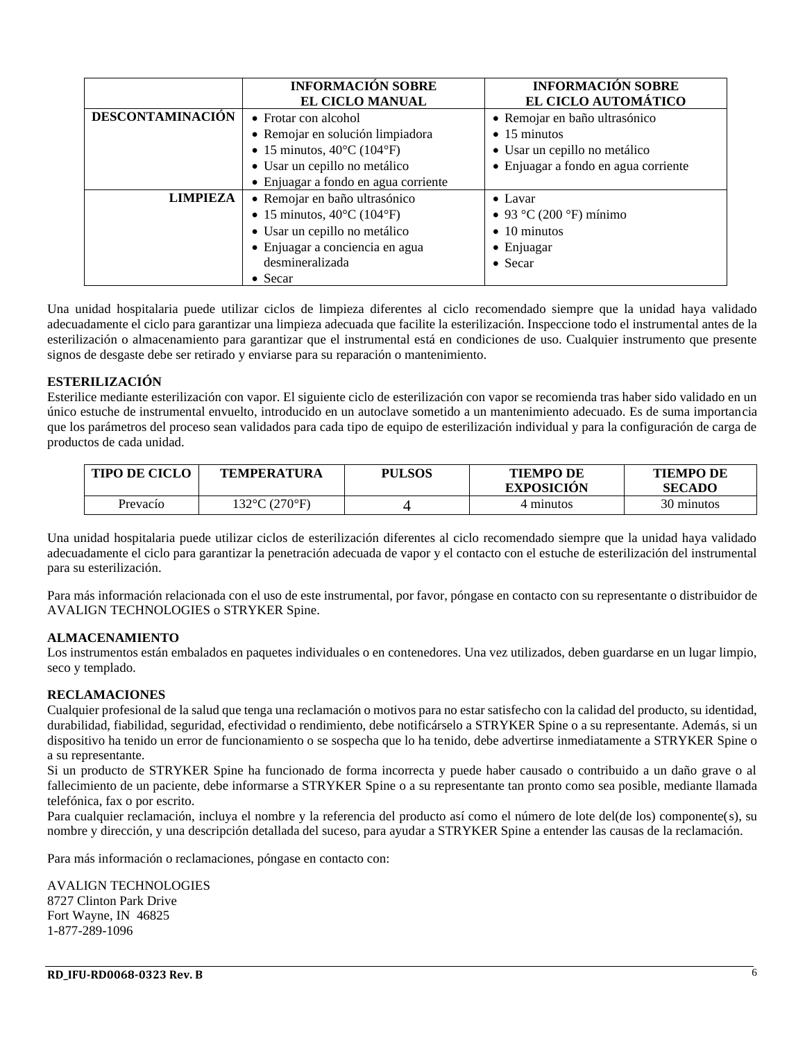|                                                  | <b>INFORMACIÓN SOBRE</b><br><b>EL CICLO MANUAL</b> | <b>INFORMACIÓN SOBRE</b><br>EL CICLO AUTOMÁTICO |
|--------------------------------------------------|----------------------------------------------------|-------------------------------------------------|
| <b>DESCONTAMINACIÓN</b>                          | • Frotar con alcohol                               | • Remojar en baño ultrasónico                   |
|                                                  | · Remojar en solución limpiadora                   | $\bullet$ 15 minutos                            |
|                                                  | • 15 minutos, $40^{\circ}$ C (104 $^{\circ}$ F)    | • Usar un cepillo no metálico                   |
|                                                  | • Usar un cepillo no metálico                      | • Enjuagar a fondo en agua corriente            |
|                                                  | • Enjuagar a fondo en agua corriente               |                                                 |
| <b>LIMPIEZA</b><br>• Remojar en baño ultrasónico |                                                    | $\bullet$ Lavar                                 |
|                                                  | • 15 minutos, $40^{\circ}$ C (104 $^{\circ}$ F)    | • 93 °C (200 °F) mínimo                         |
|                                                  | • Usar un cepillo no metálico                      | $\bullet$ 10 minutos                            |
|                                                  | · Enjuagar a conciencia en agua                    | • Enjuagar                                      |
|                                                  | desmineralizada                                    | $\bullet$ Secar                                 |
|                                                  | $\bullet$ Secar                                    |                                                 |

Una unidad hospitalaria puede utilizar ciclos de limpieza diferentes al ciclo recomendado siempre que la unidad haya validado adecuadamente el ciclo para garantizar una limpieza adecuada que facilite la esterilización. Inspeccione todo el instrumental antes de la esterilización o almacenamiento para garantizar que el instrumental está en condiciones de uso. Cualquier instrumento que presente signos de desgaste debe ser retirado y enviarse para su reparación o mantenimiento.

#### **ESTERILIZACIÓN**

Esterilice mediante esterilización con vapor. El siguiente ciclo de esterilización con vapor se recomienda tras haber sido validado en un único estuche de instrumental envuelto, introducido en un autoclave sometido a un mantenimiento adecuado. Es de suma importancia que los parámetros del proceso sean validados para cada tipo de equipo de esterilización individual y para la configuración de carga de productos de cada unidad.

| <b>TIPO DE CICLO</b> | <b>TEMPERATURA</b>                 | <b>PULSOS</b> | <b>TIEMPO DE</b><br><b>EXPOSICION</b> | <b>TIEMPO DE</b><br><b>SECADO</b> |
|----------------------|------------------------------------|---------------|---------------------------------------|-----------------------------------|
| Prevacío             | $132^{\circ}$ C (270 $^{\circ}$ F) |               | 4 minutos                             | 30 minutos                        |

Una unidad hospitalaria puede utilizar ciclos de esterilización diferentes al ciclo recomendado siempre que la unidad haya validado adecuadamente el ciclo para garantizar la penetración adecuada de vapor y el contacto con el estuche de esterilización del instrumental para su esterilización.

Para más información relacionada con el uso de este instrumental, por favor, póngase en contacto con su representante o distribuidor de AVALIGN TECHNOLOGIES o STRYKER Spine.

#### **ALMACENAMIENTO**

Los instrumentos están embalados en paquetes individuales o en contenedores. Una vez utilizados, deben guardarse en un lugar limpio, seco y templado.

#### **RECLAMACIONES**

Cualquier profesional de la salud que tenga una reclamación o motivos para no estar satisfecho con la calidad del producto, su identidad, durabilidad, fiabilidad, seguridad, efectividad o rendimiento, debe notificárselo a STRYKER Spine o a su representante. Además, si un dispositivo ha tenido un error de funcionamiento o se sospecha que lo ha tenido, debe advertirse inmediatamente a STRYKER Spine o a su representante.

Si un producto de STRYKER Spine ha funcionado de forma incorrecta y puede haber causado o contribuido a un daño grave o al fallecimiento de un paciente, debe informarse a STRYKER Spine o a su representante tan pronto como sea posible, mediante llamada telefónica, fax o por escrito.

Para cualquier reclamación, incluya el nombre y la referencia del producto así como el número de lote del(de los) componente(s), su nombre y dirección, y una descripción detallada del suceso, para ayudar a STRYKER Spine a entender las causas de la reclamación.

Para más información o reclamaciones, póngase en contacto con:

AVALIGN TECHNOLOGIES 8727 Clinton Park Drive Fort Wayne, IN 46825 1-877-289-1096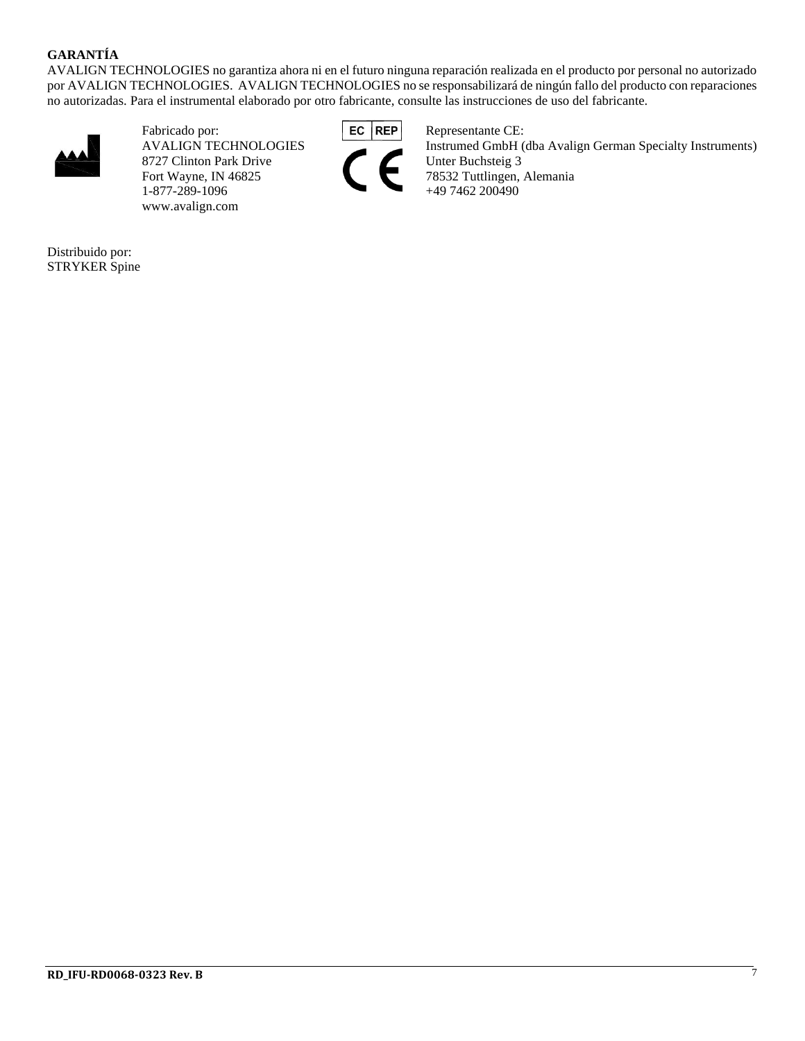#### **GARANTÍA**

AVALIGN TECHNOLOGIES no garantiza ahora ni en el futuro ninguna reparación realizada en el producto por personal no autorizado por AVALIGN TECHNOLOGIES. AVALIGN TECHNOLOGIES no se responsabilizará de ningún fallo del producto con reparaciones no autorizadas. Para el instrumental elaborado por otro fabricante, consulte las instrucciones de uso del fabricante.



Fabricado por: **EC REP** Representante CE: 8727 Clinton Park Drive<br>Fort Wayne, IN 46825 1-877-289-1096 +49 7462 200490 www.avalign.com



AVALIGN TECHNOLOGIES Instrumed GmbH (dba Avalign German Specialty Instruments)<br>8727 Clinton Park Drive Unter Buchsteig 3 78532 Tuttlingen, Alemania

Distribuido por: STRYKER Spine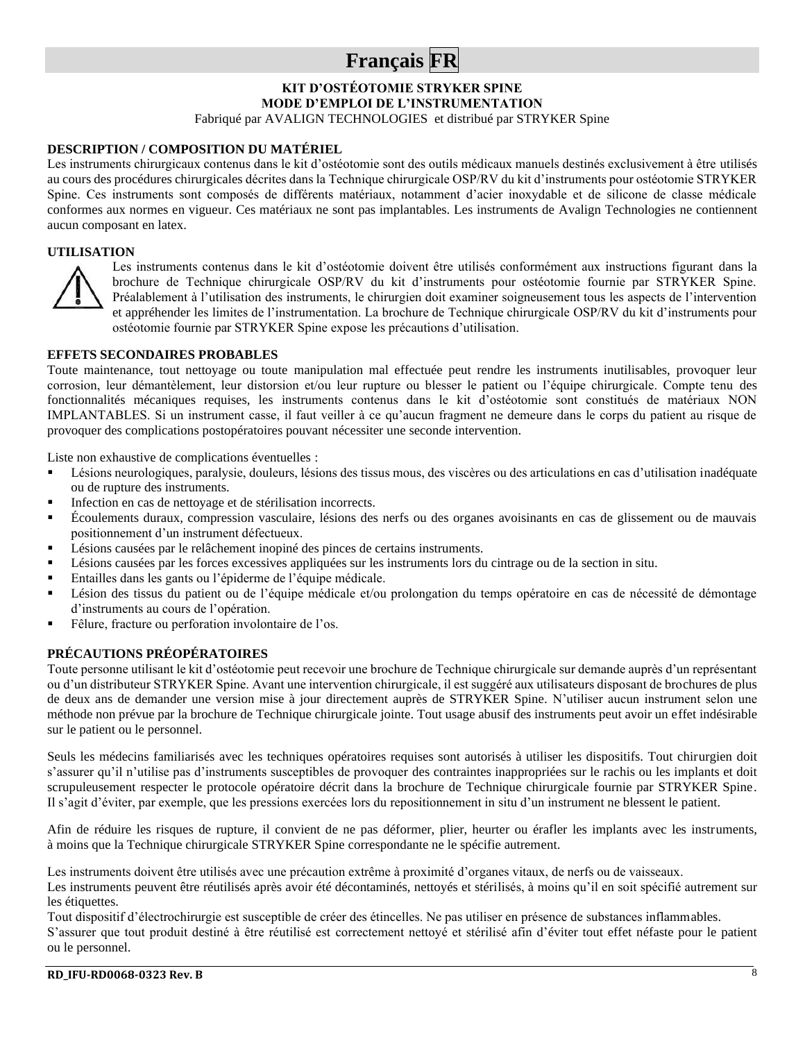## **Français FR**

**KIT D'OSTÉOTOMIE STRYKER SPINE MODE D'EMPLOI DE L'INSTRUMENTATION**

Fabriqué par AVALIGN TECHNOLOGIES et distribué par STRYKER Spine

#### **DESCRIPTION / COMPOSITION DU MATÉRIEL**

Les instruments chirurgicaux contenus dans le kit d'ostéotomie sont des outils médicaux manuels destinés exclusivement à être utilisés au cours des procédures chirurgicales décrites dans la Technique chirurgicale OSP/RV du kit d'instruments pour ostéotomie STRYKER Spine. Ces instruments sont composés de différents matériaux, notamment d'acier inoxydable et de silicone de classe médicale conformes aux normes en vigueur. Ces matériaux ne sont pas implantables. Les instruments de Avalign Technologies ne contiennent aucun composant en latex.

#### **UTILISATION**



Les instruments contenus dans le kit d'ostéotomie doivent être utilisés conformément aux instructions figurant dans la brochure de Technique chirurgicale OSP/RV du kit d'instruments pour ostéotomie fournie par STRYKER Spine. Préalablement à l'utilisation des instruments, le chirurgien doit examiner soigneusement tous les aspects de l'intervention et appréhender les limites de l'instrumentation. La brochure de Technique chirurgicale OSP/RV du kit d'instruments pour ostéotomie fournie par STRYKER Spine expose les précautions d'utilisation.

#### **EFFETS SECONDAIRES PROBABLES**

Toute maintenance, tout nettoyage ou toute manipulation mal effectuée peut rendre les instruments inutilisables, provoquer leur corrosion, leur démantèlement, leur distorsion et/ou leur rupture ou blesser le patient ou l'équipe chirurgicale. Compte tenu des fonctionnalités mécaniques requises, les instruments contenus dans le kit d'ostéotomie sont constitués de matériaux NON IMPLANTABLES. Si un instrument casse, il faut veiller à ce qu'aucun fragment ne demeure dans le corps du patient au risque de provoquer des complications postopératoires pouvant nécessiter une seconde intervention.

Liste non exhaustive de complications éventuelles :

- Lésions neurologiques, paralysie, douleurs, lésions des tissus mous, des viscères ou des articulations en cas d'utilisation inadéquate ou de rupture des instruments.
- Infection en cas de nettoyage et de stérilisation incorrects.
- Écoulements duraux, compression vasculaire, lésions des nerfs ou des organes avoisinants en cas de glissement ou de mauvais positionnement d'un instrument défectueux.
- Lésions causées par le relâchement inopiné des pinces de certains instruments.
- Lésions causées par les forces excessives appliquées sur les instruments lors du cintrage ou de la section in situ.
- Entailles dans les gants ou l'épiderme de l'équipe médicale.
- Lésion des tissus du patient ou de l'équipe médicale et/ou prolongation du temps opératoire en cas de nécessité de démontage d'instruments au cours de l'opération.
- Fêlure, fracture ou perforation involontaire de l'os.

#### **PRÉCAUTIONS PRÉOPÉRATOIRES**

Toute personne utilisant le kit d'ostéotomie peut recevoir une brochure de Technique chirurgicale sur demande auprès d'un représentant ou d'un distributeur STRYKER Spine. Avant une intervention chirurgicale, il est suggéré aux utilisateurs disposant de brochures de plus de deux ans de demander une version mise à jour directement auprès de STRYKER Spine. N'utiliser aucun instrument selon une méthode non prévue par la brochure de Technique chirurgicale jointe. Tout usage abusif des instruments peut avoir un effet indésirable sur le patient ou le personnel.

Seuls les médecins familiarisés avec les techniques opératoires requises sont autorisés à utiliser les dispositifs. Tout chirurgien doit s'assurer qu'il n'utilise pas d'instruments susceptibles de provoquer des contraintes inappropriées sur le rachis ou les implants et doit scrupuleusement respecter le protocole opératoire décrit dans la brochure de Technique chirurgicale fournie par STRYKER Spine. Il s'agit d'éviter, par exemple, que les pressions exercées lors du repositionnement in situ d'un instrument ne blessent le patient.

Afin de réduire les risques de rupture, il convient de ne pas déformer, plier, heurter ou érafler les implants avec les instruments, à moins que la Technique chirurgicale STRYKER Spine correspondante ne le spécifie autrement.

Les instruments doivent être utilisés avec une précaution extrême à proximité d'organes vitaux, de nerfs ou de vaisseaux.

Les instruments peuvent être réutilisés après avoir été décontaminés, nettoyés et stérilisés, à moins qu'il en soit spécifié autrement sur les étiquettes.

Tout dispositif d'électrochirurgie est susceptible de créer des étincelles. Ne pas utiliser en présence de substances inflammables. S'assurer que tout produit destiné à être réutilisé est correctement nettoyé et stérilisé afin d'éviter tout effet néfaste pour le patient ou le personnel.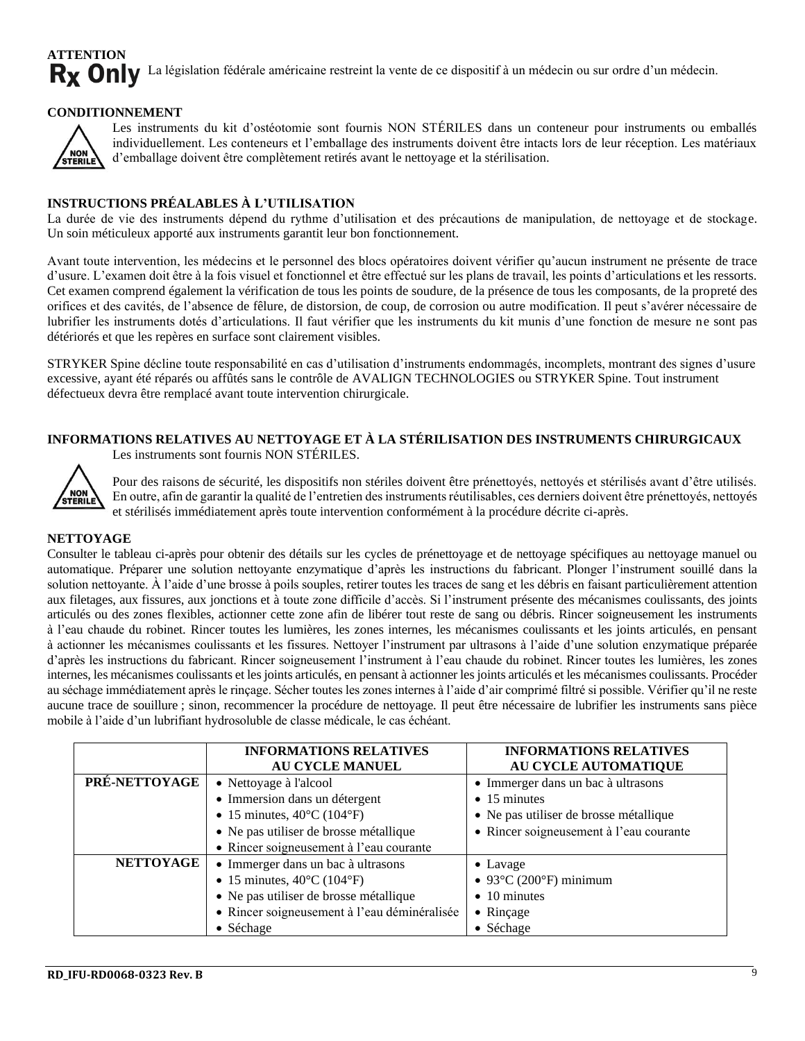#### **ATTENTION** Rx Only La législation fédérale américaine restreint la vente de ce dispositif à un médecin ou sur ordre d'un médecin.

#### **CONDITIONNEMENT**



Les instruments du kit d'ostéotomie sont fournis NON STÉRILES dans un conteneur pour instruments ou emballés individuellement. Les conteneurs et l'emballage des instruments doivent être intacts lors de leur réception. Les matériaux d'emballage doivent être complètement retirés avant le nettoyage et la stérilisation.

#### **INSTRUCTIONS PRÉALABLES À L'UTILISATION**

La durée de vie des instruments dépend du rythme d'utilisation et des précautions de manipulation, de nettoyage et de stockage. Un soin méticuleux apporté aux instruments garantit leur bon fonctionnement.

Avant toute intervention, les médecins et le personnel des blocs opératoires doivent vérifier qu'aucun instrument ne présente de trace d'usure. L'examen doit être à la fois visuel et fonctionnel et être effectué sur les plans de travail, les points d'articulations et les ressorts. Cet examen comprend également la vérification de tous les points de soudure, de la présence de tous les composants, de la propreté des orifices et des cavités, de l'absence de fêlure, de distorsion, de coup, de corrosion ou autre modification. Il peut s'avérer nécessaire de lubrifier les instruments dotés d'articulations. Il faut vérifier que les instruments du kit munis d'une fonction de mesure ne sont pas détériorés et que les repères en surface sont clairement visibles.

STRYKER Spine décline toute responsabilité en cas d'utilisation d'instruments endommagés, incomplets, montrant des signes d'usure excessive, ayant été réparés ou affûtés sans le contrôle de AVALIGN TECHNOLOGIES ou STRYKER Spine. Tout instrument défectueux devra être remplacé avant toute intervention chirurgicale.

#### **INFORMATIONS RELATIVES AU NETTOYAGE ET À LA STÉRILISATION DES INSTRUMENTS CHIRURGICAUX** Les instruments sont fournis NON STÉRILES.



Pour des raisons de sécurité, les dispositifs non stériles doivent être prénettoyés, nettoyés et stérilisés avant d'être utilisés. En outre, afin de garantir la qualité de l'entretien des instruments réutilisables, ces derniers doivent être prénettoyés, nettoyés et stérilisés immédiatement après toute intervention conformément à la procédure décrite ci-après.

#### **NETTOYAGE**

Consulter le tableau ci-après pour obtenir des détails sur les cycles de prénettoyage et de nettoyage spécifiques au nettoyage manuel ou automatique. Préparer une solution nettoyante enzymatique d'après les instructions du fabricant. Plonger l'instrument souillé dans la solution nettoyante. À l'aide d'une brosse à poils souples, retirer toutes les traces de sang et les débris en faisant particulièrement attention aux filetages, aux fissures, aux jonctions et à toute zone difficile d'accès. Si l'instrument présente des mécanismes coulissants, des joints articulés ou des zones flexibles, actionner cette zone afin de libérer tout reste de sang ou débris. Rincer soigneusement les instruments à l'eau chaude du robinet. Rincer toutes les lumières, les zones internes, les mécanismes coulissants et les joints articulés, en pensant à actionner les mécanismes coulissants et les fissures. Nettoyer l'instrument par ultrasons à l'aide d'une solution enzymatique préparée d'après les instructions du fabricant. Rincer soigneusement l'instrument à l'eau chaude du robinet. Rincer toutes les lumières, les zones internes, les mécanismes coulissants et les joints articulés, en pensant à actionner les joints articulés et les mécanismes coulissants. Procéder au séchage immédiatement après le rinçage. Sécher toutes les zones internes à l'aide d'air comprimé filtré si possible. Vérifier qu'il ne reste aucune trace de souillure ; sinon, recommencer la procédure de nettoyage. Il peut être nécessaire de lubrifier les instruments sans pièce mobile à l'aide d'un lubrifiant hydrosoluble de classe médicale, le cas échéant.

|                  | <b>INFORMATIONS RELATIVES</b><br><b>AU CYCLE MANUEL</b>                                                                                                                         | <b>INFORMATIONS RELATIVES</b><br>AU CYCLE AUTOMATIQUE                                                |  |
|------------------|---------------------------------------------------------------------------------------------------------------------------------------------------------------------------------|------------------------------------------------------------------------------------------------------|--|
| PRÉ-NETTOYAGE    | • Nettoyage à l'alcool<br>• Immersion dans un détergent<br>• 15 minutes, $40^{\circ}$ C (104 $^{\circ}$ F)                                                                      | • Immerger dans un bac à ultrasons<br>$\bullet$ 15 minutes<br>• Ne pas utiliser de brosse métallique |  |
|                  | • Ne pas utiliser de brosse métallique<br>• Rincer soigneusement à l'eau courante                                                                                               | • Rincer soigneusement à l'eau courante                                                              |  |
| <b>NETTOYAGE</b> | • Immerger dans un bac à ultrasons<br>• 15 minutes, $40^{\circ}$ C (104 $^{\circ}$ F)<br>• Ne pas utiliser de brosse métallique<br>· Rincer soigneusement à l'eau déminéralisée | • Lavage<br>$\bullet$ 93°C (200°F) minimum<br>$\bullet$ 10 minutes<br>• Rinçage                      |  |
|                  | • Séchage                                                                                                                                                                       | • Séchage                                                                                            |  |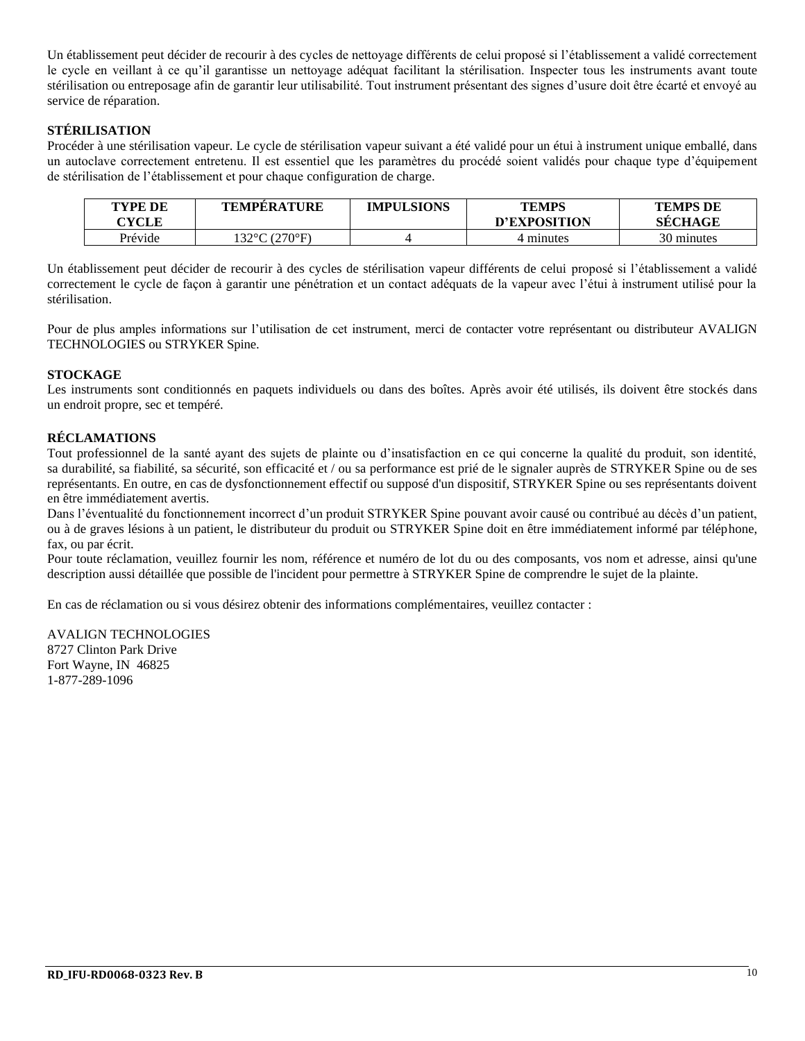Un établissement peut décider de recourir à des cycles de nettoyage différents de celui proposé si l'établissement a validé correctement le cycle en veillant à ce qu'il garantisse un nettoyage adéquat facilitant la stérilisation. Inspecter tous les instruments avant toute stérilisation ou entreposage afin de garantir leur utilisabilité. Tout instrument présentant des signes d'usure doit être écarté et envoyé au service de réparation.

#### **STÉRILISATION**

Procéder à une stérilisation vapeur. Le cycle de stérilisation vapeur suivant a été validé pour un étui à instrument unique emballé, dans un autoclave correctement entretenu. Il est essentiel que les paramètres du procédé soient validés pour chaque type d'équipement de stérilisation de l'établissement et pour chaque configuration de charge.

| TYPE DE<br><b>CYCLE</b> | <b>TEMPERATURE</b> | <b>IMPULSIONS</b> | <b>TEMPS</b><br>D'EXPOSITION | <b>TEMPS DE</b><br><b>SECHAGE</b> |
|-------------------------|--------------------|-------------------|------------------------------|-----------------------------------|
| Prévide                 | 132°C (270°F)      |                   | 4 minutes                    | 30 minutes                        |

Un établissement peut décider de recourir à des cycles de stérilisation vapeur différents de celui proposé si l'établissement a validé correctement le cycle de façon à garantir une pénétration et un contact adéquats de la vapeur avec l'étui à instrument utilisé pour la stérilisation.

Pour de plus amples informations sur l'utilisation de cet instrument, merci de contacter votre représentant ou distributeur AVALIGN TECHNOLOGIES ou STRYKER Spine.

#### **STOCKAGE**

Les instruments sont conditionnés en paquets individuels ou dans des boîtes. Après avoir été utilisés, ils doivent être stockés dans un endroit propre, sec et tempéré.

#### **RÉCLAMATIONS**

Tout professionnel de la santé ayant des sujets de plainte ou d'insatisfaction en ce qui concerne la qualité du produit, son identité, sa durabilité, sa fiabilité, sa sécurité, son efficacité et / ou sa performance est prié de le signaler auprès de STRYKER Spine ou de ses représentants. En outre, en cas de dysfonctionnement effectif ou supposé d'un dispositif, STRYKER Spine ou ses représentants doivent en être immédiatement avertis.

Dans l'éventualité du fonctionnement incorrect d'un produit STRYKER Spine pouvant avoir causé ou contribué au décès d'un patient, ou à de graves lésions à un patient, le distributeur du produit ou STRYKER Spine doit en être immédiatement informé par téléphone, fax, ou par écrit.

Pour toute réclamation, veuillez fournir les nom, référence et numéro de lot du ou des composants, vos nom et adresse, ainsi qu'une description aussi détaillée que possible de l'incident pour permettre à STRYKER Spine de comprendre le sujet de la plainte.

En cas de réclamation ou si vous désirez obtenir des informations complémentaires, veuillez contacter :

AVALIGN TECHNOLOGIES 8727 Clinton Park Drive Fort Wayne, IN 46825 1-877-289-1096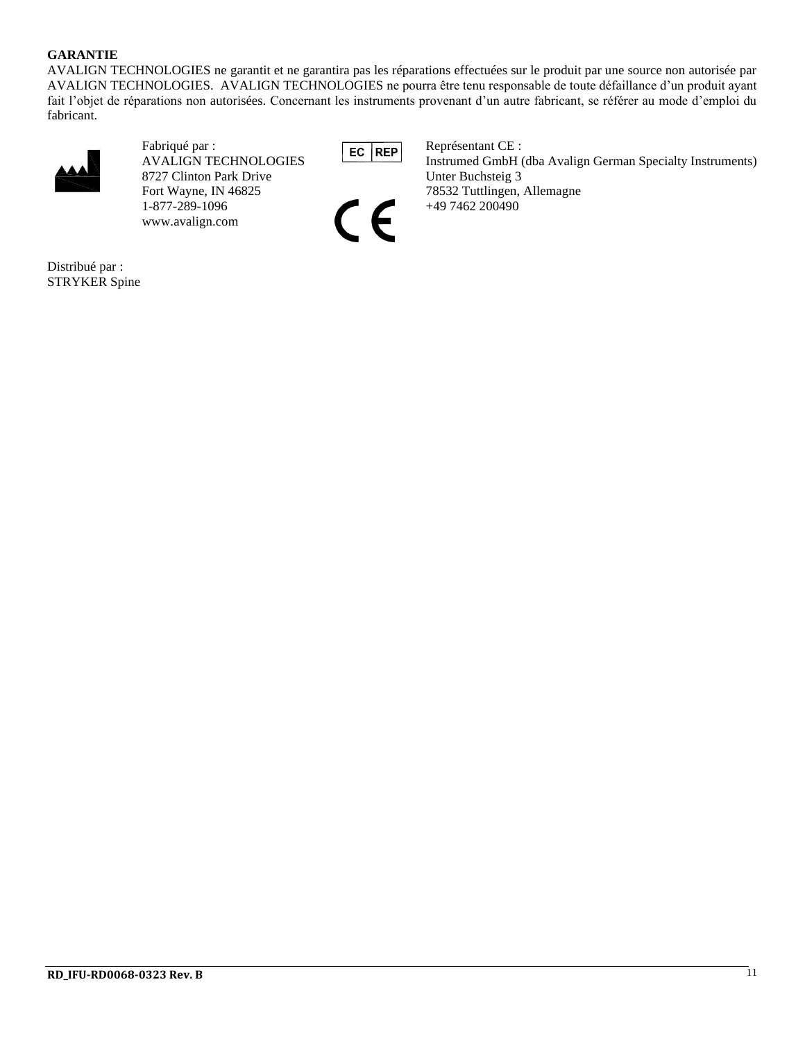#### **GARANTIE**

AVALIGN TECHNOLOGIES ne garantit et ne garantira pas les réparations effectuées sur le produit par une source non autorisée par AVALIGN TECHNOLOGIES. AVALIGN TECHNOLOGIES ne pourra être tenu responsable de toute défaillance d'un produit ayant fait l'objet de réparations non autorisées. Concernant les instruments provenant d'un autre fabricant, se référer au mode d'emploi du fabricant.



Fabriqué par :<br>AVALIGN TECHNOLOGIES EC REP Représentant CE :<br>Instrumed GmbH ( 8727 Clinton Park Drive Unter Buchsteig 3 Fort Wayne, IN 46825 78532 Tuttlingen, Allemagne 1-877-289-1096 49 7462 200490 www.avalign.com

Instrumed GmbH (dba Avalign German Specialty Instruments)  $\bigcap$  +49 7462 200490

Distribué par : STRYKER Spine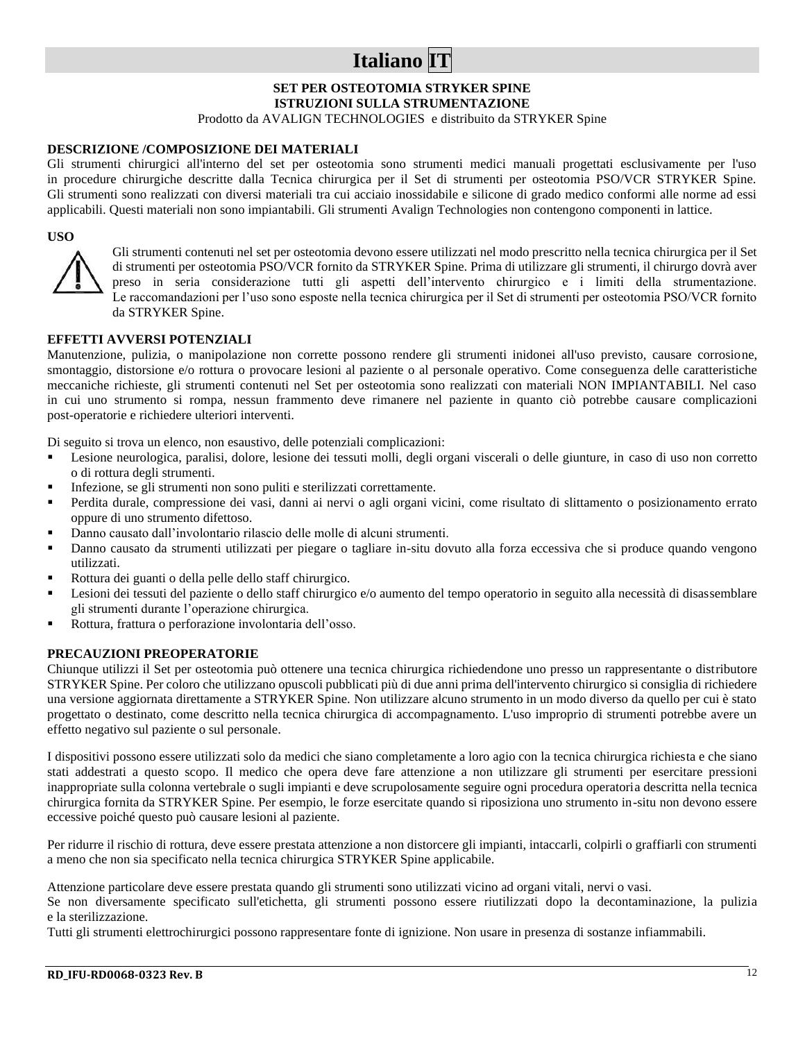## **Italiano IT**

#### **SET PER OSTEOTOMIA STRYKER SPINE ISTRUZIONI SULLA STRUMENTAZIONE**

Prodotto da AVALIGN TECHNOLOGIES e distribuito da STRYKER Spine

#### **DESCRIZIONE /COMPOSIZIONE DEI MATERIALI**

Gli strumenti chirurgici all'interno del set per osteotomia sono strumenti medici manuali progettati esclusivamente per l'uso in procedure chirurgiche descritte dalla Tecnica chirurgica per il Set di strumenti per osteotomia PSO/VCR STRYKER Spine. Gli strumenti sono realizzati con diversi materiali tra cui acciaio inossidabile e silicone di grado medico conformi alle norme ad essi applicabili. Questi materiali non sono impiantabili. Gli strumenti Avalign Technologies non contengono componenti in lattice.

#### **USO**



Gli strumenti contenuti nel set per osteotomia devono essere utilizzati nel modo prescritto nella tecnica chirurgica per il Set di strumenti per osteotomia PSO/VCR fornito da STRYKER Spine. Prima di utilizzare gli strumenti, il chirurgo dovrà aver preso in seria considerazione tutti gli aspetti dell'intervento chirurgico e i limiti della strumentazione. Le raccomandazioni per l'uso sono esposte nella tecnica chirurgica per il Set di strumenti per osteotomia PSO/VCR fornito da STRYKER Spine.

#### **EFFETTI AVVERSI POTENZIALI**

Manutenzione, pulizia, o manipolazione non corrette possono rendere gli strumenti inidonei all'uso previsto, causare corrosione, smontaggio, distorsione e/o rottura o provocare lesioni al paziente o al personale operativo. Come conseguenza delle caratteristiche meccaniche richieste, gli strumenti contenuti nel Set per osteotomia sono realizzati con materiali NON IMPIANTABILI. Nel caso in cui uno strumento si rompa, nessun frammento deve rimanere nel paziente in quanto ciò potrebbe causare complicazioni post-operatorie e richiedere ulteriori interventi.

Di seguito si trova un elenco, non esaustivo, delle potenziali complicazioni:

- Lesione neurologica, paralisi, dolore, lesione dei tessuti molli, degli organi viscerali o delle giunture, in caso di uso non corretto o di rottura degli strumenti.
- Infezione, se gli strumenti non sono puliti e sterilizzati correttamente.
- Perdita durale, compressione dei vasi, danni ai nervi o agli organi vicini, come risultato di slittamento o posizionamento errato oppure di uno strumento difettoso.
- Danno causato dall'involontario rilascio delle molle di alcuni strumenti.
- Danno causato da strumenti utilizzati per piegare o tagliare in-situ dovuto alla forza eccessiva che si produce quando vengono utilizzati.
- Rottura dei guanti o della pelle dello staff chirurgico.
- Lesioni dei tessuti del paziente o dello staff chirurgico e/o aumento del tempo operatorio in seguito alla necessità di disassemblare gli strumenti durante l'operazione chirurgica.
- Rottura, frattura o perforazione involontaria dell'osso.

#### **PRECAUZIONI PREOPERATORIE**

Chiunque utilizzi il Set per osteotomia può ottenere una tecnica chirurgica richiedendone uno presso un rappresentante o distributore STRYKER Spine. Per coloro che utilizzano opuscoli pubblicati più di due anni prima dell'intervento chirurgico si consiglia di richiedere una versione aggiornata direttamente a STRYKER Spine. Non utilizzare alcuno strumento in un modo diverso da quello per cui è stato progettato o destinato, come descritto nella tecnica chirurgica di accompagnamento. L'uso improprio di strumenti potrebbe avere un effetto negativo sul paziente o sul personale.

I dispositivi possono essere utilizzati solo da medici che siano completamente a loro agio con la tecnica chirurgica richiesta e che siano stati addestrati a questo scopo. Il medico che opera deve fare attenzione a non utilizzare gli strumenti per esercitare pressioni inappropriate sulla colonna vertebrale o sugli impianti e deve scrupolosamente seguire ogni procedura operatoria descritta nella tecnica chirurgica fornita da STRYKER Spine. Per esempio, le forze esercitate quando si riposiziona uno strumento in-situ non devono essere eccessive poiché questo può causare lesioni al paziente.

Per ridurre il rischio di rottura, deve essere prestata attenzione a non distorcere gli impianti, intaccarli, colpirli o graffiarli con strumenti a meno che non sia specificato nella tecnica chirurgica STRYKER Spine applicabile.

Attenzione particolare deve essere prestata quando gli strumenti sono utilizzati vicino ad organi vitali, nervi o vasi.

Se non diversamente specificato sull'etichetta, gli strumenti possono essere riutilizzati dopo la decontaminazione, la pulizia e la sterilizzazione.

Tutti gli strumenti elettrochirurgici possono rappresentare fonte di ignizione. Non usare in presenza di sostanze infiammabili.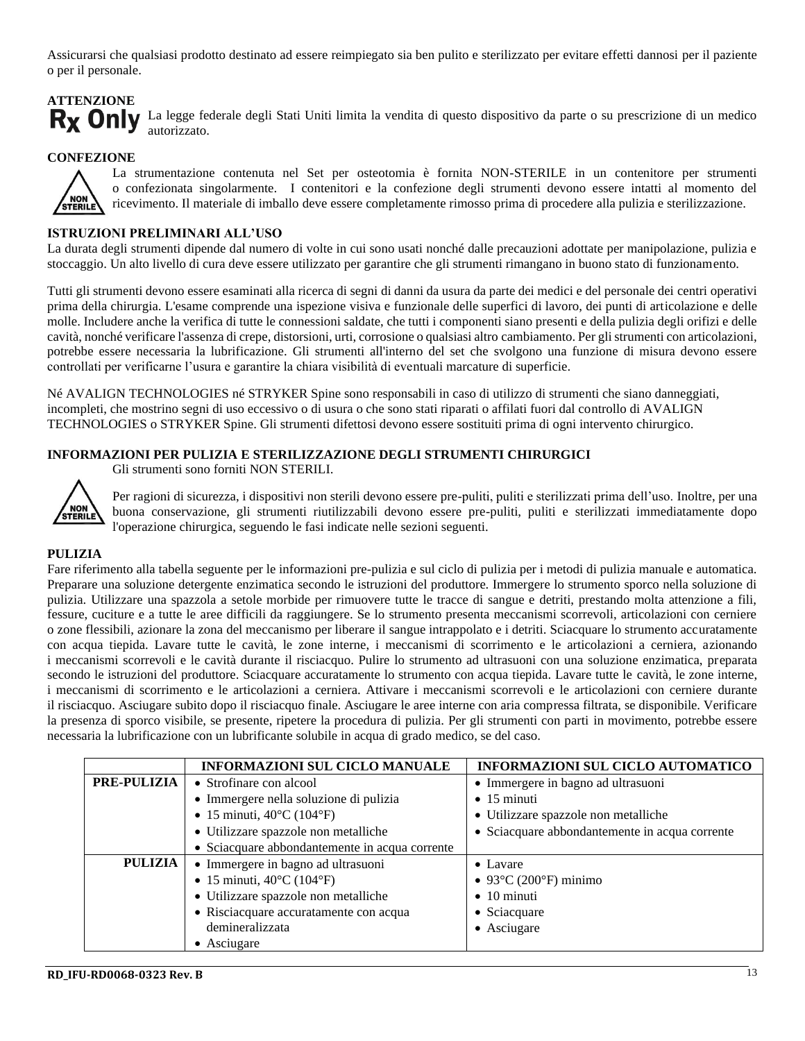Assicurarsi che qualsiasi prodotto destinato ad essere reimpiegato sia ben pulito e sterilizzato per evitare effetti dannosi per il paziente o per il personale.

## **ATTENZIONE**

Rx Only La legge federale degli Stati Uniti limita la vendita di questo dispositivo da parte o su prescrizione di un medico autorizzato.

#### **CONFEZIONE**



La strumentazione contenuta nel Set per osteotomia è fornita NON-STERILE in un contenitore per strumenti o confezionata singolarmente. I contenitori e la confezione degli strumenti devono essere intatti al momento del ricevimento. Il materiale di imballo deve essere completamente rimosso prima di procedere alla pulizia e sterilizzazione.

#### **ISTRUZIONI PRELIMINARI ALL'USO**

La durata degli strumenti dipende dal numero di volte in cui sono usati nonché dalle precauzioni adottate per manipolazione, pulizia e stoccaggio. Un alto livello di cura deve essere utilizzato per garantire che gli strumenti rimangano in buono stato di funzionamento.

Tutti gli strumenti devono essere esaminati alla ricerca di segni di danni da usura da parte dei medici e del personale dei centri operativi prima della chirurgia. L'esame comprende una ispezione visiva e funzionale delle superfici di lavoro, dei punti di articolazione e delle molle. Includere anche la verifica di tutte le connessioni saldate, che tutti i componenti siano presenti e della pulizia degli orifizi e delle cavità, nonché verificare l'assenza di crepe, distorsioni, urti, corrosione o qualsiasi altro cambiamento. Per gli strumenti con articolazioni, potrebbe essere necessaria la lubrificazione. Gli strumenti all'interno del set che svolgono una funzione di misura devono essere controllati per verificarne l'usura e garantire la chiara visibilità di eventuali marcature di superficie.

Né AVALIGN TECHNOLOGIES né STRYKER Spine sono responsabili in caso di utilizzo di strumenti che siano danneggiati, incompleti, che mostrino segni di uso eccessivo o di usura o che sono stati riparati o affilati fuori dal controllo di AVALIGN TECHNOLOGIES o STRYKER Spine. Gli strumenti difettosi devono essere sostituiti prima di ogni intervento chirurgico.

#### **INFORMAZIONI PER PULIZIA E STERILIZZAZIONE DEGLI STRUMENTI CHIRURGICI**



Gli strumenti sono forniti NON STERILI.

Per ragioni di sicurezza, i dispositivi non sterili devono essere pre-puliti, puliti e sterilizzati prima dell'uso. Inoltre, per una buona conservazione, gli strumenti riutilizzabili devono essere pre-puliti, puliti e sterilizzati immediatamente dopo l'operazione chirurgica, seguendo le fasi indicate nelle sezioni seguenti.

#### **PULIZIA**

Fare riferimento alla tabella seguente per le informazioni pre-pulizia e sul ciclo di pulizia per i metodi di pulizia manuale e automatica. Preparare una soluzione detergente enzimatica secondo le istruzioni del produttore. Immergere lo strumento sporco nella soluzione di pulizia. Utilizzare una spazzola a setole morbide per rimuovere tutte le tracce di sangue e detriti, prestando molta attenzione a fili, fessure, cuciture e a tutte le aree difficili da raggiungere. Se lo strumento presenta meccanismi scorrevoli, articolazioni con cerniere o zone flessibili, azionare la zona del meccanismo per liberare il sangue intrappolato e i detriti. Sciacquare lo strumento accuratamente con acqua tiepida. Lavare tutte le cavità, le zone interne, i meccanismi di scorrimento e le articolazioni a cerniera, azionando i meccanismi scorrevoli e le cavità durante il risciacquo. Pulire lo strumento ad ultrasuoni con una soluzione enzimatica, preparata secondo le istruzioni del produttore. Sciacquare accuratamente lo strumento con acqua tiepida. Lavare tutte le cavità, le zone interne, i meccanismi di scorrimento e le articolazioni a cerniera. Attivare i meccanismi scorrevoli e le articolazioni con cerniere durante il risciacquo. Asciugare subito dopo il risciacquo finale. Asciugare le aree interne con aria compressa filtrata, se disponibile. Verificare la presenza di sporco visibile, se presente, ripetere la procedura di pulizia. Per gli strumenti con parti in movimento, potrebbe essere necessaria la lubrificazione con un lubrificante solubile in acqua di grado medico, se del caso.

|                    | <b>INFORMAZIONI SUL CICLO MANUALE</b>          | <b>INFORMAZIONI SUL CICLO AUTOMATICO</b>                     |
|--------------------|------------------------------------------------|--------------------------------------------------------------|
| <b>PRE-PULIZIA</b> | • Strofinare con alcool                        | • Immergere in bagno ad ultrasuoni                           |
|                    | • Immergere nella soluzione di pulizia         | $\bullet$ 15 minuti                                          |
|                    | • 15 minuti, $40^{\circ}$ C (104 $^{\circ}$ F) | • Utilizzare spazzole non metalliche                         |
|                    | · Utilizzare spazzole non metalliche           | • Sciacquare abbondantemente in acqua corrente               |
|                    | • Sciacquare abbondantemente in acqua corrente |                                                              |
| PULIZIA            | • Immergere in bagno ad ultrasuoni             | $\bullet$ Lavare                                             |
|                    | • 15 minuti, $40^{\circ}$ C (104 $^{\circ}$ F) | $\bullet$ 93 $\rm{^{\circ}C}$ (200 $\rm{^{\circ}F}$ ) minimo |
|                    | • Utilizzare spazzole non metalliche           | $\bullet$ 10 minuti                                          |
|                    | • Risciacquare accuratamente con acqua         | • Sciacquare                                                 |
|                    | demineralizzata                                | • Asciugare                                                  |
|                    | $\bullet$ Asciugare                            |                                                              |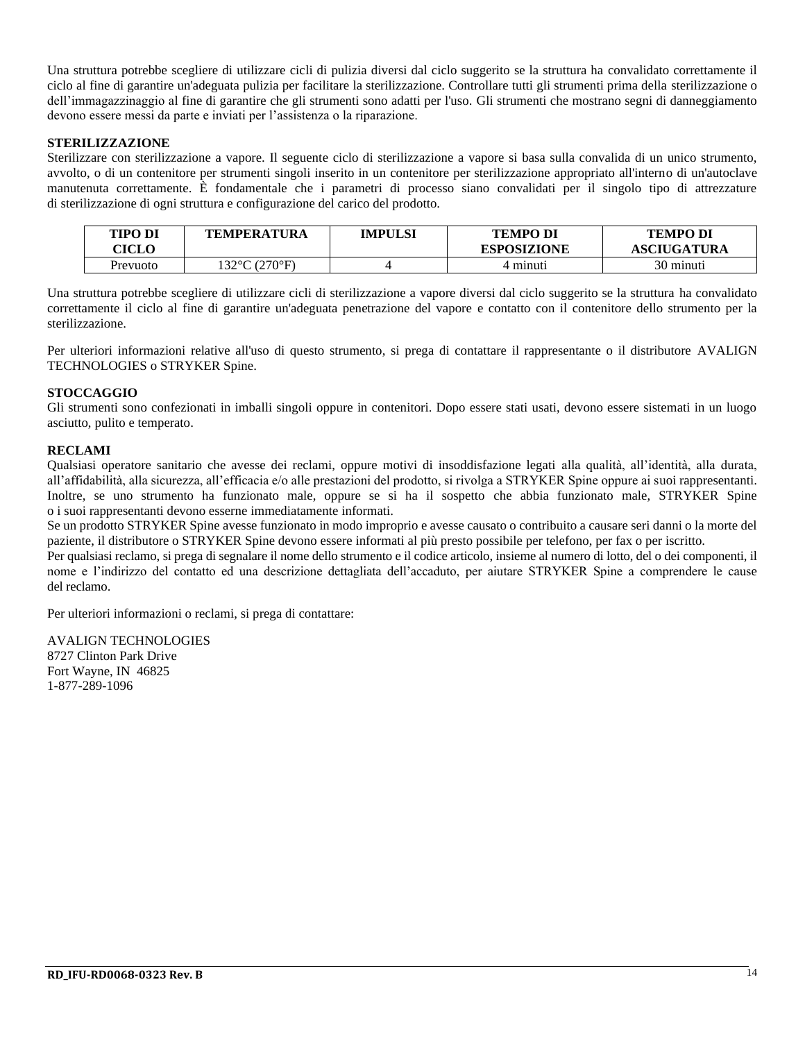Una struttura potrebbe scegliere di utilizzare cicli di pulizia diversi dal ciclo suggerito se la struttura ha convalidato correttamente il ciclo al fine di garantire un'adeguata pulizia per facilitare la sterilizzazione. Controllare tutti gli strumenti prima della sterilizzazione o dell'immagazzinaggio al fine di garantire che gli strumenti sono adatti per l'uso. Gli strumenti che mostrano segni di danneggiamento devono essere messi da parte e inviati per l'assistenza o la riparazione.

#### **STERILIZZAZIONE**

Sterilizzare con sterilizzazione a vapore. Il seguente ciclo di sterilizzazione a vapore si basa sulla convalida di un unico strumento, avvolto, o di un contenitore per strumenti singoli inserito in un contenitore per sterilizzazione appropriato all'interno di un'autoclave manutenuta correttamente. È fondamentale che i parametri di processo siano convalidati per il singolo tipo di attrezzature di sterilizzazione di ogni struttura e configurazione del carico del prodotto.

| <b>TIPO DI</b><br><b>ICLO</b> | TEMPERATURA  | IMPULSI | <b>TEMPO DI</b><br><b>ESPOSIZIONE</b> | <b>TEMPO DI</b><br><b>ASCIUGATURA</b> |
|-------------------------------|--------------|---------|---------------------------------------|---------------------------------------|
| Prevuoto                      | 32°C (270°F) |         | 4 minuti                              | 30 minuti                             |

Una struttura potrebbe scegliere di utilizzare cicli di sterilizzazione a vapore diversi dal ciclo suggerito se la struttura ha convalidato correttamente il ciclo al fine di garantire un'adeguata penetrazione del vapore e contatto con il contenitore dello strumento per la sterilizzazione.

Per ulteriori informazioni relative all'uso di questo strumento, si prega di contattare il rappresentante o il distributore AVALIGN TECHNOLOGIES o STRYKER Spine.

#### **STOCCAGGIO**

Gli strumenti sono confezionati in imballi singoli oppure in contenitori. Dopo essere stati usati, devono essere sistemati in un luogo asciutto, pulito e temperato.

#### **RECLAMI**

Qualsiasi operatore sanitario che avesse dei reclami, oppure motivi di insoddisfazione legati alla qualità, all'identità, alla durata, all'affidabilità, alla sicurezza, all'efficacia e/o alle prestazioni del prodotto, si rivolga a STRYKER Spine oppure ai suoi rappresentanti. Inoltre, se uno strumento ha funzionato male, oppure se si ha il sospetto che abbia funzionato male, STRYKER Spine o i suoi rappresentanti devono esserne immediatamente informati.

Se un prodotto STRYKER Spine avesse funzionato in modo improprio e avesse causato o contribuito a causare seri danni o la morte del paziente, il distributore o STRYKER Spine devono essere informati al più presto possibile per telefono, per fax o per iscritto.

Per qualsiasi reclamo, si prega di segnalare il nome dello strumento e il codice articolo, insieme al numero di lotto, del o dei componenti, il nome e l'indirizzo del contatto ed una descrizione dettagliata dell'accaduto, per aiutare STRYKER Spine a comprendere le cause del reclamo.

Per ulteriori informazioni o reclami, si prega di contattare:

AVALIGN TECHNOLOGIES 8727 Clinton Park Drive Fort Wayne, IN 46825 1-877-289-1096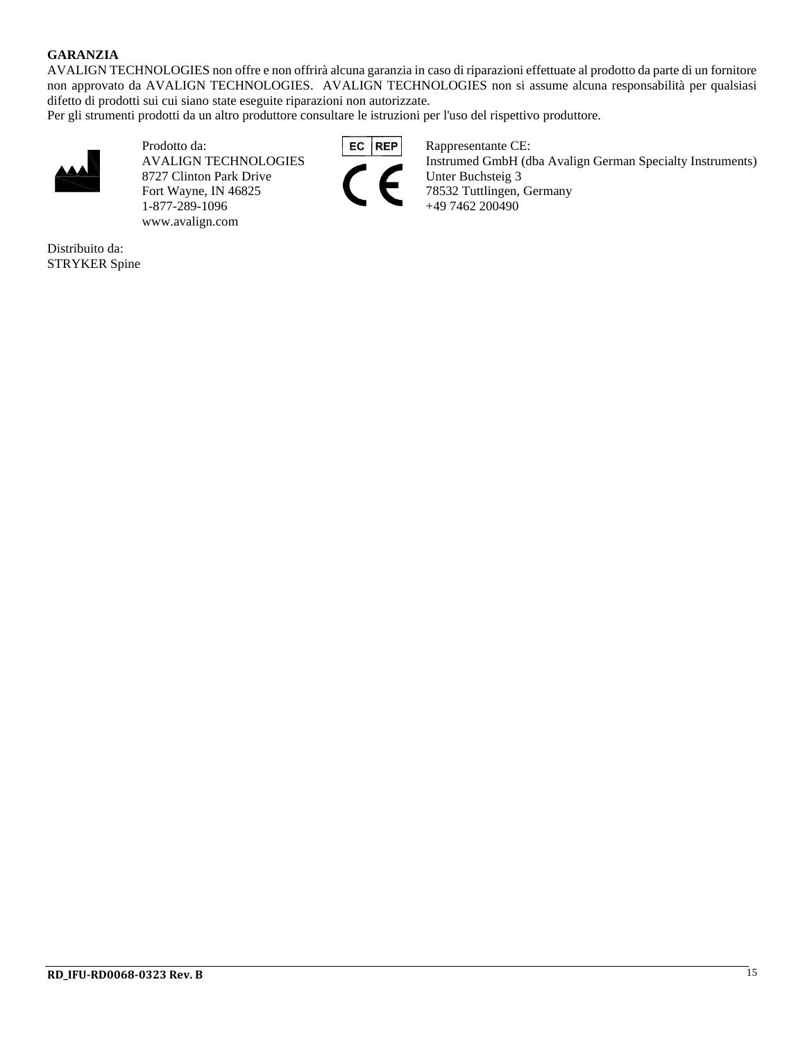#### **GARANZIA**

AVALIGN TECHNOLOGIES non offre e non offrirà alcuna garanzia in caso di riparazioni effettuate al prodotto da parte di un fornitore non approvato da AVALIGN TECHNOLOGIES. AVALIGN TECHNOLOGIES non si assume alcuna responsabilità per qualsiasi difetto di prodotti sui cui siano state eseguite riparazioni non autorizzate.

Per gli strumenti prodotti da un altro produttore consultare le istruzioni per l'uso del rispettivo produttore.



Prodotto da: **EC REP** Rappresentante CE:<br>AVALIGN TECHNOLOGIES Instrumed GmbH (d) 8727 Clinton Park Drive Fort Wayne, IN 46825 78532 Tuttlingen, Germany<br>1-877-289-1096 +49 7462 200490 1-877-289-1096 www.avalign.com

Distribuito da: STRYKER Spine



Instrumed GmbH (dba Avalign German Specialty Instruments)<br>Unter Buchsteig 3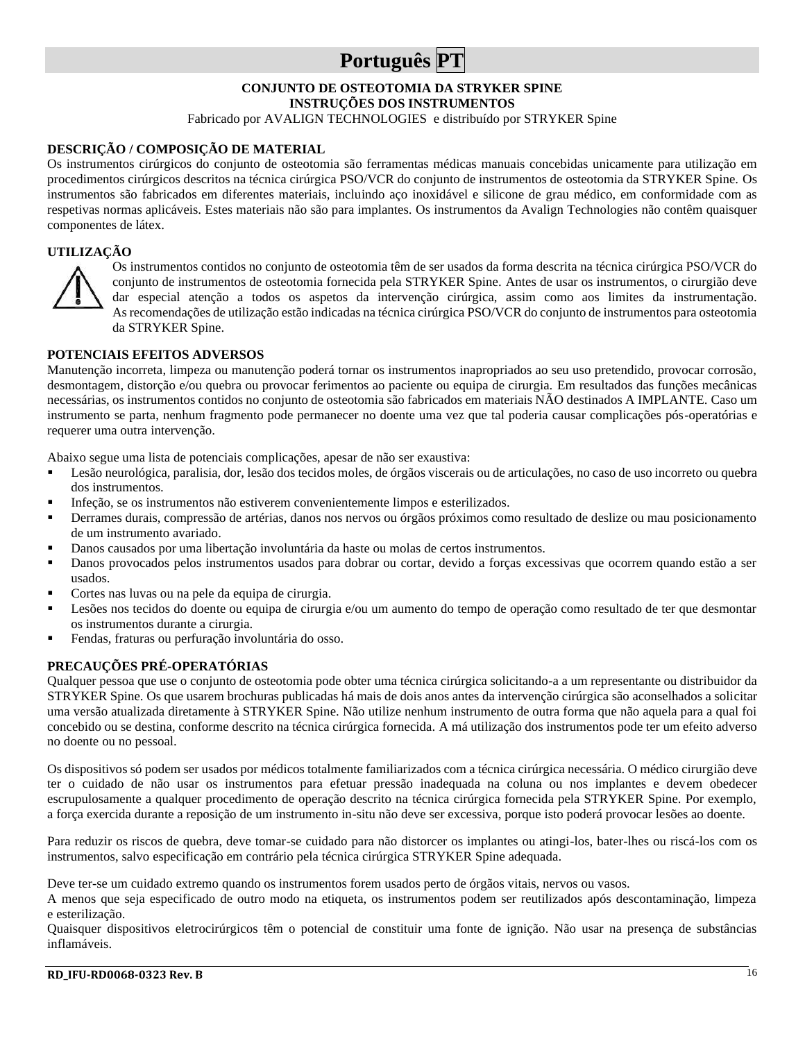## **Português PT**

## **CONJUNTO DE OSTEOTOMIA DA STRYKER SPINE**

**INSTRUÇÕES DOS INSTRUMENTOS**

Fabricado por AVALIGN TECHNOLOGIES e distribuído por STRYKER Spine

#### **DESCRIÇÃO / COMPOSIÇÃO DE MATERIAL**

Os instrumentos cirúrgicos do conjunto de osteotomia são ferramentas médicas manuais concebidas unicamente para utilização em procedimentos cirúrgicos descritos na técnica cirúrgica PSO/VCR do conjunto de instrumentos de osteotomia da STRYKER Spine. Os instrumentos são fabricados em diferentes materiais, incluindo aço inoxidável e silicone de grau médico, em conformidade com as respetivas normas aplicáveis. Estes materiais não são para implantes. Os instrumentos da Avalign Technologies não contêm quaisquer componentes de látex.

#### **UTILIZAÇÃO**



Os instrumentos contidos no conjunto de osteotomia têm de ser usados da forma descrita na técnica cirúrgica PSO/VCR do conjunto de instrumentos de osteotomia fornecida pela STRYKER Spine. Antes de usar os instrumentos, o cirurgião deve dar especial atenção a todos os aspetos da intervenção cirúrgica, assim como aos limites da instrumentação. As recomendações de utilização estão indicadas na técnica cirúrgica PSO/VCR do conjunto de instrumentos para osteotomia da STRYKER Spine.

#### **POTENCIAIS EFEITOS ADVERSOS**

Manutenção incorreta, limpeza ou manutenção poderá tornar os instrumentos inapropriados ao seu uso pretendido, provocar corrosão, desmontagem, distorção e/ou quebra ou provocar ferimentos ao paciente ou equipa de cirurgia. Em resultados das funções mecânicas necessárias, os instrumentos contidos no conjunto de osteotomia são fabricados em materiais NÃO destinados A IMPLANTE. Caso um instrumento se parta, nenhum fragmento pode permanecer no doente uma vez que tal poderia causar complicações pós-operatórias e requerer uma outra intervenção.

Abaixo segue uma lista de potenciais complicações, apesar de não ser exaustiva:

- Lesão neurológica, paralisia, dor, lesão dos tecidos moles, de órgãos viscerais ou de articulações, no caso de uso incorreto ou quebra dos instrumentos.
- Infeção, se os instrumentos não estiverem convenientemente limpos e esterilizados.
- Derrames durais, compressão de artérias, danos nos nervos ou órgãos próximos como resultado de deslize ou mau posicionamento de um instrumento avariado.
- Danos causados por uma libertação involuntária da haste ou molas de certos instrumentos.
- Danos provocados pelos instrumentos usados para dobrar ou cortar, devido a forças excessivas que ocorrem quando estão a ser usados.
- Cortes nas luvas ou na pele da equipa de cirurgia.
- Lesões nos tecidos do doente ou equipa de cirurgia e/ou um aumento do tempo de operação como resultado de ter que desmontar os instrumentos durante a cirurgia.
- Fendas, fraturas ou perfuração involuntária do osso.

#### **PRECAUÇÕES PRÉ-OPERATÓRIAS**

Qualquer pessoa que use o conjunto de osteotomia pode obter uma técnica cirúrgica solicitando-a a um representante ou distribuidor da STRYKER Spine. Os que usarem brochuras publicadas há mais de dois anos antes da intervenção cirúrgica são aconselhados a solicitar uma versão atualizada diretamente à STRYKER Spine. Não utilize nenhum instrumento de outra forma que não aquela para a qual foi concebido ou se destina, conforme descrito na técnica cirúrgica fornecida. A má utilização dos instrumentos pode ter um efeito adverso no doente ou no pessoal.

Os dispositivos só podem ser usados por médicos totalmente familiarizados com a técnica cirúrgica necessária. O médico cirurgião deve ter o cuidado de não usar os instrumentos para efetuar pressão inadequada na coluna ou nos implantes e devem obedecer escrupulosamente a qualquer procedimento de operação descrito na técnica cirúrgica fornecida pela STRYKER Spine. Por exemplo, a força exercida durante a reposição de um instrumento in-situ não deve ser excessiva, porque isto poderá provocar lesões ao doente.

Para reduzir os riscos de quebra, deve tomar-se cuidado para não distorcer os implantes ou atingi-los, bater-lhes ou riscá-los com os instrumentos, salvo especificação em contrário pela técnica cirúrgica STRYKER Spine adequada.

Deve ter-se um cuidado extremo quando os instrumentos forem usados perto de órgãos vitais, nervos ou vasos.

A menos que seja especificado de outro modo na etiqueta, os instrumentos podem ser reutilizados após descontaminação, limpeza e esterilização.

Quaisquer dispositivos eletrocirúrgicos têm o potencial de constituir uma fonte de ignição. Não usar na presença de substâncias inflamáveis.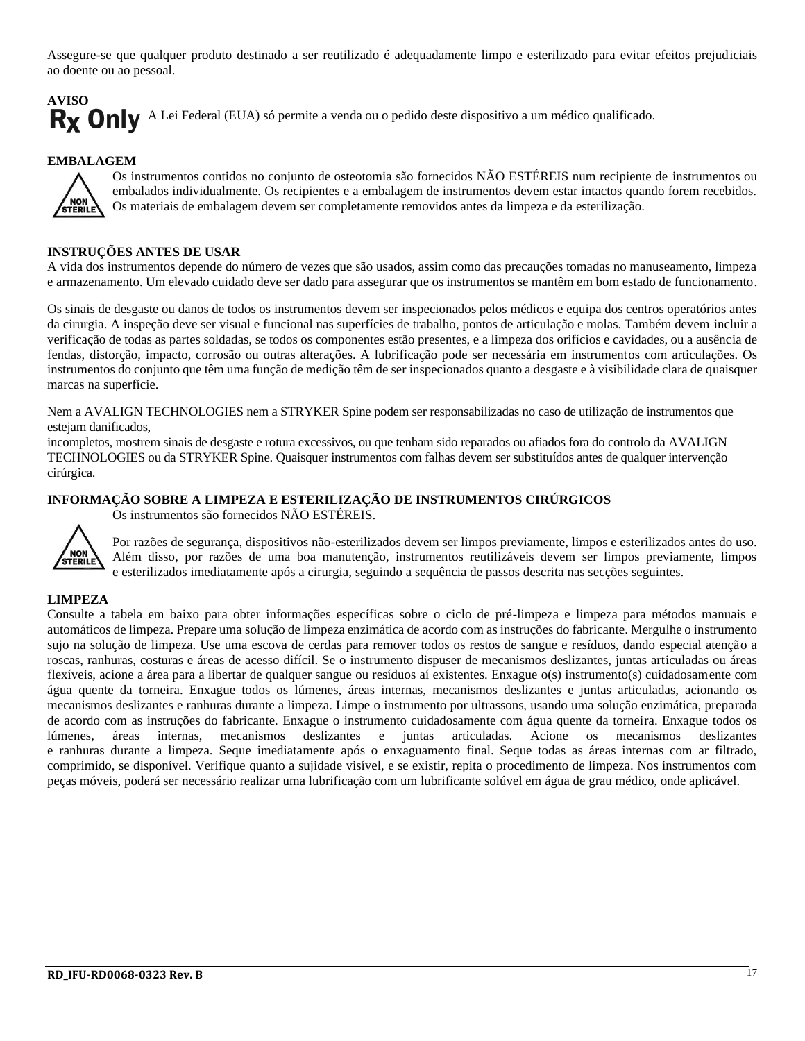Assegure-se que qualquer produto destinado a ser reutilizado é adequadamente limpo e esterilizado para evitar efeitos prejudiciais ao doente ou ao pessoal.

## **AVISO** Rx Only A Lei Federal (EUA) só permite a venda ou o pedido deste dispositivo a um médico qualificado.

#### **EMBALAGEM**



Os instrumentos contidos no conjunto de osteotomia são fornecidos NÃO ESTÉREIS num recipiente de instrumentos ou embalados individualmente. Os recipientes e a embalagem de instrumentos devem estar intactos quando forem recebidos. Os materiais de embalagem devem ser completamente removidos antes da limpeza e da esterilização.

#### **INSTRUÇÕES ANTES DE USAR**

A vida dos instrumentos depende do número de vezes que são usados, assim como das precauções tomadas no manuseamento, limpeza e armazenamento. Um elevado cuidado deve ser dado para assegurar que os instrumentos se mantêm em bom estado de funcionamento.

Os sinais de desgaste ou danos de todos os instrumentos devem ser inspecionados pelos médicos e equipa dos centros operatórios antes da cirurgia. A inspeção deve ser visual e funcional nas superfícies de trabalho, pontos de articulação e molas. Também devem incluir a verificação de todas as partes soldadas, se todos os componentes estão presentes, e a limpeza dos orifícios e cavidades, ou a ausência de fendas, distorção, impacto, corrosão ou outras alterações. A lubrificação pode ser necessária em instrumentos com articulações. Os instrumentos do conjunto que têm uma função de medição têm de ser inspecionados quanto a desgaste e à visibilidade clara de quaisquer marcas na superfície.

Nem a AVALIGN TECHNOLOGIES nem a STRYKER Spine podem ser responsabilizadas no caso de utilização de instrumentos que estejam danificados,

incompletos, mostrem sinais de desgaste e rotura excessivos, ou que tenham sido reparados ou afiados fora do controlo da AVALIGN TECHNOLOGIES ou da STRYKER Spine. Quaisquer instrumentos com falhas devem ser substituídos antes de qualquer intervenção cirúrgica.

#### **INFORMAÇÃO SOBRE A LIMPEZA E ESTERILIZAÇÃO DE INSTRUMENTOS CIRÚRGICOS**

Os instrumentos são fornecidos NÃO ESTÉREIS.



Por razões de segurança, dispositivos não-esterilizados devem ser limpos previamente, limpos e esterilizados antes do uso. Além disso, por razões de uma boa manutenção, instrumentos reutilizáveis devem ser limpos previamente, limpos e esterilizados imediatamente após a cirurgia, seguindo a sequência de passos descrita nas secções seguintes.

#### **LIMPEZA**

Consulte a tabela em baixo para obter informações específicas sobre o ciclo de pré-limpeza e limpeza para métodos manuais e automáticos de limpeza. Prepare uma solução de limpeza enzimática de acordo com as instruções do fabricante. Mergulhe o instrumento sujo na solução de limpeza. Use uma escova de cerdas para remover todos os restos de sangue e resíduos, dando especial atenção a roscas, ranhuras, costuras e áreas de acesso difícil. Se o instrumento dispuser de mecanismos deslizantes, juntas articuladas ou áreas flexíveis, acione a área para a libertar de qualquer sangue ou resíduos aí existentes. Enxague o(s) instrumento(s) cuidadosamente com água quente da torneira. Enxague todos os lúmenes, áreas internas, mecanismos deslizantes e juntas articuladas, acionando os mecanismos deslizantes e ranhuras durante a limpeza. Limpe o instrumento por ultrassons, usando uma solução enzimática, preparada de acordo com as instruções do fabricante. Enxague o instrumento cuidadosamente com água quente da torneira. Enxague todos os lúmenes, áreas internas, mecanismos deslizantes e juntas articuladas. Acione os mecanismos deslizantes e ranhuras durante a limpeza. Seque imediatamente após o enxaguamento final. Seque todas as áreas internas com ar filtrado, comprimido, se disponível. Verifique quanto a sujidade visível, e se existir, repita o procedimento de limpeza. Nos instrumentos com peças móveis, poderá ser necessário realizar uma lubrificação com um lubrificante solúvel em água de grau médico, onde aplicável.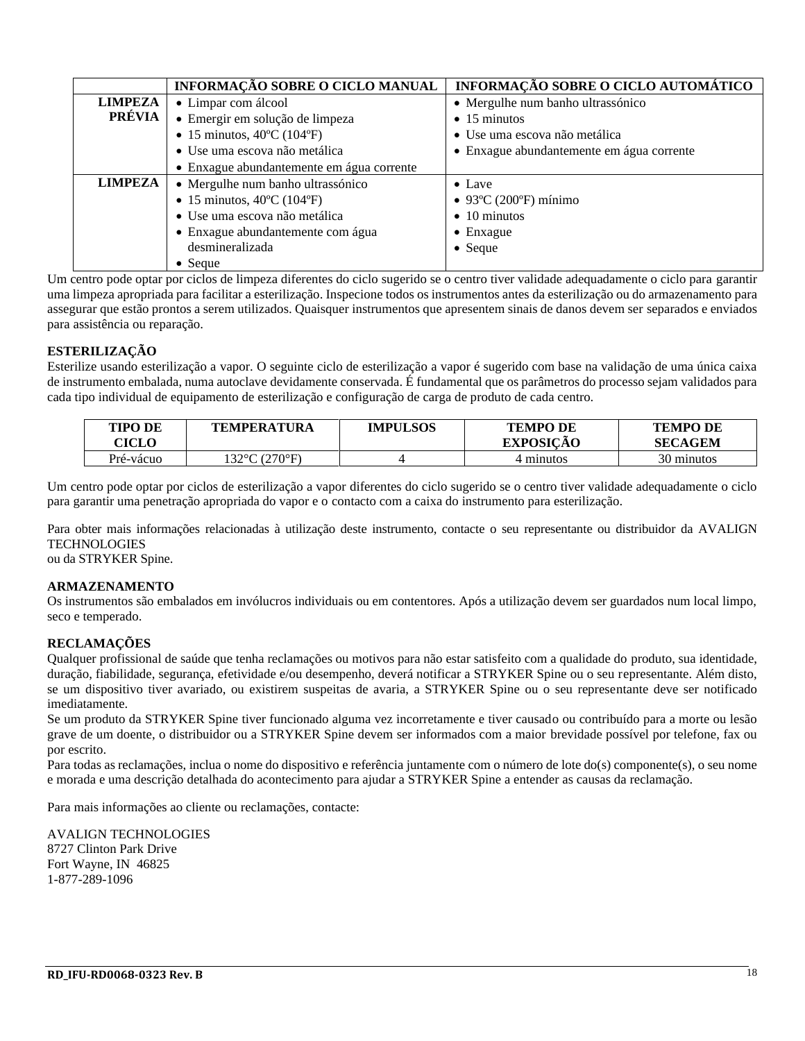|                | INFORMAÇÃO SOBRE O CICLO MANUAL                 | INFORMAÇÃO SOBRE O CICLO AUTOMÁTICO       |
|----------------|-------------------------------------------------|-------------------------------------------|
| <b>LIMPEZA</b> | • Limpar com álcool                             | • Mergulhe num banho ultrassónico         |
| PRÉVIA         | · Emergir em solução de limpeza                 | $\bullet$ 15 minutos                      |
|                | • 15 minutos, $40^{\circ}$ C (104 $^{\circ}$ F) | • Use uma escova não metálica             |
|                | · Use uma escova não metálica                   | • Enxague abundantemente em água corrente |
|                | • Enxague abundantemente em água corrente       |                                           |
| <b>LIMPEZA</b> | • Mergulhe num banho ultrassónico               | $\bullet$ Lave                            |
|                | • 15 minutos, $40^{\circ}$ C (104 $^{\circ}$ F) | $\bullet$ 93°C (200°F) mínimo             |
|                | · Use uma escova não metálica                   | $\bullet$ 10 minutos                      |
|                | • Enxague abundantemente com água               | $\bullet$ Enxague                         |
|                | desmineralizada                                 | $\bullet$ Seque                           |
|                | $\bullet$ Seque                                 |                                           |

Um centro pode optar por ciclos de limpeza diferentes do ciclo sugerido se o centro tiver validade adequadamente o ciclo para garantir uma limpeza apropriada para facilitar a esterilização. Inspecione todos os instrumentos antes da esterilização ou do armazenamento para assegurar que estão prontos a serem utilizados. Quaisquer instrumentos que apresentem sinais de danos devem ser separados e enviados para assistência ou reparação.

#### **ESTERILIZAÇÃO**

Esterilize usando esterilização a vapor. O seguinte ciclo de esterilização a vapor é sugerido com base na validação de uma única caixa de instrumento embalada, numa autoclave devidamente conservada. É fundamental que os parâmetros do processo sejam validados para cada tipo individual de equipamento de esterilização e configuração de carga de produto de cada centro.

| TIPO DE<br>CICLO | <b>TEMPERATURA</b> | <b>IMPULSOS</b> | <b>TEMPO DE</b><br><b>EXPOSICAO</b> | <b>TEMPO DE</b><br><b>SECAGEM</b> |
|------------------|--------------------|-----------------|-------------------------------------|-----------------------------------|
| Pré-vácuo        | 132°C (270°F).     |                 | 4 minutos                           | 30 minutos                        |

Um centro pode optar por ciclos de esterilização a vapor diferentes do ciclo sugerido se o centro tiver validade adequadamente o ciclo para garantir uma penetração apropriada do vapor e o contacto com a caixa do instrumento para esterilização.

Para obter mais informações relacionadas à utilização deste instrumento, contacte o seu representante ou distribuidor da AVALIGN TECHNOLOGIES

ou da STRYKER Spine.

#### **ARMAZENAMENTO**

Os instrumentos são embalados em invólucros individuais ou em contentores. Após a utilização devem ser guardados num local limpo, seco e temperado.

#### **RECLAMAÇÕES**

Qualquer profissional de saúde que tenha reclamações ou motivos para não estar satisfeito com a qualidade do produto, sua identidade, duração, fiabilidade, segurança, efetividade e/ou desempenho, deverá notificar a STRYKER Spine ou o seu representante. Além disto, se um dispositivo tiver avariado, ou existirem suspeitas de avaria, a STRYKER Spine ou o seu representante deve ser notificado imediatamente.

Se um produto da STRYKER Spine tiver funcionado alguma vez incorretamente e tiver causado ou contribuído para a morte ou lesão grave de um doente, o distribuidor ou a STRYKER Spine devem ser informados com a maior brevidade possível por telefone, fax ou por escrito.

Para todas as reclamações, inclua o nome do dispositivo e referência juntamente com o número de lote do(s) componente(s), o seu nome e morada e uma descrição detalhada do acontecimento para ajudar a STRYKER Spine a entender as causas da reclamação.

Para mais informações ao cliente ou reclamações, contacte:

AVALIGN TECHNOLOGIES 8727 Clinton Park Drive Fort Wayne, IN 46825 1-877-289-1096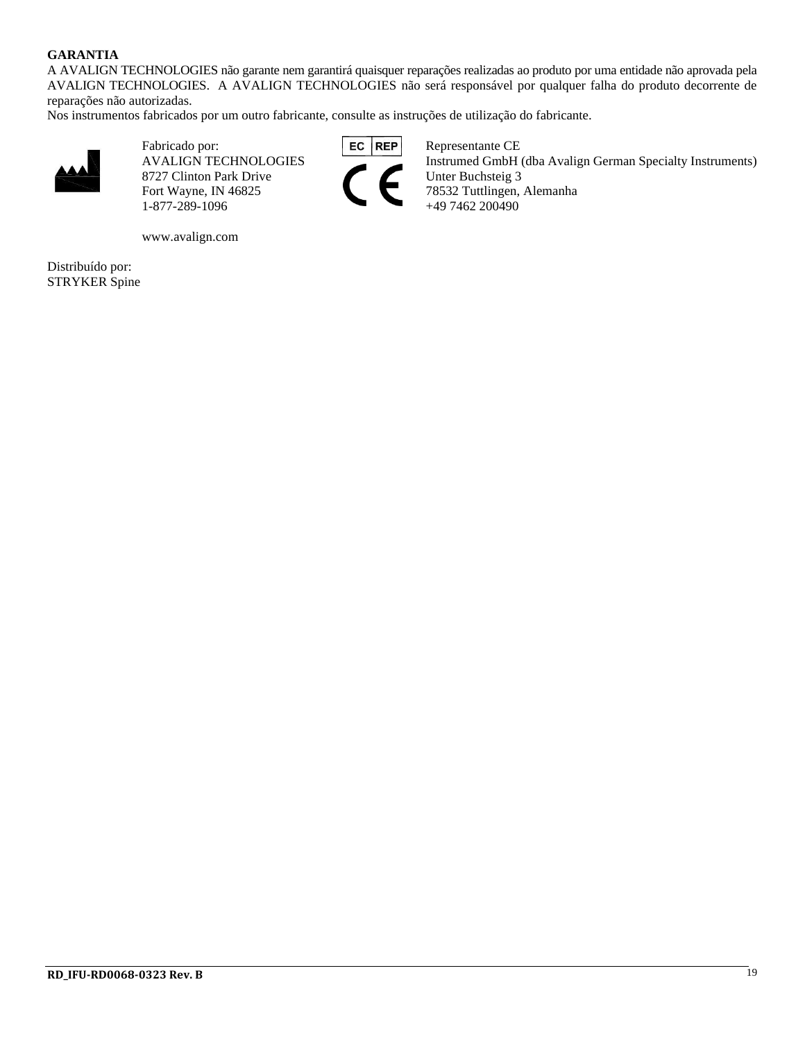#### **GARANTIA**

A AVALIGN TECHNOLOGIES não garante nem garantirá quaisquer reparações realizadas ao produto por uma entidade não aprovada pela AVALIGN TECHNOLOGIES. A AVALIGN TECHNOLOGIES não será responsável por qualquer falha do produto decorrente de reparações não autorizadas.

Nos instrumentos fabricados por um outro fabricante, consulte as instruções de utilização do fabricante.



Fabricado por:<br>AVALIGN TECHNOLOGIES FOR THE Representante CE 8727 Clinton Park Drive Unter Buchsteig 3 1-877-289-1096

www.avalign.com

Distribuído por: STRYKER Spine



Instrumed GmbH (dba Avalign German Specialty Instruments) Fort Wayne, IN 46825 78532 Tuttlingen, Alemanha<br>1-877-289-1096 +49 7462 200490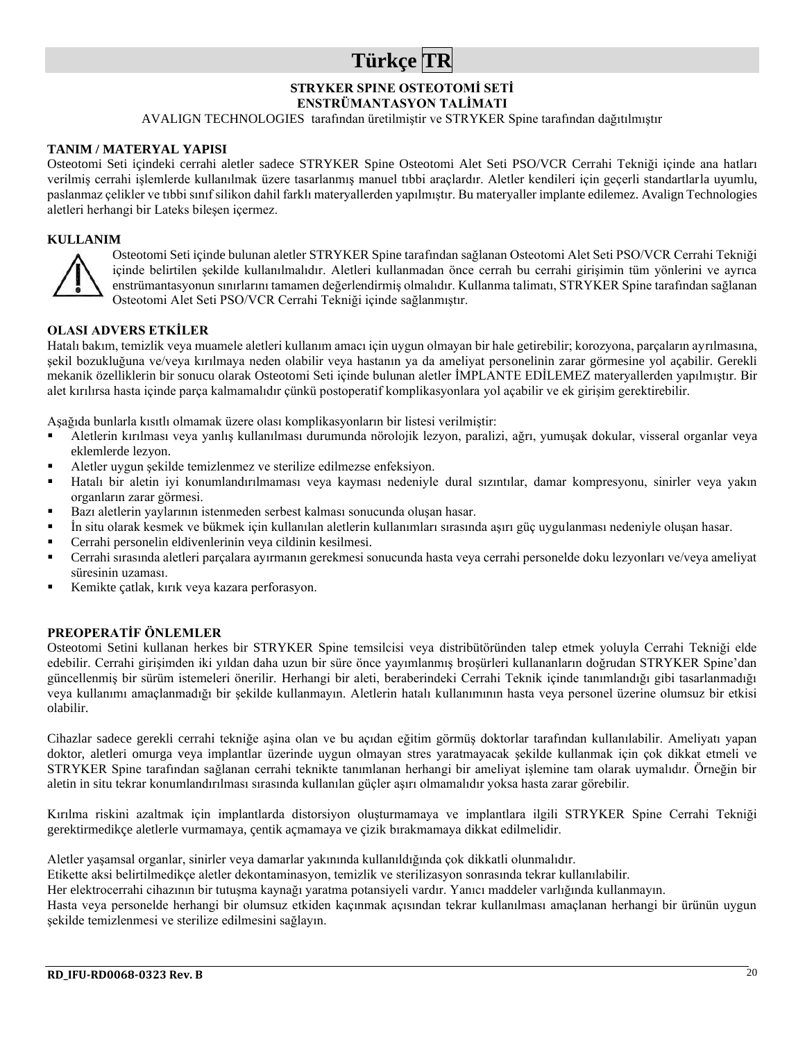## **Türkçe TR**

### **STRYKER SPINE OSTEOTOMİ SETİ**

**ENSTRÜMANTASYON TALİMATI**

AVALIGN TECHNOLOGIES tarafından üretilmiştir ve STRYKER Spine tarafından dağıtılmıştır

#### **TANIM / MATERYAL YAPISI**

Osteotomi Seti içindeki cerrahi aletler sadece STRYKER Spine Osteotomi Alet Seti PSO/VCR Cerrahi Tekniği içinde ana hatları verilmiş cerrahi işlemlerde kullanılmak üzere tasarlanmış manuel tıbbi araçlardır. Aletler kendileri için geçerli standartlarla uyumlu, paslanmaz çelikler ve tıbbi sınıf silikon dahil farklı materyallerden yapılmıştır. Bu materyaller implante edilemez. Avalign Technologies aletleri herhangi bir Lateks bileşen içermez.

#### **KULLANIM**



Osteotomi Seti içinde bulunan aletler STRYKER Spine tarafından sağlanan Osteotomi Alet Seti PSO/VCR Cerrahi Tekniği içinde belirtilen şekilde kullanılmalıdır. Aletleri kullanmadan önce cerrah bu cerrahi girişimin tüm yönlerini ve ayrıca enstrümantasyonun sınırlarını tamamen değerlendirmiş olmalıdır. Kullanma talimatı, STRYKER Spine tarafından sağlanan Osteotomi Alet Seti PSO/VCR Cerrahi Tekniği içinde sağlanmıştır.

#### **OLASI ADVERS ETKİLER**

Hatalı bakım, temizlik veya muamele aletleri kullanım amacı için uygun olmayan bir hale getirebilir; korozyona, parçaların ayrılmasına, şekil bozukluğuna ve/veya kırılmaya neden olabilir veya hastanın ya da ameliyat personelinin zarar görmesine yol açabilir. Gerekli mekanik özelliklerin bir sonucu olarak Osteotomi Seti içinde bulunan aletler İMPLANTE EDİLEMEZ materyallerden yapılmıştır. Bir alet kırılırsa hasta içinde parça kalmamalıdır çünkü postoperatif komplikasyonlara yol açabilir ve ek girişim gerektirebilir.

Aşağıda bunlarla kısıtlı olmamak üzere olası komplikasyonların bir listesi verilmiştir:

- Aletlerin kırılması veya yanlış kullanılması durumunda nörolojik lezyon, paralizi, ağrı, yumuşak dokular, visseral organlar veya eklemlerde lezyon.
- Aletler uygun şekilde temizlenmez ve sterilize edilmezse enfeksiyon.
- Hatalı bir aletin iyi konumlandırılmaması veya kayması nedeniyle dural sızıntılar, damar kompresyonu, sinirler veya yakın organların zarar görmesi.
- Bazı aletlerin yaylarının istenmeden serbest kalması sonucunda oluşan hasar.
- İn situ olarak kesmek ve bükmek için kullanılan aletlerin kullanımları sırasında aşırı güç uygulanması nedeniyle oluşan hasar.
- Cerrahi personelin eldivenlerinin veya cildinin kesilmesi.
- Cerrahi sırasında aletleri parçalara ayırmanın gerekmesi sonucunda hasta veya cerrahi personelde doku lezyonları ve/veya ameliyat süresinin uzaması.
- Kemikte çatlak, kırık veya kazara perforasyon.

#### **PREOPERATİF ÖNLEMLER**

Osteotomi Setini kullanan herkes bir STRYKER Spine temsilcisi veya distribütöründen talep etmek yoluyla Cerrahi Tekniği elde edebilir. Cerrahi girişimden iki yıldan daha uzun bir süre önce yayımlanmış broşürleri kullananların doğrudan STRYKER Spine'dan güncellenmiş bir sürüm istemeleri önerilir. Herhangi bir aleti, beraberindeki Cerrahi Teknik içinde tanımlandığı gibi tasarlanmadığı veya kullanımı amaçlanmadığı bir şekilde kullanmayın. Aletlerin hatalı kullanımının hasta veya personel üzerine olumsuz bir etkisi olabilir.

Cihazlar sadece gerekli cerrahi tekniğe aşina olan ve bu açıdan eğitim görmüş doktorlar tarafından kullanılabilir. Ameliyatı yapan doktor, aletleri omurga veya implantlar üzerinde uygun olmayan stres yaratmayacak şekilde kullanmak için çok dikkat etmeli ve STRYKER Spine tarafından sağlanan cerrahi teknikte tanımlanan herhangi bir ameliyat işlemine tam olarak uymalıdır. Örneğin bir aletin in situ tekrar konumlandırılması sırasında kullanılan güçler aşırı olmamalıdır yoksa hasta zarar görebilir.

Kırılma riskini azaltmak için implantlarda distorsiyon oluşturmamaya ve implantlara ilgili STRYKER Spine Cerrahi Tekniği gerektirmedikçe aletlerle vurmamaya, çentik açmamaya ve çizik bırakmamaya dikkat edilmelidir.

Aletler yaşamsal organlar, sinirler veya damarlar yakınında kullanıldığında çok dikkatli olunmalıdır.

Etikette aksi belirtilmedikçe aletler dekontaminasyon, temizlik ve sterilizasyon sonrasında tekrar kullanılabilir.

Her elektrocerrahi cihazının bir tutuşma kaynağı yaratma potansiyeli vardır. Yanıcı maddeler varlığında kullanmayın.

Hasta veya personelde herhangi bir olumsuz etkiden kaçınmak açısından tekrar kullanılması amaçlanan herhangi bir ürünün uygun şekilde temizlenmesi ve sterilize edilmesini sağlayın.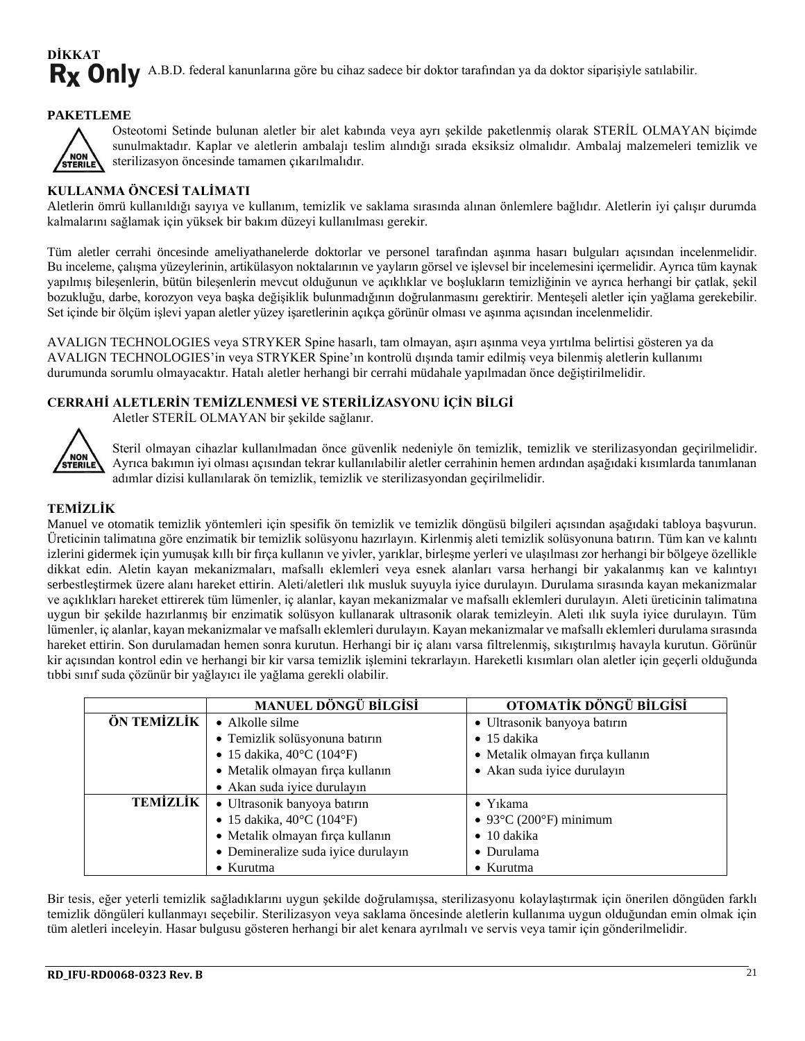## **DİKKAT** Rx Only A.B.D. federal kanunlarına göre bu cihaz sadece bir doktor tarafından ya da doktor siparişiyle satılabilir.

#### **PAKETLEME**



Osteotomi Setinde bulunan aletler bir alet kabında veya ayrı şekilde paketlenmiş olarak STERİL OLMAYAN biçimde sunulmaktadır. Kaplar ve aletlerin ambalajı teslim alındığı sırada eksiksiz olmalıdır. Ambalaj malzemeleri temizlik ve sterilizasyon öncesinde tamamen çıkarılmalıdır.

#### **KULLANMA ÖNCESİ TALİMATI**

Aletlerin ömrü kullanıldığı sayıya ve kullanım, temizlik ve saklama sırasında alınan önlemlere bağlıdır. Aletlerin iyi çalışır durumda kalmalarını sağlamak için yüksek bir bakım düzeyi kullanılması gerekir.

Tüm aletler cerrahi öncesinde ameliyathanelerde doktorlar ve personel tarafından aşınma hasarı bulguları açısından incelenmelidir. Bu inceleme, çalışma yüzeylerinin, artikülasyon noktalarının ve yayların görsel ve işlevsel bir incelemesini içermelidir. Ayrıca tüm kaynak yapılmış bileşenlerin, bütün bileşenlerin mevcut olduğunun ve açıklıklar ve boşlukların temizliğinin ve ayrıca herhangi bir çatlak, şekil bozukluğu, darbe, korozyon veya başka değişiklik bulunmadığının doğrulanmasını gerektirir. Menteşeli aletler için yağlama gerekebilir. Set içinde bir ölçüm işlevi yapan aletler yüzey işaretlerinin açıkça görünür olması ve aşınma açısından incelenmelidir.

AVALIGN TECHNOLOGIES veya STRYKER Spine hasarlı, tam olmayan, aşırı aşınma veya yırtılma belirtisi gösteren ya da AVALIGN TECHNOLOGIES'in veya STRYKER Spine'ın kontrolü dışında tamir edilmiş veya bilenmiş aletlerin kullanımı durumunda sorumlu olmayacaktır. Hatalı aletler herhangi bir cerrahi müdahale yapılmadan önce değiştirilmelidir.

#### **CERRAHİ ALETLERİN TEMİZLENMESİ VE STERİLİZASYONU İÇİN BİLGİ**

Aletler STERİL OLMAYAN bir şekilde sağlanır.



Steril olmayan cihazlar kullanılmadan önce güvenlik nedeniyle ön temizlik, temizlik ve sterilizasyondan geçirilmelidir. Ayrıca bakımın iyi olması açısından tekrar kullanılabilir aletler cerrahinin hemen ardından aşağıdaki kısımlarda tanımlanan adımlar dizisi kullanılarak ön temizlik, temizlik ve sterilizasyondan geçirilmelidir.

#### **TEMİZLİK**

Manuel ve otomatik temizlik yöntemleri için spesifik ön temizlik ve temizlik döngüsü bilgileri açısından aşağıdaki tabloya başvurun. Üreticinin talimatına göre enzimatik bir temizlik solüsyonu hazırlayın. Kirlenmiş aleti temizlik solüsyonuna batırın. Tüm kan ve kalıntı izlerini gidermek için yumuşak kıllı bir fırça kullanın ve yivler, yarıklar, birleşme yerleri ve ulaşılması zor herhangi bir bölgeye özellikle dikkat edin. Aletin kayan mekanizmaları, mafsallı eklemleri veya esnek alanları varsa herhangi bir yakalanmış kan ve kalıntıyı serbestleştirmek üzere alanı hareket ettirin. Aleti/aletleri ılık musluk suyuyla iyice durulayın. Durulama sırasında kayan mekanizmalar ve açıklıkları hareket ettirerek tüm lümenler, iç alanlar, kayan mekanizmalar ve mafsallı eklemleri durulayın. Aleti üreticinin talimatına uygun bir şekilde hazırlanmış bir enzimatik solüsyon kullanarak ultrasonik olarak temizleyin. Aleti ılık suyla iyice durulayın. Tüm lümenler, iç alanlar, kayan mekanizmalar ve mafsallı eklemleri durulayın. Kayan mekanizmalar ve mafsallı eklemleri durulama sırasında hareket ettirin. Son durulamadan hemen sonra kurutun. Herhangi bir iç alanı varsa filtrelenmiş, sıkıştırılmış havayla kurutun. Görünür kir açısından kontrol edin ve herhangi bir kir varsa temizlik işlemini tekrarlayın. Hareketli kısımları olan aletler için geçerli olduğunda tıbbi sınıf suda çözünür bir yağlayıcı ile yağlama gerekli olabilir.

|                 | <b>MANUEL DÖNGÜ BİLGİSİ</b>                    | OTOMATİK DÖNGÜ BİLGİSİ           |  |
|-----------------|------------------------------------------------|----------------------------------|--|
| ÖN TEMİZLİK     | • Alkolle silme                                | • Ultrasonik banyoya batırın     |  |
|                 | · Temizlik solüsyonuna batırın                 | $\bullet$ 15 dakika              |  |
|                 | • 15 dakika, $40^{\circ}$ C (104 $^{\circ}$ F) | • Metalik olmayan fırça kullanın |  |
|                 | · Metalik olmayan fırça kullanın               | • Akan suda iyice durulayın      |  |
|                 | • Akan suda iyice durulayın                    |                                  |  |
| <b>TEMİZLİK</b> | · Ultrasonik banyoya batırın                   | $\bullet$ Y <sub>1</sub> kama    |  |
|                 | • 15 dakika, $40^{\circ}$ C (104 $^{\circ}$ F) | $\bullet$ 93°C (200°F) minimum   |  |
|                 | · Metalik olmayan fırça kullanın               | $\bullet$ 10 dakika              |  |
|                 | • Demineralize suda iyice durulayın            | • Durulama                       |  |
|                 | $\bullet$ Kurutma                              | $\bullet$ Kurutma                |  |

Bir tesis, eğer yeterli temizlik sağladıklarını uygun şekilde doğrulamışsa, sterilizasyonu kolaylaştırmak için önerilen döngüden farklı temizlik döngüleri kullanmayı seçebilir. Sterilizasyon veya saklama öncesinde aletlerin kullanıma uygun olduğundan emin olmak için tüm aletleri inceleyin. Hasar bulgusu gösteren herhangi bir alet kenara ayrılmalı ve servis veya tamir için gönderilmelidir.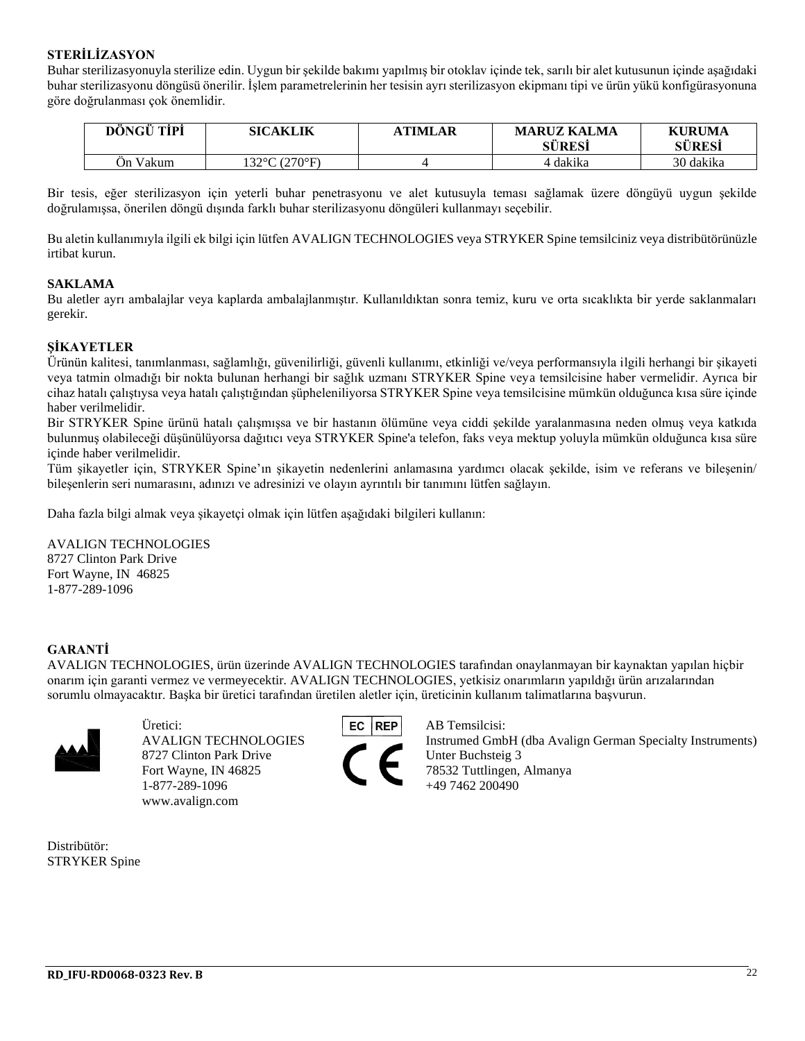#### **STERİLİZASYON**

Buhar sterilizasyonuyla sterilize edin. Uygun bir şekilde bakımı yapılmış bir otoklav içinde tek, sarılı bir alet kutusunun içinde aşağıdaki buhar sterilizasyonu döngüsü önerilir. İşlem parametrelerinin her tesisin ayrı sterilizasyon ekipmanı tipi ve ürün yükü konfigürasyonuna göre doğrulanması çok önemlidir.

| DÔNGỮ TIPI | <b>SICAKLIK</b> | <b>\TIMLAR</b> | <b>MARUZ KALMA</b><br><b>SÜRESİ</b> | <b>KURUMA</b><br>SÜRESI |
|------------|-----------------|----------------|-------------------------------------|-------------------------|
| On Vakum   | 132°C (270°F).  |                | 4 dakika                            | 30 dakika               |

Bir tesis, eğer sterilizasyon için yeterli buhar penetrasyonu ve alet kutusuyla teması sağlamak üzere döngüyü uygun şekilde doğrulamışsa, önerilen döngü dışında farklı buhar sterilizasyonu döngüleri kullanmayı seçebilir.

Bu aletin kullanımıyla ilgili ek bilgi için lütfen AVALIGN TECHNOLOGIES veya STRYKER Spine temsilciniz veya distribütörünüzle irtibat kurun.

#### **SAKLAMA**

Bu aletler ayrı ambalajlar veya kaplarda ambalajlanmıştır. Kullanıldıktan sonra temiz, kuru ve orta sıcaklıkta bir yerde saklanmaları gerekir.

#### **ŞİKAYETLER**

Ürünün kalitesi, tanımlanması, sağlamlığı, güvenilirliği, güvenli kullanımı, etkinliği ve/veya performansıyla ilgili herhangi bir şikayeti veya tatmin olmadığı bir nokta bulunan herhangi bir sağlık uzmanı STRYKER Spine veya temsilcisine haber vermelidir. Ayrıca bir cihaz hatalı çalıştıysa veya hatalı çalıştığından şüpheleniliyorsa STRYKER Spine veya temsilcisine mümkün olduğunca kısa süre içinde haber verilmelidir.

Bir STRYKER Spine ürünü hatalı çalışmışsa ve bir hastanın ölümüne veya ciddi şekilde yaralanmasına neden olmuş veya katkıda bulunmuş olabileceği düşünülüyorsa dağıtıcı veya STRYKER Spine'a telefon, faks veya mektup yoluyla mümkün olduğunca kısa süre içinde haber verilmelidir.

Tüm şikayetler için, STRYKER Spine'ın şikayetin nedenlerini anlamasına yardımcı olacak şekilde, isim ve referans ve bileşenin/ bileşenlerin seri numarasını, adınızı ve adresinizi ve olayın ayrıntılı bir tanımını lütfen sağlayın.

Daha fazla bilgi almak veya şikayetçi olmak için lütfen aşağıdaki bilgileri kullanın:

AVALIGN TECHNOLOGIES 8727 Clinton Park Drive

Fort Wayne, IN 46825 1-877-289-1096

#### **GARANTİ**

AVALIGN TECHNOLOGIES, ürün üzerinde AVALIGN TECHNOLOGIES tarafından onaylanmayan bir kaynaktan yapılan hiçbir onarım için garanti vermez ve vermeyecektir. AVALIGN TECHNOLOGIES, yetkisiz onarımların yapıldığı ürün arızalarından sorumlu olmayacaktır. Başka bir üretici tarafından üretilen aletler için, üreticinin kullanım talimatlarına başvurun.



Üretici: AB Temsilcisi: 8727 Clinton Park Drive Unter Buchsteig 3 Fort Wayne, IN 46825 78532 Tuttlingen, Almanya 1-877-289-1096 +49 7462 200490 www.avalign.com



AVALIGN TECHNOLOGIES Instrumed GmbH (dba Avalign German Specialty Instruments)

Distribütör: STRYKER Spine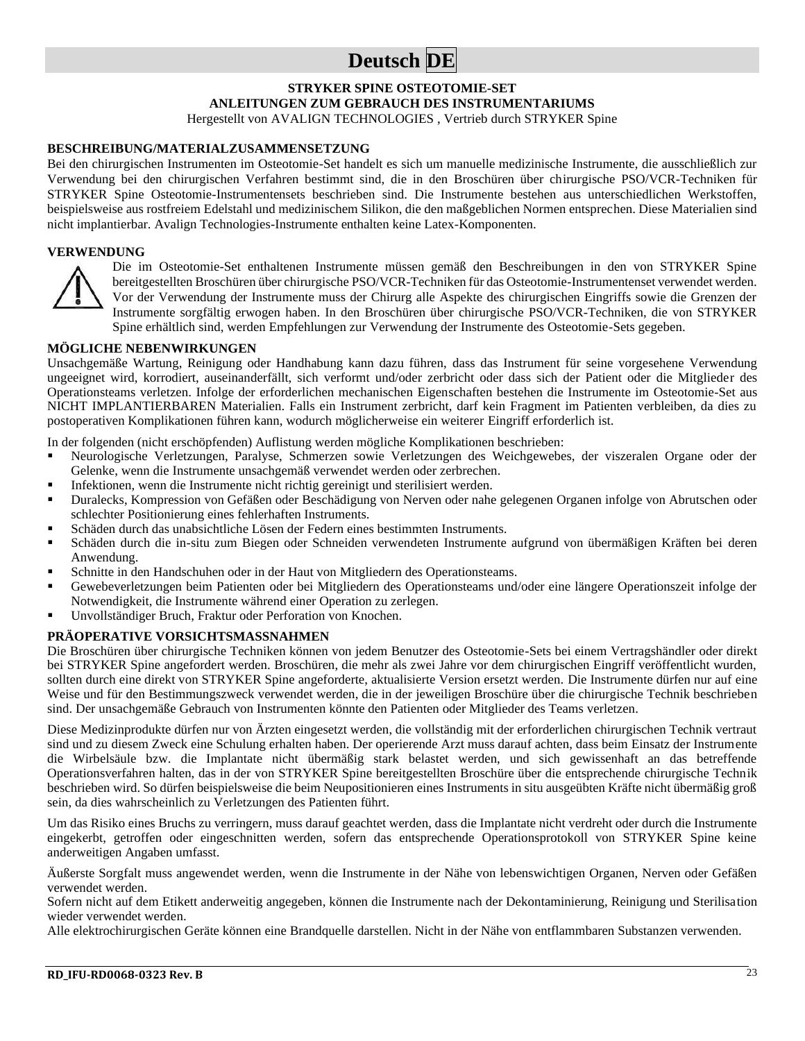## **Deutsch DE**

#### **STRYKER SPINE OSTEOTOMIE-SET ANLEITUNGEN ZUM GEBRAUCH DES INSTRUMENTARIUMS** Hergestellt von AVALIGN TECHNOLOGIES , Vertrieb durch STRYKER Spine

#### **BESCHREIBUNG/MATERIALZUSAMMENSETZUNG**

Bei den chirurgischen Instrumenten im Osteotomie-Set handelt es sich um manuelle medizinische Instrumente, die ausschließlich zur Verwendung bei den chirurgischen Verfahren bestimmt sind, die in den Broschüren über chirurgische PSO/VCR-Techniken für STRYKER Spine Osteotomie-Instrumentensets beschrieben sind. Die Instrumente bestehen aus unterschiedlichen Werkstoffen, beispielsweise aus rostfreiem Edelstahl und medizinischem Silikon, die den maßgeblichen Normen entsprechen. Diese Materialien sind nicht implantierbar. Avalign Technologies-Instrumente enthalten keine Latex-Komponenten.

#### **VERWENDUNG**



Die im Osteotomie-Set enthaltenen Instrumente müssen gemäß den Beschreibungen in den von STRYKER Spine bereitgestellten Broschüren über chirurgische PSO/VCR-Techniken für das Osteotomie-Instrumentenset verwendet werden. Vor der Verwendung der Instrumente muss der Chirurg alle Aspekte des chirurgischen Eingriffs sowie die Grenzen der Instrumente sorgfältig erwogen haben. In den Broschüren über chirurgische PSO/VCR-Techniken, die von STRYKER Spine erhältlich sind, werden Empfehlungen zur Verwendung der Instrumente des Osteotomie-Sets gegeben.

#### **MÖGLICHE NEBENWIRKUNGEN**

Unsachgemäße Wartung, Reinigung oder Handhabung kann dazu führen, dass das Instrument für seine vorgesehene Verwendung ungeeignet wird, korrodiert, auseinanderfällt, sich verformt und/oder zerbricht oder dass sich der Patient oder die Mitglieder des Operationsteams verletzen. Infolge der erforderlichen mechanischen Eigenschaften bestehen die Instrumente im Osteotomie-Set aus NICHT IMPLANTIERBAREN Materialien. Falls ein Instrument zerbricht, darf kein Fragment im Patienten verbleiben, da dies zu postoperativen Komplikationen führen kann, wodurch möglicherweise ein weiterer Eingriff erforderlich ist.

In der folgenden (nicht erschöpfenden) Auflistung werden mögliche Komplikationen beschrieben:

- Neurologische Verletzungen, Paralyse, Schmerzen sowie Verletzungen des Weichgewebes, der viszeralen Organe oder der Gelenke, wenn die Instrumente unsachgemäß verwendet werden oder zerbrechen.
- Infektionen, wenn die Instrumente nicht richtig gereinigt und sterilisiert werden.
- Duralecks, Kompression von Gefäßen oder Beschädigung von Nerven oder nahe gelegenen Organen infolge von Abrutschen oder schlechter Positionierung eines fehlerhaften Instruments.
- Schäden durch das unabsichtliche Lösen der Federn eines bestimmten Instruments.
- Schäden durch die in-situ zum Biegen oder Schneiden verwendeten Instrumente aufgrund von übermäßigen Kräften bei deren Anwendung.
- Schnitte in den Handschuhen oder in der Haut von Mitgliedern des Operationsteams.
- Gewebeverletzungen beim Patienten oder bei Mitgliedern des Operationsteams und/oder eine längere Operationszeit infolge der Notwendigkeit, die Instrumente während einer Operation zu zerlegen.
- Unvollständiger Bruch, Fraktur oder Perforation von Knochen.

#### **PRÄOPERATIVE VORSICHTSMASSNAHMEN**

Die Broschüren über chirurgische Techniken können von jedem Benutzer des Osteotomie-Sets bei einem Vertragshändler oder direkt bei STRYKER Spine angefordert werden. Broschüren, die mehr als zwei Jahre vor dem chirurgischen Eingriff veröffentlicht wurden, sollten durch eine direkt von STRYKER Spine angeforderte, aktualisierte Version ersetzt werden. Die Instrumente dürfen nur auf eine Weise und für den Bestimmungszweck verwendet werden, die in der jeweiligen Broschüre über die chirurgische Technik beschrieben sind. Der unsachgemäße Gebrauch von Instrumenten könnte den Patienten oder Mitglieder des Teams verletzen.

Diese Medizinprodukte dürfen nur von Ärzten eingesetzt werden, die vollständig mit der erforderlichen chirurgischen Technik vertraut sind und zu diesem Zweck eine Schulung erhalten haben. Der operierende Arzt muss darauf achten, dass beim Einsatz der Instrumente die Wirbelsäule bzw. die Implantate nicht übermäßig stark belastet werden, und sich gewissenhaft an das betreffende Operationsverfahren halten, das in der von STRYKER Spine bereitgestellten Broschüre über die entsprechende chirurgische Technik beschrieben wird. So dürfen beispielsweise die beim Neupositionieren eines Instruments in situ ausgeübten Kräfte nicht übermäßig groß sein, da dies wahrscheinlich zu Verletzungen des Patienten führt.

Um das Risiko eines Bruchs zu verringern, muss darauf geachtet werden, dass die Implantate nicht verdreht oder durch die Instrumente eingekerbt, getroffen oder eingeschnitten werden, sofern das entsprechende Operationsprotokoll von STRYKER Spine keine anderweitigen Angaben umfasst.

Äußerste Sorgfalt muss angewendet werden, wenn die Instrumente in der Nähe von lebenswichtigen Organen, Nerven oder Gefäßen verwendet werden.

Sofern nicht auf dem Etikett anderweitig angegeben, können die Instrumente nach der Dekontaminierung, Reinigung und Sterilisation wieder verwendet werden.

Alle elektrochirurgischen Geräte können eine Brandquelle darstellen. Nicht in der Nähe von entflammbaren Substanzen verwenden.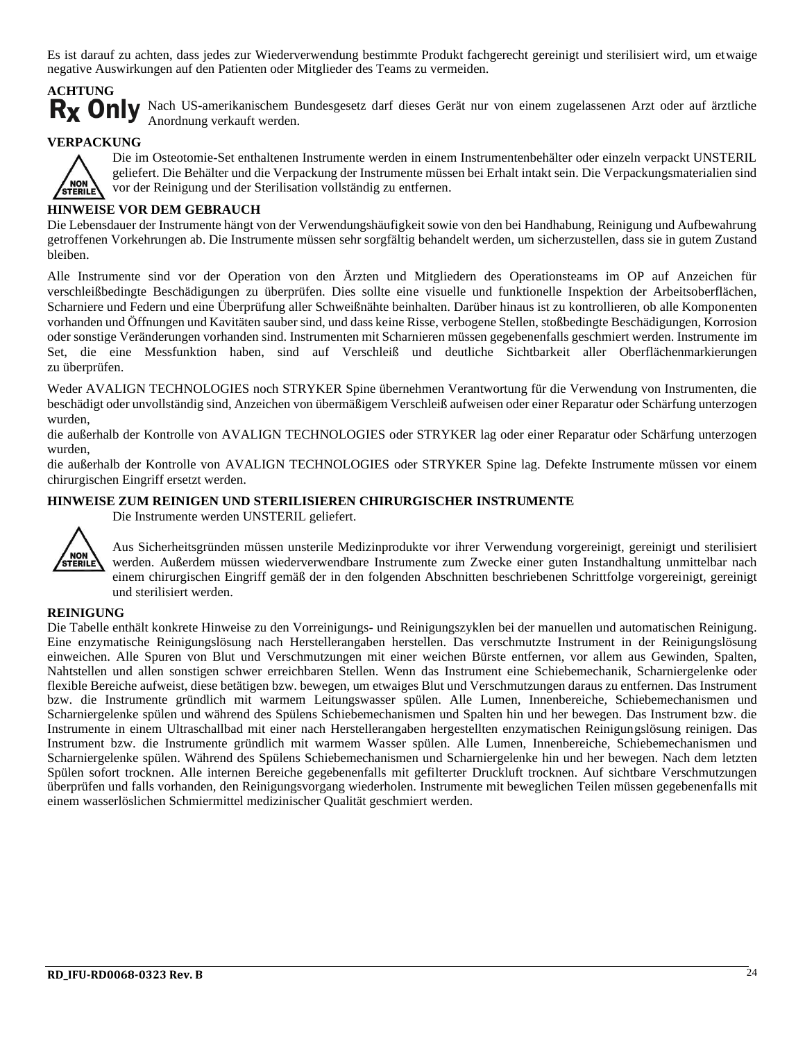Es ist darauf zu achten, dass jedes zur Wiederverwendung bestimmte Produkt fachgerecht gereinigt und sterilisiert wird, um etwaige negative Auswirkungen auf den Patienten oder Mitglieder des Teams zu vermeiden.

# **ACHTUNG**

Rx Only Nach US-amerikanischem Bundesgesetz darf dieses Gerät nur von einem zugelassenen Arzt oder auf ärztliche Anordnung verkauft werden.

#### **VERPACKUNG**



Die im Osteotomie-Set enthaltenen Instrumente werden in einem Instrumentenbehälter oder einzeln verpackt UNSTERIL geliefert. Die Behälter und die Verpackung der Instrumente müssen bei Erhalt intakt sein. Die Verpackungsmaterialien sind vor der Reinigung und der Sterilisation vollständig zu entfernen.

#### **HINWEISE VOR DEM GEBRAUCH**

Die Lebensdauer der Instrumente hängt von der Verwendungshäufigkeit sowie von den bei Handhabung, Reinigung und Aufbewahrung getroffenen Vorkehrungen ab. Die Instrumente müssen sehr sorgfältig behandelt werden, um sicherzustellen, dass sie in gutem Zustand bleiben.

Alle Instrumente sind vor der Operation von den Ärzten und Mitgliedern des Operationsteams im OP auf Anzeichen für verschleißbedingte Beschädigungen zu überprüfen. Dies sollte eine visuelle und funktionelle Inspektion der Arbeitsoberflächen, Scharniere und Federn und eine Überprüfung aller Schweißnähte beinhalten. Darüber hinaus ist zu kontrollieren, ob alle Komponenten vorhanden und Öffnungen und Kavitäten sauber sind, und dass keine Risse, verbogene Stellen, stoßbedingte Beschädigungen, Korrosion oder sonstige Veränderungen vorhanden sind. Instrumenten mit Scharnieren müssen gegebenenfalls geschmiert werden. Instrumente im Set, die eine Messfunktion haben, sind auf Verschleiß und deutliche Sichtbarkeit aller Oberflächenmarkierungen zu überprüfen.

Weder AVALIGN TECHNOLOGIES noch STRYKER Spine übernehmen Verantwortung für die Verwendung von Instrumenten, die beschädigt oder unvollständig sind, Anzeichen von übermäßigem Verschleiß aufweisen oder einer Reparatur oder Schärfung unterzogen wurden,

die außerhalb der Kontrolle von AVALIGN TECHNOLOGIES oder STRYKER lag oder einer Reparatur oder Schärfung unterzogen wurden,

die außerhalb der Kontrolle von AVALIGN TECHNOLOGIES oder STRYKER Spine lag. Defekte Instrumente müssen vor einem chirurgischen Eingriff ersetzt werden.

#### **HINWEISE ZUM REINIGEN UND STERILISIEREN CHIRURGISCHER INSTRUMENTE**



Die Instrumente werden UNSTERIL geliefert.

Aus Sicherheitsgründen müssen unsterile Medizinprodukte vor ihrer Verwendung vorgereinigt, gereinigt und sterilisiert werden. Außerdem müssen wiederverwendbare Instrumente zum Zwecke einer guten Instandhaltung unmittelbar nach einem chirurgischen Eingriff gemäß der in den folgenden Abschnitten beschriebenen Schrittfolge vorgereinigt, gereinigt und sterilisiert werden.

#### **REINIGUNG**

Die Tabelle enthält konkrete Hinweise zu den Vorreinigungs- und Reinigungszyklen bei der manuellen und automatischen Reinigung. Eine enzymatische Reinigungslösung nach Herstellerangaben herstellen. Das verschmutzte Instrument in der Reinigungslösung einweichen. Alle Spuren von Blut und Verschmutzungen mit einer weichen Bürste entfernen, vor allem aus Gewinden, Spalten, Nahtstellen und allen sonstigen schwer erreichbaren Stellen. Wenn das Instrument eine Schiebemechanik, Scharniergelenke oder flexible Bereiche aufweist, diese betätigen bzw. bewegen, um etwaiges Blut und Verschmutzungen daraus zu entfernen. Das Instrument bzw. die Instrumente gründlich mit warmem Leitungswasser spülen. Alle Lumen, Innenbereiche, Schiebemechanismen und Scharniergelenke spülen und während des Spülens Schiebemechanismen und Spalten hin und her bewegen. Das Instrument bzw. die Instrumente in einem Ultraschallbad mit einer nach Herstellerangaben hergestellten enzymatischen Reinigungslösung reinigen. Das Instrument bzw. die Instrumente gründlich mit warmem Wasser spülen. Alle Lumen, Innenbereiche, Schiebemechanismen und Scharniergelenke spülen. Während des Spülens Schiebemechanismen und Scharniergelenke hin und her bewegen. Nach dem letzten Spülen sofort trocknen. Alle internen Bereiche gegebenenfalls mit gefilterter Druckluft trocknen. Auf sichtbare Verschmutzungen überprüfen und falls vorhanden, den Reinigungsvorgang wiederholen. Instrumente mit beweglichen Teilen müssen gegebenenfalls mit einem wasserlöslichen Schmiermittel medizinischer Qualität geschmiert werden.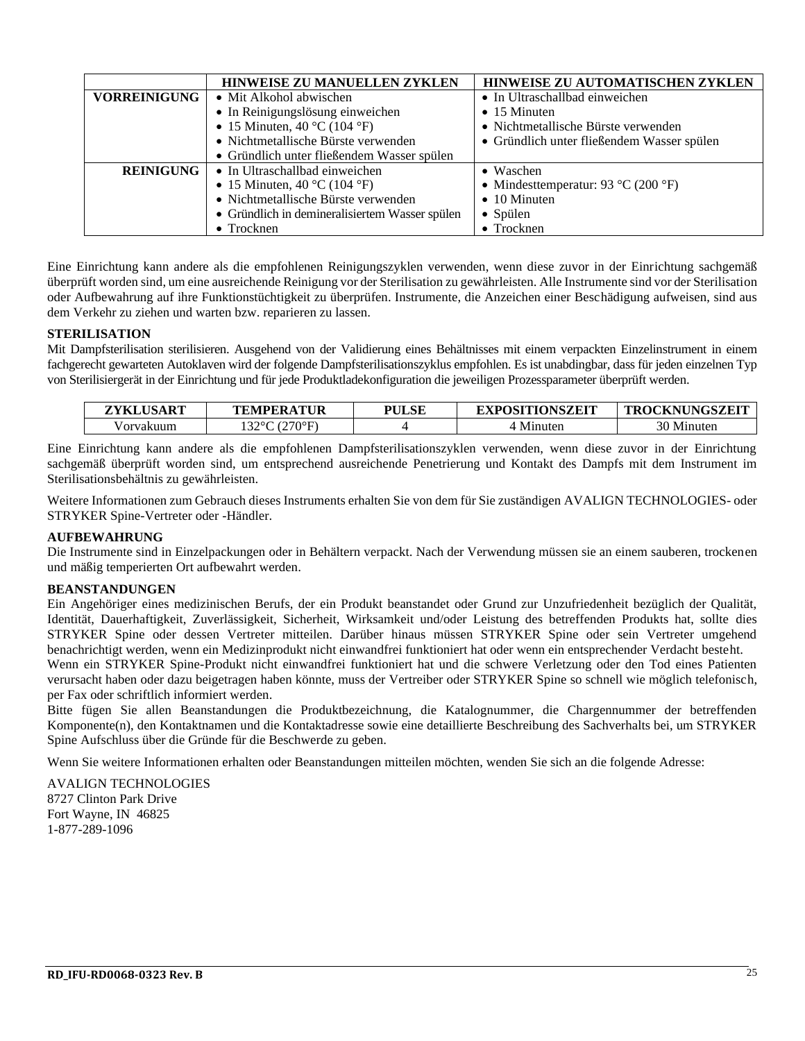|                     | <b>HINWEISE ZU MANUELLEN ZYKLEN</b><br><b>HINWEISE ZU AUTOMATISCHEN ZYKLEN</b> |                                            |  |
|---------------------|--------------------------------------------------------------------------------|--------------------------------------------|--|
| <b>VORREINIGUNG</b> | • Mit Alkohol abwischen                                                        | • In Ultraschallbad einweichen             |  |
|                     | • In Reinigungslösung einweichen                                               | $\bullet$ 15 Minuten                       |  |
|                     | • 15 Minuten, 40 °C (104 °F)                                                   | • Nichtmetallische Bürste verwenden        |  |
|                     | • Nichtmetallische Bürste verwenden                                            | • Gründlich unter fließendem Wasser spülen |  |
|                     | • Gründlich unter fließendem Wasser spülen                                     |                                            |  |
| <b>REINIGUNG</b>    | • In Ultraschallbad einweichen                                                 | • Waschen                                  |  |
|                     | • 15 Minuten, 40 °C (104 °F)                                                   | • Mindesttemperatur: 93 °C (200 °F)        |  |
|                     | • Nichtmetallische Bürste verwenden                                            | $\bullet$ 10 Minuten                       |  |
|                     | • Gründlich in demineralisiertem Wasser spülen                                 | • Spülen                                   |  |
|                     | $\bullet$ Trocknen                                                             | • Trocknen                                 |  |

Eine Einrichtung kann andere als die empfohlenen Reinigungszyklen verwenden, wenn diese zuvor in der Einrichtung sachgemäß überprüft worden sind, um eine ausreichende Reinigung vor der Sterilisation zu gewährleisten. Alle Instrumente sind vor der Sterilisation oder Aufbewahrung auf ihre Funktionstüchtigkeit zu überprüfen. Instrumente, die Anzeichen einer Beschädigung aufweisen, sind aus dem Verkehr zu ziehen und warten bzw. reparieren zu lassen.

#### **STERILISATION**

Mit Dampfsterilisation sterilisieren. Ausgehend von der Validierung eines Behältnisses mit einem verpackten Einzelinstrument in einem fachgerecht gewarteten Autoklaven wird der folgende Dampfsterilisationszyklus empfohlen. Es ist unabdingbar, dass für jeden einzelnen Typ von Sterilisiergerät in der Einrichtung und für jede Produktladekonfiguration die jeweiligen Prozessparameter überprüft werden.

| ZYKLUSART | TEMPERATUR       | <b>PULSE</b> | <b>EXPOSITIONSZEIT</b> | <b>ACKNUNGSZEIT</b><br><b>TROC</b> |
|-----------|------------------|--------------|------------------------|------------------------------------|
| /orvakuum | .220C<br>(270°F) |              | Minuter                | 30 Minuten                         |

Eine Einrichtung kann andere als die empfohlenen Dampfsterilisationszyklen verwenden, wenn diese zuvor in der Einrichtung sachgemäß überprüft worden sind, um entsprechend ausreichende Penetrierung und Kontakt des Dampfs mit dem Instrument im Sterilisationsbehältnis zu gewährleisten.

Weitere Informationen zum Gebrauch dieses Instruments erhalten Sie von dem für Sie zuständigen AVALIGN TECHNOLOGIES- oder STRYKER Spine-Vertreter oder -Händler.

#### **AUFBEWAHRUNG**

Die Instrumente sind in Einzelpackungen oder in Behältern verpackt. Nach der Verwendung müssen sie an einem sauberen, trockenen und mäßig temperierten Ort aufbewahrt werden.

#### **BEANSTANDUNGEN**

Ein Angehöriger eines medizinischen Berufs, der ein Produkt beanstandet oder Grund zur Unzufriedenheit bezüglich der Qualität, Identität, Dauerhaftigkeit, Zuverlässigkeit, Sicherheit, Wirksamkeit und/oder Leistung des betreffenden Produkts hat, sollte dies STRYKER Spine oder dessen Vertreter mitteilen. Darüber hinaus müssen STRYKER Spine oder sein Vertreter umgehend benachrichtigt werden, wenn ein Medizinprodukt nicht einwandfrei funktioniert hat oder wenn ein entsprechender Verdacht besteht. Wenn ein STRYKER Spine-Produkt nicht einwandfrei funktioniert hat und die schwere Verletzung oder den Tod eines Patienten

verursacht haben oder dazu beigetragen haben könnte, muss der Vertreiber oder STRYKER Spine so schnell wie möglich telefonisch, per Fax oder schriftlich informiert werden.

Bitte fügen Sie allen Beanstandungen die Produktbezeichnung, die Katalognummer, die Chargennummer der betreffenden Komponente(n), den Kontaktnamen und die Kontaktadresse sowie eine detaillierte Beschreibung des Sachverhalts bei, um STRYKER Spine Aufschluss über die Gründe für die Beschwerde zu geben.

Wenn Sie weitere Informationen erhalten oder Beanstandungen mitteilen möchten, wenden Sie sich an die folgende Adresse:

AVALIGN TECHNOLOGIES 8727 Clinton Park Drive Fort Wayne, IN 46825 1-877-289-1096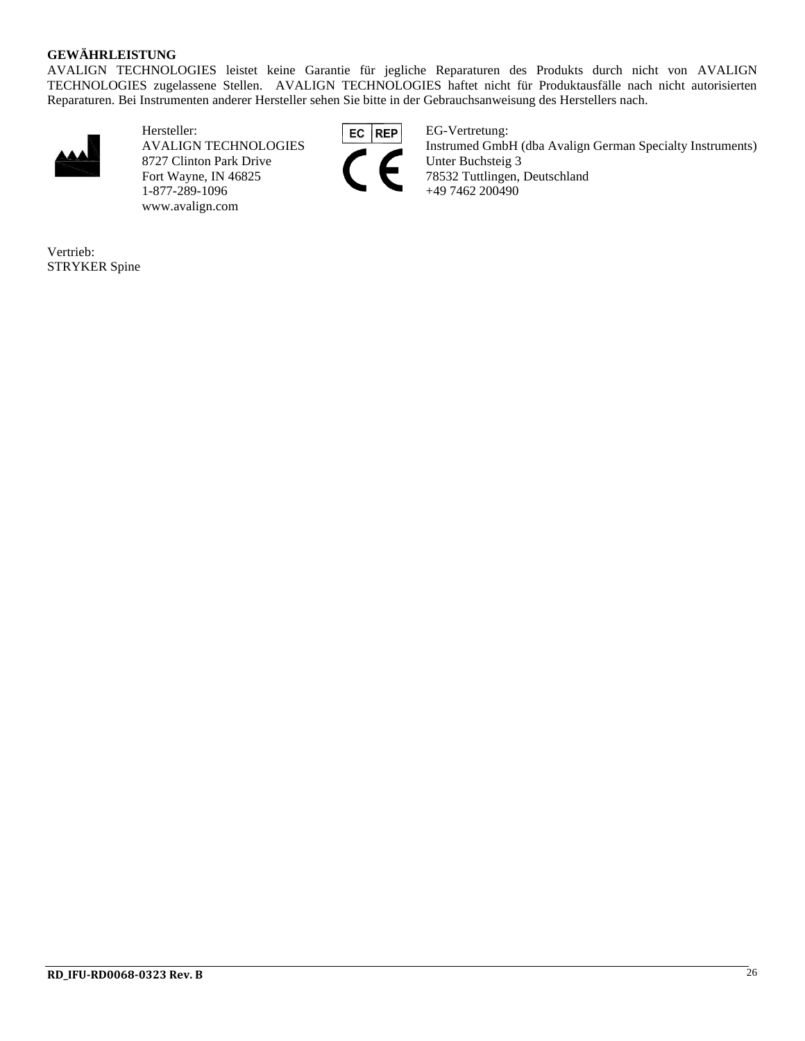#### **GEWÄHRLEISTUNG**

AVALIGN TECHNOLOGIES leistet keine Garantie für jegliche Reparaturen des Produkts durch nicht von AVALIGN TECHNOLOGIES zugelassene Stellen. AVALIGN TECHNOLOGIES haftet nicht für Produktausfälle nach nicht autorisierten Reparaturen. Bei Instrumenten anderer Hersteller sehen Sie bitte in der Gebrauchsanweisung des Herstellers nach.



Hersteller: EG REP EG-Vertretung: 8727 Clinton Park Drive<br>Fort Wayne, IN 46825 1-877-289-1096 www.avalign.com



AVALIGN TECHNOLOGIES Instrumed GmbH (dba Avalign German Specialty Instruments)<br>8727 Clinton Park Drive Unter Buchsteig 3 78532 Tuttlingen, Deutschland<br>+49 7462 200490

Vertrieb: STRYKER Spine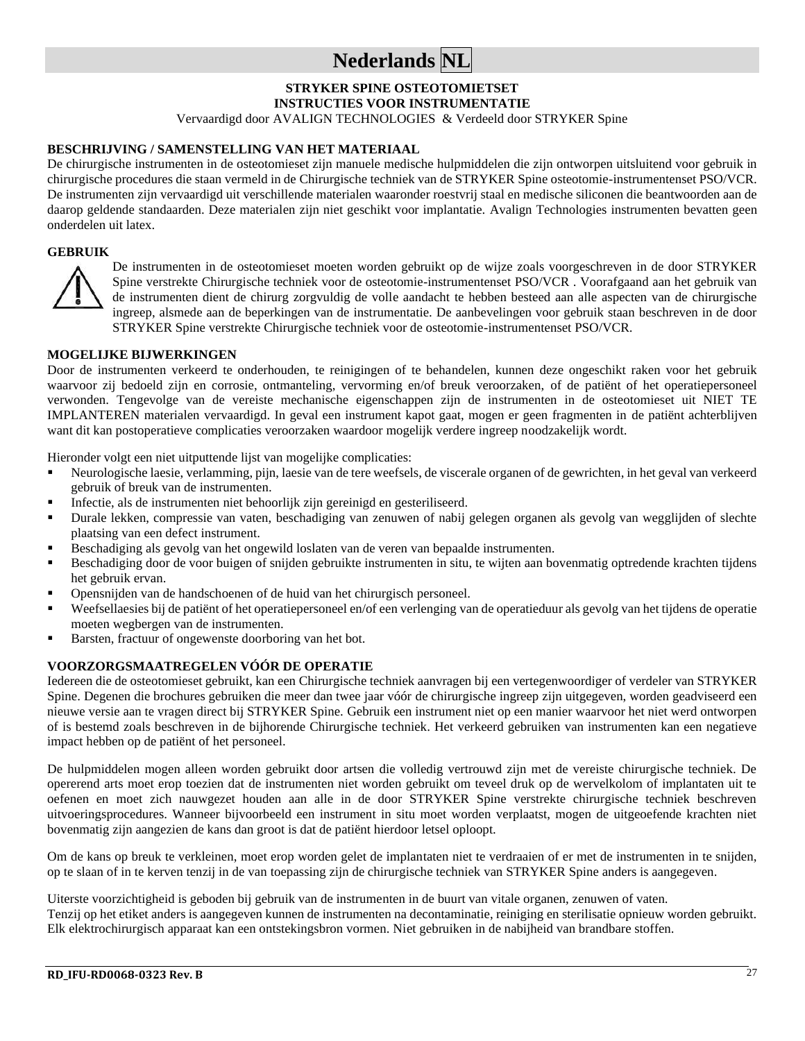## **Nederlands NL**

## **STRYKER SPINE OSTEOTOMIETSET**

**INSTRUCTIES VOOR INSTRUMENTATIE**

Vervaardigd door AVALIGN TECHNOLOGIES & Verdeeld door STRYKER Spine

#### **BESCHRIJVING / SAMENSTELLING VAN HET MATERIAAL**

De chirurgische instrumenten in de osteotomieset zijn manuele medische hulpmiddelen die zijn ontworpen uitsluitend voor gebruik in chirurgische procedures die staan vermeld in de Chirurgische techniek van de STRYKER Spine osteotomie-instrumentenset PSO/VCR. De instrumenten zijn vervaardigd uit verschillende materialen waaronder roestvrij staal en medische siliconen die beantwoorden aan de daarop geldende standaarden. Deze materialen zijn niet geschikt voor implantatie. Avalign Technologies instrumenten bevatten geen onderdelen uit latex.

#### **GEBRUIK**



De instrumenten in de osteotomieset moeten worden gebruikt op de wijze zoals voorgeschreven in de door STRYKER Spine verstrekte Chirurgische techniek voor de osteotomie-instrumentenset PSO/VCR . Voorafgaand aan het gebruik van de instrumenten dient de chirurg zorgvuldig de volle aandacht te hebben besteed aan alle aspecten van de chirurgische ingreep, alsmede aan de beperkingen van de instrumentatie. De aanbevelingen voor gebruik staan beschreven in de door STRYKER Spine verstrekte Chirurgische techniek voor de osteotomie-instrumentenset PSO/VCR.

#### **MOGELIJKE BIJWERKINGEN**

Door de instrumenten verkeerd te onderhouden, te reinigingen of te behandelen, kunnen deze ongeschikt raken voor het gebruik waarvoor zij bedoeld zijn en corrosie, ontmanteling, vervorming en/of breuk veroorzaken, of de patiënt of het operatiepersoneel verwonden. Tengevolge van de vereiste mechanische eigenschappen zijn de instrumenten in de osteotomieset uit NIET TE IMPLANTEREN materialen vervaardigd. In geval een instrument kapot gaat, mogen er geen fragmenten in de patiënt achterblijven want dit kan postoperatieve complicaties veroorzaken waardoor mogelijk verdere ingreep noodzakelijk wordt.

Hieronder volgt een niet uitputtende lijst van mogelijke complicaties:

- Neurologische laesie, verlamming, pijn, laesie van de tere weefsels, de viscerale organen of de gewrichten, in het geval van verkeerd gebruik of breuk van de instrumenten.
- Infectie, als de instrumenten niet behoorlijk zijn gereinigd en gesteriliseerd.
- Durale lekken, compressie van vaten, beschadiging van zenuwen of nabij gelegen organen als gevolg van wegglijden of slechte plaatsing van een defect instrument.
- Beschadiging als gevolg van het ongewild loslaten van de veren van bepaalde instrumenten.
- Beschadiging door de voor buigen of snijden gebruikte instrumenten in situ, te wijten aan bovenmatig optredende krachten tijdens het gebruik ervan.
- Opensnijden van de handschoenen of de huid van het chirurgisch personeel.
- Weefsellaesies bij de patiënt of het operatiepersoneel en/of een verlenging van de operatieduur als gevolg van het tijdens de operatie moeten wegbergen van de instrumenten.
- Barsten, fractuur of ongewenste doorboring van het bot.

#### **VOORZORGSMAATREGELEN VÓÓR DE OPERATIE**

Iedereen die de osteotomieset gebruikt, kan een Chirurgische techniek aanvragen bij een vertegenwoordiger of verdeler van STRYKER Spine. Degenen die brochures gebruiken die meer dan twee jaar vóór de chirurgische ingreep zijn uitgegeven, worden geadviseerd een nieuwe versie aan te vragen direct bij STRYKER Spine. Gebruik een instrument niet op een manier waarvoor het niet werd ontworpen of is bestemd zoals beschreven in de bijhorende Chirurgische techniek. Het verkeerd gebruiken van instrumenten kan een negatieve impact hebben op de patiënt of het personeel.

De hulpmiddelen mogen alleen worden gebruikt door artsen die volledig vertrouwd zijn met de vereiste chirurgische techniek. De opererend arts moet erop toezien dat de instrumenten niet worden gebruikt om teveel druk op de wervelkolom of implantaten uit te oefenen en moet zich nauwgezet houden aan alle in de door STRYKER Spine verstrekte chirurgische techniek beschreven uitvoeringsprocedures. Wanneer bijvoorbeeld een instrument in situ moet worden verplaatst, mogen de uitgeoefende krachten niet bovenmatig zijn aangezien de kans dan groot is dat de patiënt hierdoor letsel oploopt.

Om de kans op breuk te verkleinen, moet erop worden gelet de implantaten niet te verdraaien of er met de instrumenten in te snijden, op te slaan of in te kerven tenzij in de van toepassing zijn de chirurgische techniek van STRYKER Spine anders is aangegeven.

Uiterste voorzichtigheid is geboden bij gebruik van de instrumenten in de buurt van vitale organen, zenuwen of vaten.

Tenzij op het etiket anders is aangegeven kunnen de instrumenten na decontaminatie, reiniging en sterilisatie opnieuw worden gebruikt. Elk elektrochirurgisch apparaat kan een ontstekingsbron vormen. Niet gebruiken in de nabijheid van brandbare stoffen.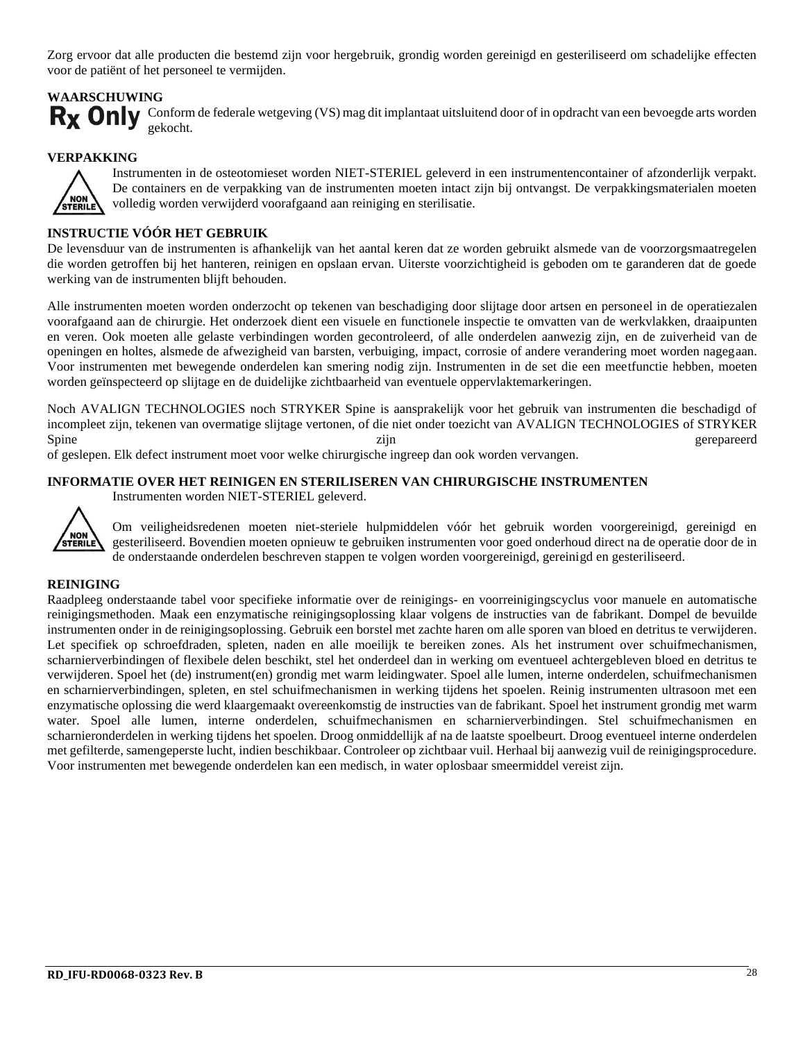Zorg ervoor dat alle producten die bestemd zijn voor hergebruik, grondig worden gereinigd en gesteriliseerd om schadelijke effecten voor de patiënt of het personeel te vermijden.

#### **WAARSCHUWING**

Rx Only Conform de federale wetgeving (VS) mag dit implantaat uitsluitend door of in opdracht van een bevoegde arts worden gekocht.

#### **VERPAKKING**



Instrumenten in de osteotomieset worden NIET-STERIEL geleverd in een instrumentencontainer of afzonderlijk verpakt. De containers en de verpakking van de instrumenten moeten intact zijn bij ontvangst. De verpakkingsmaterialen moeten volledig worden verwijderd voorafgaand aan reiniging en sterilisatie.

#### **INSTRUCTIE VÓÓR HET GEBRUIK**

De levensduur van de instrumenten is afhankelijk van het aantal keren dat ze worden gebruikt alsmede van de voorzorgsmaatregelen die worden getroffen bij het hanteren, reinigen en opslaan ervan. Uiterste voorzichtigheid is geboden om te garanderen dat de goede werking van de instrumenten blijft behouden.

Alle instrumenten moeten worden onderzocht op tekenen van beschadiging door slijtage door artsen en personeel in de operatiezalen voorafgaand aan de chirurgie. Het onderzoek dient een visuele en functionele inspectie te omvatten van de werkvlakken, draaipunten en veren. Ook moeten alle gelaste verbindingen worden gecontroleerd, of alle onderdelen aanwezig zijn, en de zuiverheid van de openingen en holtes, alsmede de afwezigheid van barsten, verbuiging, impact, corrosie of andere verandering moet worden nagegaan. Voor instrumenten met bewegende onderdelen kan smering nodig zijn. Instrumenten in de set die een meetfunctie hebben, moeten worden geïnspecteerd op slijtage en de duidelijke zichtbaarheid van eventuele oppervlaktemarkeringen.

Noch AVALIGN TECHNOLOGIES noch STRYKER Spine is aansprakelijk voor het gebruik van instrumenten die beschadigd of incompleet zijn, tekenen van overmatige slijtage vertonen, of die niet onder toezicht van AVALIGN TECHNOLOGIES of STRYKER Spine zijn zijn gerepareerd

of geslepen. Elk defect instrument moet voor welke chirurgische ingreep dan ook worden vervangen.

#### **INFORMATIE OVER HET REINIGEN EN STERILISEREN VAN CHIRURGISCHE INSTRUMENTEN**

Instrumenten worden NIET-STERIEL geleverd.



Om veiligheidsredenen moeten niet-steriele hulpmiddelen vóór het gebruik worden voorgereinigd, gereinigd en gesteriliseerd. Bovendien moeten opnieuw te gebruiken instrumenten voor goed onderhoud direct na de operatie door de in de onderstaande onderdelen beschreven stappen te volgen worden voorgereinigd, gereinigd en gesteriliseerd.

#### **REINIGING**

Raadpleeg onderstaande tabel voor specifieke informatie over de reinigings- en voorreinigingscyclus voor manuele en automatische reinigingsmethoden. Maak een enzymatische reinigingsoplossing klaar volgens de instructies van de fabrikant. Dompel de bevuilde instrumenten onder in de reinigingsoplossing. Gebruik een borstel met zachte haren om alle sporen van bloed en detritus te verwijderen. Let specifiek op schroefdraden, spleten, naden en alle moeilijk te bereiken zones. Als het instrument over schuifmechanismen, scharnierverbindingen of flexibele delen beschikt, stel het onderdeel dan in werking om eventueel achtergebleven bloed en detritus te verwijderen. Spoel het (de) instrument(en) grondig met warm leidingwater. Spoel alle lumen, interne onderdelen, schuifmechanismen en scharnierverbindingen, spleten, en stel schuifmechanismen in werking tijdens het spoelen. Reinig instrumenten ultrasoon met een enzymatische oplossing die werd klaargemaakt overeenkomstig de instructies van de fabrikant. Spoel het instrument grondig met warm water. Spoel alle lumen, interne onderdelen, schuifmechanismen en scharnierverbindingen. Stel schuifmechanismen en scharnieronderdelen in werking tijdens het spoelen. Droog onmiddellijk af na de laatste spoelbeurt. Droog eventueel interne onderdelen met gefilterde, samengeperste lucht, indien beschikbaar. Controleer op zichtbaar vuil. Herhaal bij aanwezig vuil de reinigingsprocedure. Voor instrumenten met bewegende onderdelen kan een medisch, in water oplosbaar smeermiddel vereist zijn.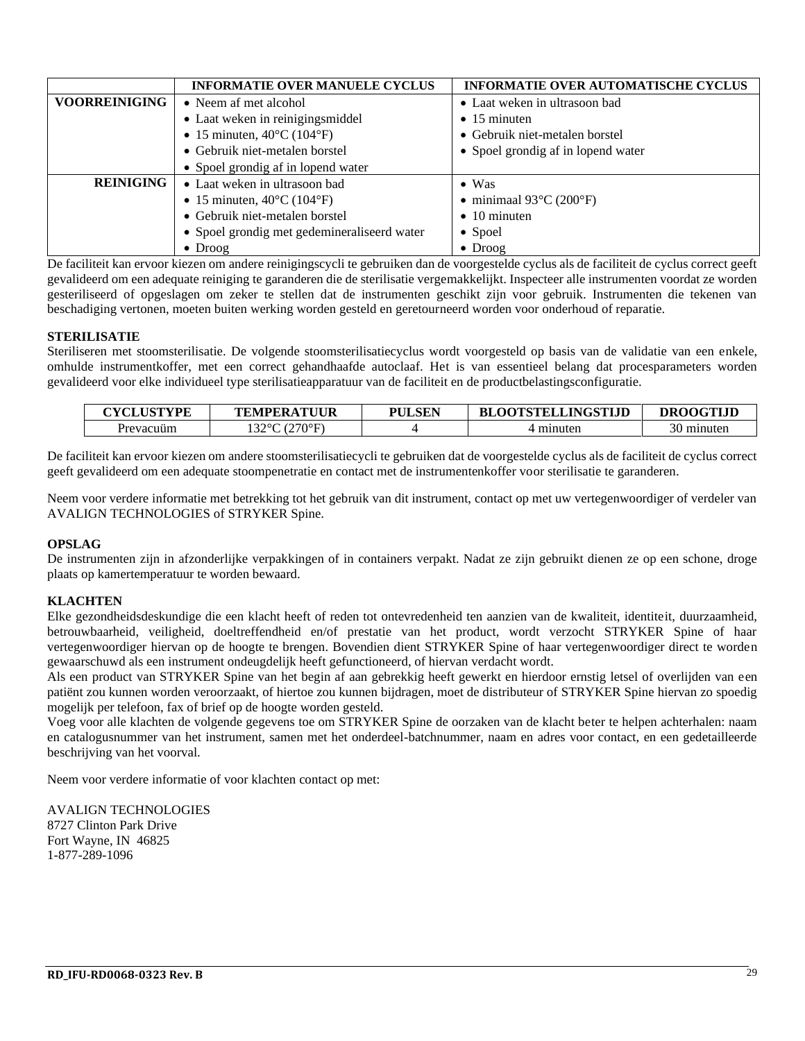|                      | <b>INFORMATIE OVER MANUELE CYCLUS</b>           | <b>INFORMATIE OVER AUTOMATISCHE CYCLUS</b>   |  |
|----------------------|-------------------------------------------------|----------------------------------------------|--|
| <b>VOORREINIGING</b> | • Neem af met alcohol                           | • Laat weken in ultrasoon bad                |  |
|                      | • Laat weken in reinigingsmiddel                | $\bullet$ 15 minuten                         |  |
|                      | • 15 minuten, $40^{\circ}$ C (104 $^{\circ}$ F) | • Gebruik niet-metalen borstel               |  |
|                      | • Gebruik niet-metalen borstel                  | • Spoel grondig af in lopend water           |  |
|                      | • Spoel grondig af in lopend water              |                                              |  |
| <b>REINIGING</b>     | • Laat weken in ultrasoon bad                   | $\bullet$ Was                                |  |
|                      | • 15 minuten, $40^{\circ}$ C (104 $^{\circ}$ F) | • minimaal $93^{\circ}$ C (200 $^{\circ}$ F) |  |
|                      | • Gebruik niet-metalen borstel                  | $\bullet$ 10 minuten                         |  |
|                      | • Spoel grondig met gedemineraliseerd water     | $\bullet$ Spoel                              |  |
|                      | $\bullet$ Droog                                 | $\bullet$ Droog                              |  |

De faciliteit kan ervoor kiezen om andere reinigingscycli te gebruiken dan de voorgestelde cyclus als de faciliteit de cyclus correct geeft gevalideerd om een adequate reiniging te garanderen die de sterilisatie vergemakkelijkt. Inspecteer alle instrumenten voordat ze worden gesteriliseerd of opgeslagen om zeker te stellen dat de instrumenten geschikt zijn voor gebruik. Instrumenten die tekenen van beschadiging vertonen, moeten buiten werking worden gesteld en geretourneerd worden voor onderhoud of reparatie.

#### **STERILISATIE**

Steriliseren met stoomsterilisatie. De volgende stoomsterilisatiecyclus wordt voorgesteld op basis van de validatie van een enkele, omhulde instrumentkoffer, met een correct gehandhaafde autoclaaf. Het is van essentieel belang dat procesparameters worden gevalideerd voor elke individueel type sterilisatieapparatuur van de faciliteit en de productbelastingsconfiguratie.

| <b>CYCLUSTYPE</b> | <b>TEMPERATUUR</b> | <b>PULSEN</b> | <b>BLOOTSTELLINGSTIJD</b> | <b>DROOGTLID</b> |
|-------------------|--------------------|---------------|---------------------------|------------------|
| Prevacuum         | (270°F)<br>1220C   |               |                           | minuter          |

De faciliteit kan ervoor kiezen om andere stoomsterilisatiecycli te gebruiken dat de voorgestelde cyclus als de faciliteit de cyclus correct geeft gevalideerd om een adequate stoompenetratie en contact met de instrumentenkoffer voor sterilisatie te garanderen.

Neem voor verdere informatie met betrekking tot het gebruik van dit instrument, contact op met uw vertegenwoordiger of verdeler van AVALIGN TECHNOLOGIES of STRYKER Spine.

#### **OPSLAG**

De instrumenten zijn in afzonderlijke verpakkingen of in containers verpakt. Nadat ze zijn gebruikt dienen ze op een schone, droge plaats op kamertemperatuur te worden bewaard.

#### **KLACHTEN**

Elke gezondheidsdeskundige die een klacht heeft of reden tot ontevredenheid ten aanzien van de kwaliteit, identiteit, duurzaamheid, betrouwbaarheid, veiligheid, doeltreffendheid en/of prestatie van het product, wordt verzocht STRYKER Spine of haar vertegenwoordiger hiervan op de hoogte te brengen. Bovendien dient STRYKER Spine of haar vertegenwoordiger direct te worden gewaarschuwd als een instrument ondeugdelijk heeft gefunctioneerd, of hiervan verdacht wordt.

Als een product van STRYKER Spine van het begin af aan gebrekkig heeft gewerkt en hierdoor ernstig letsel of overlijden van een patiënt zou kunnen worden veroorzaakt, of hiertoe zou kunnen bijdragen, moet de distributeur of STRYKER Spine hiervan zo spoedig mogelijk per telefoon, fax of brief op de hoogte worden gesteld.

Voeg voor alle klachten de volgende gegevens toe om STRYKER Spine de oorzaken van de klacht beter te helpen achterhalen: naam en catalogusnummer van het instrument, samen met het onderdeel-batchnummer, naam en adres voor contact, en een gedetailleerde beschrijving van het voorval.

Neem voor verdere informatie of voor klachten contact op met:

AVALIGN TECHNOLOGIES 8727 Clinton Park Drive Fort Wayne, IN 46825 1-877-289-1096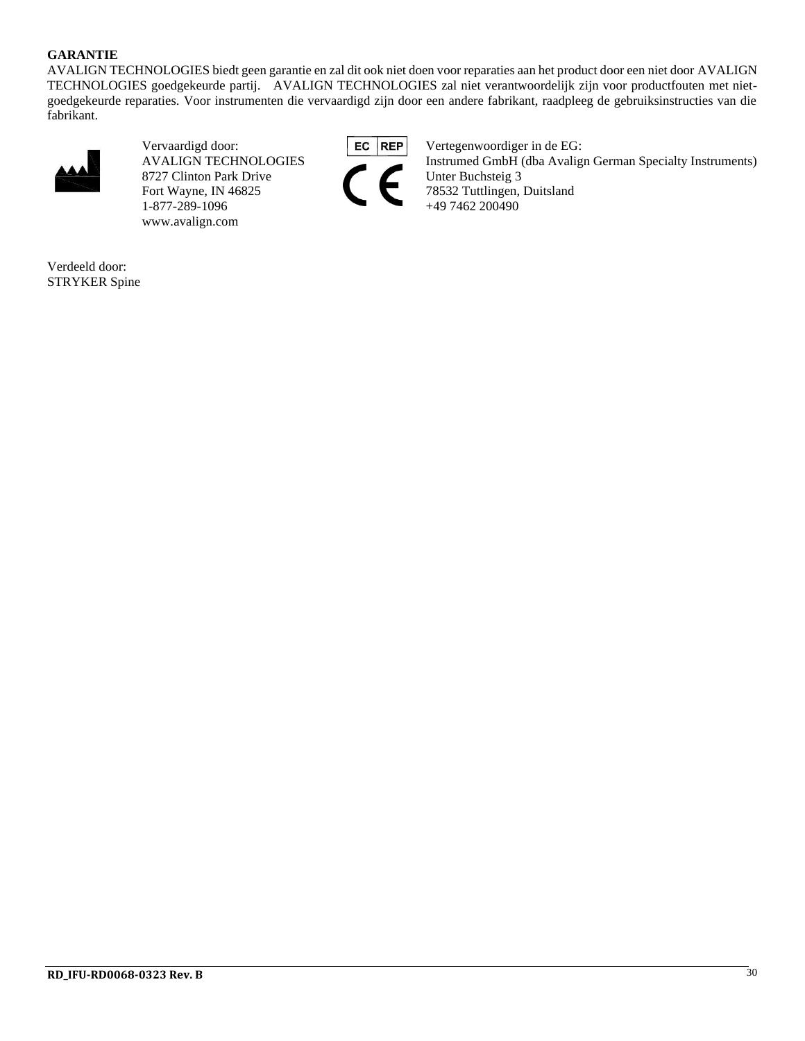#### **GARANTIE**

AVALIGN TECHNOLOGIES biedt geen garantie en zal dit ook niet doen voor reparaties aan het product door een niet door AVALIGN TECHNOLOGIES goedgekeurde partij. AVALIGN TECHNOLOGIES zal niet verantwoordelijk zijn voor productfouten met nietgoedgekeurde reparaties. Voor instrumenten die vervaardigd zijn door een andere fabrikant, raadpleeg de gebruiksinstructies van die fabrikant.



8727 Clinton Park Drive Fort Wayne, IN 46825 78532 Tuttlingen, Duitsland<br>1-877-289-1096 +49 7462 200490 1-877-289-1096 www.avalign.com



Vervaardigd door:<br>AVALIGN TECHNOLOGIES<br>AVALIGN TECHNOLOGIES<br>AVALIGN TECHNOLOGIES<br>AVALIGN TECHNOLOGIES Instrumed GmbH (dba Avalign German Specialty Instruments)<br>Unter Buchsteig 3

Verdeeld door: STRYKER Spine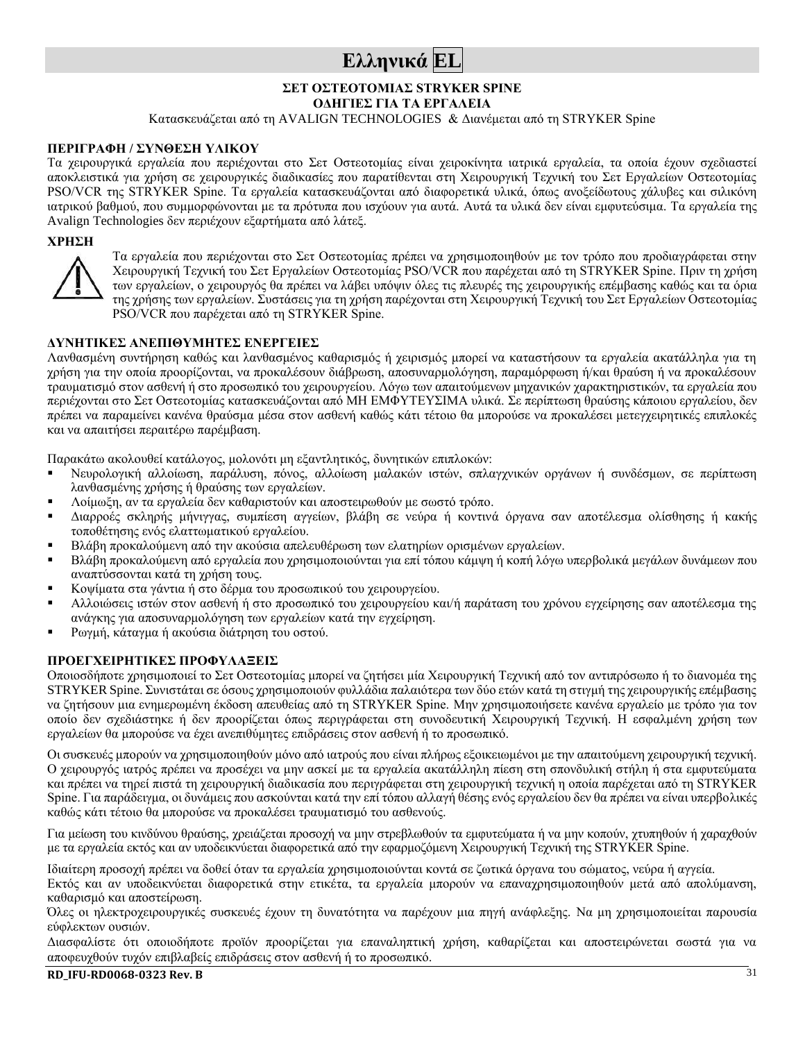## **Ελληνικά EL**

#### **ΣΕΤ ΟΣΤΕΟΤΟΜΙΑΣ STRYKER SPINE**

**ΟΔΗΓΙΕΣ ΓΙΑ ΤΑ ΕΡΓΑΛΕΙΑ**

Κατασκευάζεται από τη AVALIGN TECHNOLOGIES & Διανέμεται από τη STRYKER Spine

#### **ΠΕΡΙΓΡΑΦΗ / ΣΥΝΘΕΣΗ ΥΛΙΚΟΥ**

Τα χειρουργικά εργαλεία που περιέχονται στο Σετ Οστεοτομίας είναι χειροκίνητα ιατρικά εργαλεία, τα οποία έχουν σχεδιαστεί αποκλειστικά για χρήση σε χειρουργικές διαδικασίες που παρατίθενται στη Χειρουργική Τεχνική του Σετ Εργαλείων Οστεοτομίας PSO/VCR της STRYKER Spine. Τα εργαλεία κατασκευάζονται από διαφορετικά υλικά, όπως ανοξείδωτους χάλυβες και σιλικόνη ιατρικού βαθμού, που συμμορφώνονται με τα πρότυπα που ισχύουν για αυτά. Αυτά τα υλικά δεν είναι εμφυτεύσιμα. Τα εργαλεία της Avalign Technologies δεν περιέχουν εξαρτήματα από λάτεξ.

#### **ΧΡΗΣΗ**



Τα εργαλεία που περιέχονται στο Σετ Οστεοτομίας πρέπει να χρησιμοποιηθούν με τον τρόπο που προδιαγράφεται στην Χειρουργική Τεχνική του Σετ Εργαλείων Οστεοτομίας PSO/VCR που παρέχεται από τη STRYKER Spine. Πριν τη χρήση των εργαλείων, ο χειρουργός θα πρέπει να λάβει υπόψιν όλες τις πλευρές της χειρουργικής επέμβασης καθώς και τα όρια της χρήσης των εργαλείων. Συστάσεις για τη χρήση παρέχονται στη Χειρουργική Τεχνική του Σετ Εργαλείων Οστεοτομίας PSO/VCR που παρέχεται από τη STRYKER Spine.

#### **ΔΥΝΗΤΙΚΕΣ ΑΝΕΠΙΘΥΜΗΤΕΣ ΕΝΕΡΓΕΙΕΣ**

Λανθασμένη συντήρηση καθώς και λανθασμένος καθαρισμός ή χειρισμός μπορεί να καταστήσουν τα εργαλεία ακατάλληλα για τη χρήση για την οποία προορίζονται, να προκαλέσουν διάβρωση, αποσυναρμολόγηση, παραμόρφωση ή/και θραύση ή να προκαλέσουν τραυματισμό στον ασθενή ή στο προσωπικό του χειρουργείου. Λόγω των απαιτούμενων μηχανικών χαρακτηριστικών, τα εργαλεία που περιέχονται στο Σετ Οστεοτομίας κατασκευάζονται από ΜΗ ΕΜΦΥΤΕΥΣΙΜΑ υλικά. Σε περίπτωση θραύσης κάποιου εργαλείου, δεν πρέπει να παραμείνει κανένα θραύσμα μέσα στον ασθενή καθώς κάτι τέτοιο θα μπορούσε να προκαλέσει μετεγχειρητικές επιπλοκές και να απαιτήσει περαιτέρω παρέμβαση.

Παρακάτω ακολουθεί κατάλογος, μολονότι μη εξαντλητικός, δυνητικών επιπλοκών:

- Νευρολογική αλλοίωση, παράλυση, πόνος, αλλοίωση μαλακών ιστών, σπλαγχνικών οργάνων ή συνδέσμων, σε περίπτωση λανθασμένης χρήσης ή θραύσης των εργαλείων.
- Λοίμωξη, αν τα εργαλεία δεν καθαριστούν και αποστειρωθούν με σωστό τρόπο.
- Διαρροές σκληρής μήνιγγας, συμπίεση αγγείων, βλάβη σε νεύρα ή κοντινά όργανα σαν αποτέλεσμα ολίσθησης ή κακής τοποθέτησης ενός ελαττωματικού εργαλείου.
- Βλάβη προκαλούμενη από την ακούσια απελευθέρωση των ελατηρίων ορισμένων εργαλείων.
- Βλάβη προκαλούμενη από εργαλεία που χρησιμοποιούνται για επί τόπου κάμψη ή κοπή λόγω υπερβολικά μεγάλων δυνάμεων που αναπτύσσονται κατά τη χρήση τους.
- Κοψίματα στα γάντια ή στο δέρμα του προσωπικού του χειρουργείου.
- Αλλοιώσεις ιστών στον ασθενή ή στο προσωπικό του χειρουργείου και/ή παράταση του χρόνου εγχείρησης σαν αποτέλεσμα της ανάγκης για αποσυναρμολόγηση των εργαλείων κατά την εγχείρηση.
- Ρωγμή, κάταγμα ή ακούσια διάτρηση του οστού.

#### **ΠΡΟΕΓΧΕΙΡΗΤΙΚΕΣ ΠΡΟΦΥΛΑΞΕΙΣ**

Οποιοσδήποτε χρησιμοποιεί το Σετ Οστεοτομίας μπορεί να ζητήσει μία Χειρουργική Τεχνική από τον αντιπρόσωπο ή το διανομέα της STRYKER Spine. Συνιστάται σε όσους χρησιμοποιούν φυλλάδια παλαιότερα των δύο ετών κατά τη στιγμή της χειρουργικής επέμβασης να ζητήσουν μια ενημερωμένη έκδοση απευθείας από τη STRYKER Spine. Μην χρησιμοποιήσετε κανένα εργαλείο με τρόπο για τον οποίο δεν σχεδιάστηκε ή δεν προορίζεται όπως περιγράφεται στη συνοδευτική Χειρουργική Τεχνική. Η εσφαλμένη χρήση των εργαλείων θα μπορούσε να έχει ανεπιθύμητες επιδράσεις στον ασθενή ή το προσωπικό.

Οι συσκευές μπορούν να χρησιμοποιηθούν μόνο από ιατρούς που είναι πλήρως εξοικειωμένοι με την απαιτούμενη χειρουργική τεχνική. Ο χειρουργός ιατρός πρέπει να προσέχει να μην ασκεί με τα εργαλεία ακατάλληλη πίεση στη σπονδυλική στήλη ή στα εμφυτεύματα και πρέπει να τηρεί πιστά τη χειρουργική διαδικασία που περιγράφεται στη χειρουργική τεχνική η οποία παρέχεται από τη STRYKER Spine. Για παράδειγμα, οι δυνάμεις που ασκούνται κατά την επί τόπου αλλαγή θέσης ενός εργαλείου δεν θα πρέπει να είναι υπερβολικές καθώς κάτι τέτοιο θα μπορούσε να προκαλέσει τραυματισμό του ασθενούς.

Για μείωση του κινδύνου θραύσης, χρειάζεται προσοχή να μην στρεβλωθούν τα εμφυτεύματα ή να μην κοπούν, χτυπηθούν ή χαραχθούν με τα εργαλεία εκτός και αν υποδεικνύεται διαφορετικά από την εφαρμοζόμενη Χειρουργική Τεχνική της STRYKER Spine.

Ιδιαίτερη προσοχή πρέπει να δοθεί όταν τα εργαλεία χρησιμοποιούνται κοντά σε ζωτικά όργανα του σώματος, νεύρα ή αγγεία.

Εκτός και αν υποδεικνύεται διαφορετικά στην ετικέτα, τα εργαλεία μπορούν να επαναχρησιμοποιηθούν μετά από απολύμανση, καθαρισμό και αποστείρωση.

Όλες οι ηλεκτροχειρουργικές συσκευές έχουν τη δυνατότητα να παρέχουν μια πηγή ανάφλεξης. Να μη χρησιμοποιείται παρουσία εύφλεκτων ουσιών.

Διασφαλίστε ότι οποιοδήποτε προϊόν προορίζεται για επαναληπτική χρήση, καθαρίζεται και αποστειρώνεται σωστά για να αποφευχθούν τυχόν επιβλαβείς επιδράσεις στον ασθενή ή το προσωπικό.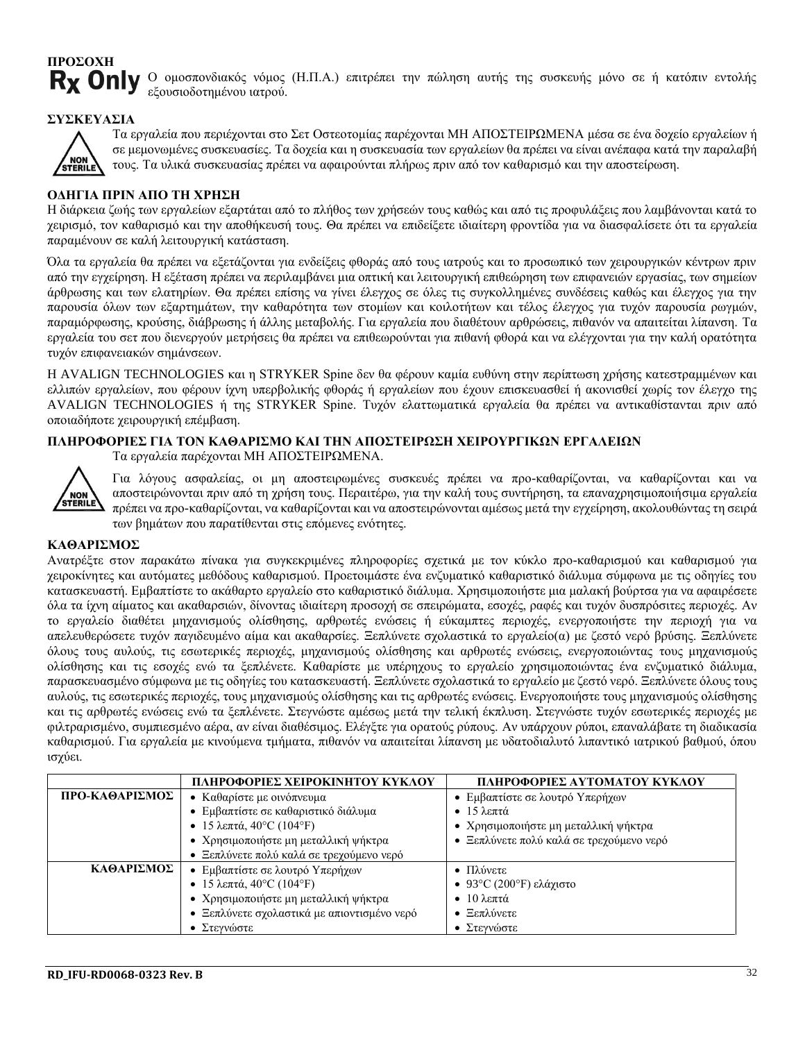## **ΠΡΟΣΟΧΗ R<sub>x</sub>** Only

Ο ομοσπονδιακός νόμος (Η.Π.Α.) επιτρέπει την πώληση αυτής της συσκευής μόνο σε ή κατόπιν εντολής εξουσιοδοτημένου ιατρού.

#### **ΣΥΣΚΕΥΑΣΙΑ**



Τα εργαλεία που περιέχονται στο Σετ Οστεοτομίας παρέχονται ΜΗ ΑΠΟΣΤΕΙΡΩΜΕΝΑ μέσα σε ένα δοχείο εργαλείων ή σε μεμονωμένες συσκευασίες. Τα δοχεία και η συσκευασία των εργαλείων θα πρέπει να είναι ανέπαφα κατά την παραλαβή τους. Τα υλικά συσκευασίας πρέπει να αφαιρούνται πλήρως πριν από τον καθαρισμό και την αποστείρωση.

#### **ΟΔΗΓΙΑ ΠΡΙΝ ΑΠΟ ΤΗ ΧΡΗΣΗ**

Η διάρκεια ζωής των εργαλείων εξαρτάται από το πλήθος των χρήσεών τους καθώς και από τις προφυλάξεις που λαμβάνονται κατά το χειρισμό, τον καθαρισμό και την αποθήκευσή τους. Θα πρέπει να επιδείξετε ιδιαίτερη φροντίδα για να διασφαλίσετε ότι τα εργαλεία παραμένουν σε καλή λειτουργική κατάσταση.

Όλα τα εργαλεία θα πρέπει να εξετάζονται για ενδείξεις φθοράς από τους ιατρούς και το προσωπικό των χειρουργικών κέντρων πριν από την εγχείρηση. Η εξέταση πρέπει να περιλαμβάνει μια οπτική και λειτουργική επιθεώρηση των επιφανειών εργασίας, των σημείων άρθρωσης και των ελατηρίων. Θα πρέπει επίσης να γίνει έλεγχος σε όλες τις συγκολλημένες συνδέσεις καθώς και έλεγχος για την παρουσία όλων των εξαρτημάτων, την καθαρότητα των στομίων και κοιλοτήτων και τέλος έλεγχος για τυχόν παρουσία ρωγμών, παραμόρφωσης, κρούσης, διάβρωσης ή άλλης μεταβολής. Για εργαλεία που διαθέτουν αρθρώσεις, πιθανόν να απαιτείται λίπανση. Τα εργαλεία του σετ που διενεργούν μετρήσεις θα πρέπει να επιθεωρούνται για πιθανή φθορά και να ελέγχονται για την καλή ορατότητα τυχόν επιφανειακών σημάνσεων.

Η AVALIGN TECHNOLOGIES και η STRYKER Spine δεν θα φέρουν καμία ευθύνη στην περίπτωση χρήσης κατεστραμμένων και ελλιπών εργαλείων, που φέρουν ίχνη υπερβολικής φθοράς ή εργαλείων που έχουν επισκευασθεί ή ακονισθεί χωρίς τον έλεγχο της AVALIGN TECHNOLOGIES ή της STRYKER Spine. Τυχόν ελαττωματικά εργαλεία θα πρέπει να αντικαθίστανται πριν από οποιαδήποτε χειρουργική επέμβαση.

#### **ΠΛΗΡΟΦΟΡΙΕΣ ΓΙΑ ΤΟΝ ΚΑΘΑΡΙΣΜΟ ΚΑΙ ΤΗΝ ΑΠΟΣΤΕΙΡΩΣΗ ΧΕΙΡΟΥΡΓΙΚΩΝ ΕΡΓΑΛΕΙΩΝ**

Τα εργαλεία παρέχονται ΜΗ ΑΠΟΣΤΕΙΡΩΜΕΝΑ.



Για λόγους ασφαλείας, οι μη αποστειρωμένες συσκευές πρέπει να προ-καθαρίζονται, να καθαρίζονται και να αποστειρώνονται πριν από τη χρήση τους. Περαιτέρω, για την καλή τους συντήρηση, τα επαναχρησιμοποιήσιμα εργαλεία πρέπει να προ-καθαρίζονται, να καθαρίζονται και να αποστειρώνονται αμέσως μετά την εγχείρηση, ακολουθώντας τη σειρά των βημάτων που παρατίθενται στις επόμενες ενότητες.

#### **ΚΑΘΑΡΙΣΜΟΣ**

Ανατρέξτε στον παρακάτω πίνακα για συγκεκριμένες πληροφορίες σχετικά με τον κύκλο προ-καθαρισμού και καθαρισμού για χειροκίνητες και αυτόματες μεθόδους καθαρισμού. Προετοιμάστε ένα ενζυματικό καθαριστικό διάλυμα σύμφωνα με τις οδηγίες του κατασκευαστή. Εμβαπτίστε το ακάθαρτο εργαλείο στο καθαριστικό διάλυμα. Χρησιμοποιήστε μια μαλακή βούρτσα για να αφαιρέσετε όλα τα ίχνη αίματος και ακαθαρσιών, δίνοντας ιδιαίτερη προσοχή σε σπειρώματα, εσοχές, ραφές και τυχόν δυσπρόσιτες περιοχές. Αν το εργαλείο διαθέτει μηχανισμούς ολίσθησης, αρθρωτές ενώσεις ή εύκαμπτες περιοχές, ενεργοποιήστε την περιοχή για να απελευθερώσετε τυχόν παγιδευμένο αίμα και ακαθαρσίες. Ξεπλύνετε σχολαστικά το εργαλείο(α) με ζεστό νερό βρύσης. Ξεπλύνετε όλους τους αυλούς, τις εσωτερικές περιοχές, μηχανισμούς ολίσθησης και αρθρωτές ενώσεις, ενεργοποιώντας τους μηχανισμούς ολίσθησης και τις εσοχές ενώ τα ξεπλένετε. Καθαρίστε με υπέρηχους το εργαλείο χρησιμοποιώντας ένα ενζυματικό διάλυμα, παρασκευασμένο σύμφωνα με τις οδηγίες του κατασκευαστή. Ξεπλύνετε σχολαστικά το εργαλείο με ζεστό νερό. Ξεπλύνετε όλους τους αυλούς, τις εσωτερικές περιοχές, τους μηχανισμούς ολίσθησης και τις αρθρωτές ενώσεις. Ενεργοποιήστε τους μηχανισμούς ολίσθησης και τις αρθρωτές ενώσεις ενώ τα ξεπλένετε. Στεγνώστε αμέσως μετά την τελική έκπλυση. Στεγνώστε τυχόν εσωτερικές περιοχές με φιλτραρισμένο, συμπιεσμένο αέρα, αν είναι διαθέσιμος. Ελέγξτε για ορατούς ρύπους. Αν υπάρχουν ρύποι, επαναλάβατε τη διαδικασία καθαρισμού. Για εργαλεία με κινούμενα τμήματα, πιθανόν να απαιτείται λίπανση με υδατοδιαλυτό λιπαντικό ιατρικού βαθμού, όπου ισχύει.

|                | ΠΛΗΡΟΦΟΡΙΕΣ ΧΕΙΡΟΚΙΝΗΤΟΥ ΚΥΚΛΟΥ             | ΠΛΗΡΟΦΟΡΙΕΣ ΑΥΤΟΜΑΤΟΥ ΚΥΚΛΟΥ             |  |
|----------------|---------------------------------------------|------------------------------------------|--|
| ΠΡΟ-ΚΑΘΑΡΙΣΜΟΣ | • Καθαρίστε με οινόπνευμα                   | • Εμβαπτίστε σε λουτρό Υπερήχων          |  |
|                | • Εμβαπτίστε σε καθαριστικό διάλυμα         | $\bullet$ 15 λεπτά                       |  |
|                | • 15 λεπτά, 40°C (104°F)                    | • Χρησιμοποιήστε μη μεταλλική ψήκτρα     |  |
|                | • Χρησιμοποιήστε μη μεταλλική ψήκτρα        | • Ξεπλύνετε πολύ καλά σε τρεχούμενο νερό |  |
|                | Ξεπλύνετε πολύ καλά σε τρεχούμενο νερό      |                                          |  |
| ΚΑΘΑΡΙΣΜΟΣ     | • Εμβαπτίστε σε λουτρό Υπερήχων             | • Πλύνετε                                |  |
|                | • 15 λεπτά, 40°C (104°F)                    | • 93°C (200°F) ελάχιστο                  |  |
|                | • Χρησιμοποιήστε μη μεταλλική ψήκτρα        | $\bullet$ 10 λεπτά                       |  |
|                | • Ξεπλύνετε σχολαστικά με απιοντισμένο νερό | Ξεπλύνετε<br>$\bullet$                   |  |
|                | • Στεγνώστε                                 | • Στεγνώστε                              |  |